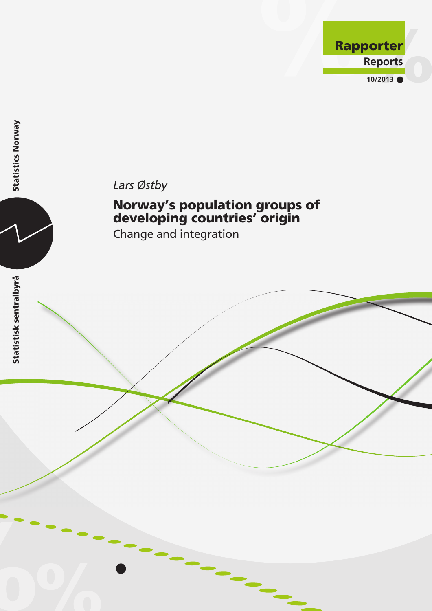



# Norway's population groups of developing countries' origin

Change and integration

**Statistics Norway**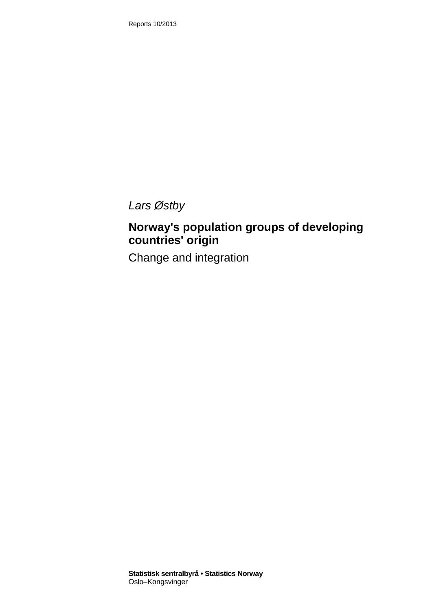Reports 10/2013

*Lars Østby* 

# **Norway's population groups of developing countries' origin**

Change and integration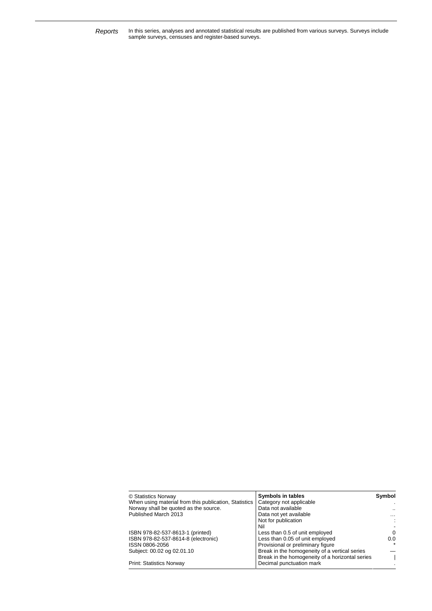Reports In this series, analyses and annotated statistical results are published from various surveys. Surveys include<br>sample surveys, censuses and register-based surveys.

| © Statistics Norway                                   | Symbols in tables                               | Symbol    |
|-------------------------------------------------------|-------------------------------------------------|-----------|
| When using material from this publication, Statistics | Category not applicable                         |           |
| Norway shall be quoted as the source.                 | Data not available                              | $\cdot$ . |
| Published March 2013                                  | Data not yet available                          | $\cdots$  |
|                                                       | Not for publication                             | ÷         |
|                                                       | Nil                                             |           |
| ISBN 978-82-537-8613-1 (printed)                      | Less than 0.5 of unit employed                  | $\Omega$  |
| ISBN 978-82-537-8614-8 (electronic)                   | Less than 0.05 of unit employed                 | 0.0       |
| ISSN 0806-2056                                        | Provisional or preliminary figure               |           |
| Subject: 00.02 og 02.01.10                            | Break in the homogeneity of a vertical series   |           |
|                                                       | Break in the homogeneity of a horizontal series |           |
| <b>Print: Statistics Norway</b>                       | Decimal punctuation mark                        |           |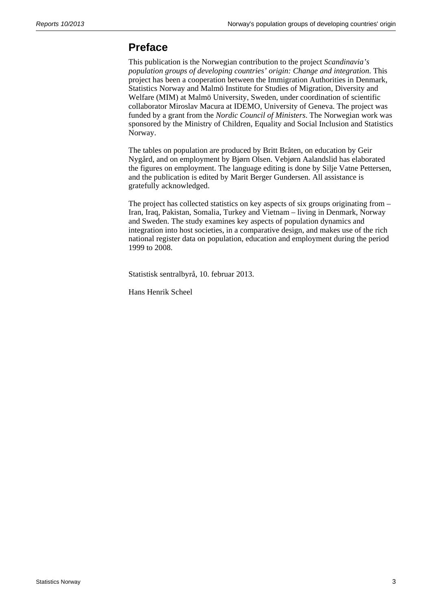## **Preface**

This publication is the Norwegian contribution to the project *Scandinavia's population groups of developing countries' origin: Change and integration*. This project has been a cooperation between the Immigration Authorities in Denmark, Statistics Norway and Malmö Institute for Studies of Migration, Diversity and Welfare (MIM) at Malmö University, Sweden, under coordination of scientific collaborator Miroslav Macura at IDEMO, University of Geneva. The project was funded by a grant from the *Nordic Council of Ministers*. The Norwegian work was sponsored by the Ministry of Children, Equality and Social Inclusion and Statistics Norway.

The tables on population are produced by Britt Bråten, on education by Geir Nygård, and on employment by Bjørn Olsen. Vebjørn Aalandslid has elaborated the figures on employment. The language editing is done by Silje Vatne Pettersen, and the publication is edited by Marit Berger Gundersen. All assistance is gratefully acknowledged.

The project has collected statistics on key aspects of six groups originating from – Iran, Iraq, Pakistan, Somalia, Turkey and Vietnam – living in Denmark, Norway and Sweden. The study examines key aspects of population dynamics and integration into host societies, in a comparative design, and makes use of the rich national register data on population, education and employment during the period 1999 to 2008.

Statistisk sentralbyrå, 10. februar 2013.

Hans Henrik Scheel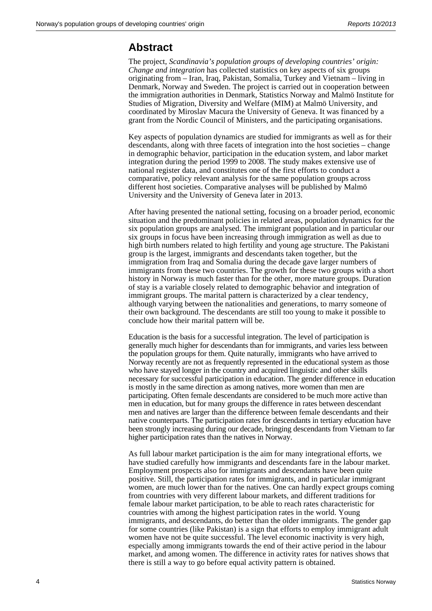## **Abstract**

The project, *Scandinavia's population groups of developing countries' origin: Change and integration* has collected statistics on key aspects of six groups originating from – Iran, Iraq, Pakistan, Somalia, Turkey and Vietnam – living in Denmark, Norway and Sweden. The project is carried out in cooperation between the immigration authorities in Denmark, Statistics Norway and Malmö Institute for Studies of Migration, Diversity and Welfare (MIM) at Malmö University, and coordinated by Miroslav Macura the University of Geneva. It was financed by a grant from the Nordic Council of Ministers, and the participating organisations.

Key aspects of population dynamics are studied for immigrants as well as for their descendants, along with three facets of integration into the host societies – change in demographic behavior, participation in the education system, and labor market integration during the period 1999 to 2008. The study makes extensive use of national register data, and constitutes one of the first efforts to conduct a comparative, policy relevant analysis for the same population groups across different host societies. Comparative analyses will be published by Malmö University and the University of Geneva later in 2013.

After having presented the national setting, focusing on a broader period, economic situation and the predominant policies in related areas, population dynamics for the six population groups are analysed. The immigrant population and in particular our six groups in focus have been increasing through immigration as well as due to high birth numbers related to high fertility and young age structure. The Pakistani group is the largest, immigrants and descendants taken together, but the immigration from Iraq and Somalia during the decade gave larger numbers of immigrants from these two countries. The growth for these two groups with a short history in Norway is much faster than for the other, more mature groups. Duration of stay is a variable closely related to demographic behavior and integration of immigrant groups. The marital pattern is characterized by a clear tendency, although varying between the nationalities and generations, to marry someone of their own background. The descendants are still too young to make it possible to conclude how their marital pattern will be.

Education is the basis for a successful integration. The level of participation is generally much higher for descendants than for immigrants, and varies less between the population groups for them. Quite naturally, immigrants who have arrived to Norway recently are not as frequently represented in the educational system as those who have stayed longer in the country and acquired linguistic and other skills necessary for successful participation in education. The gender difference in education is mostly in the same direction as among natives, more women than men are participating. Often female descendants are considered to be much more active than men in education, but for many groups the difference in rates between descendant men and natives are larger than the difference between female descendants and their native counterparts. The participation rates for descendants in tertiary education have been strongly increasing during our decade, bringing descendants from Vietnam to far higher participation rates than the natives in Norway.

As full labour market participation is the aim for many integrational efforts, we have studied carefully how immigrants and descendants fare in the labour market. Employment prospects also for immigrants and descendants have been quite positive. Still, the participation rates for immigrants, and in particular immigrant women, are much lower than for the natives. One can hardly expect groups coming from countries with very different labour markets, and different traditions for female labour market participation, to be able to reach rates characteristic for countries with among the highest participation rates in the world. Young immigrants, and descendants, do better than the older immigrants. The gender gap for some countries (like Pakistan) is a sign that efforts to employ immigrant adult women have not be quite successful. The level economic inactivity is very high, especially among immigrants towards the end of their active period in the labour market, and among women. The difference in activity rates for natives shows that there is still a way to go before equal activity pattern is obtained.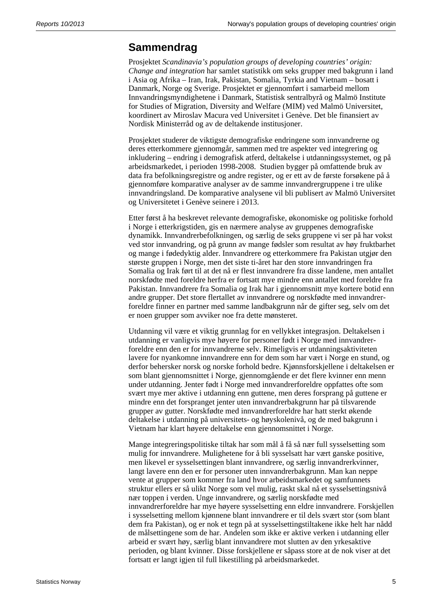## **Sammendrag**

Prosjektet *Scandinavia's population groups of developing countries' origin: Change and integration* har samlet statistikk om seks grupper med bakgrunn i land i Asia og Afrika – Iran, Irak, Pakistan, Somalia, Tyrkia and Vietnam – bosatt i Danmark, Norge og Sverige. Prosjektet er gjennomført i samarbeid mellom Innvandringsmyndighetene i Danmark, Statistisk sentralbyrå og Malmö Institute for Studies of Migration, Diversity and Welfare (MIM) ved Malmö Universitet, koordinert av Miroslav Macura ved Universitet i Genève. Det ble finansiert av Nordisk Ministerråd og av de deltakende institusjoner.

Prosjektet studerer de viktigste demografiske endringene som innvandrerne og deres etterkommere gjennomgår, sammen med tre aspekter ved integrering og inkludering – endring i demografisk atferd, deltakelse i utdanningssystemet, og på arbeidsmarkedet, i perioden 1998-2008. Studien bygger på omfattende bruk av data fra befolkningsregistre og andre register, og er ett av de første forsøkene på å gjennomføre komparative analyser av de samme innvandrergruppene i tre ulike innvandringsland. De komparative analysene vil bli publisert av Malmö Universitet og Universitetet i Genève seinere i 2013.

Etter først å ha beskrevet relevante demografiske, økonomiske og politiske forhold i Norge i etterkrigstiden, gis en nærmere analyse av gruppenes demografiske dynamikk. Innvandrerbefolkningen, og særlig de seks gruppene vi ser på har vokst ved stor innvandring, og på grunn av mange fødsler som resultat av høy fruktbarhet og mange i fødedyktig alder. Innvandrere og etterkommere fra Pakistan utgjør den største gruppen i Norge, men det siste ti-året har den store innvandringen fra Somalia og Irak ført til at det nå er flest innvandrere fra disse landene, men antallet norskfødte med foreldre herfra er fortsatt mye mindre enn antallet med foreldre fra Pakistan. Innvandrere fra Somalia og Irak har i gjennomsnitt mye kortere botid enn andre grupper. Det store flertallet av innvandrere og norskfødte med innvandrerforeldre finner en partner med samme landbakgrunn når de gifter seg, selv om det er noen grupper som avviker noe fra dette mønsteret.

Utdanning vil være et viktig grunnlag for en vellykket integrasjon. Deltakelsen i utdanning er vanligvis mye høyere for personer født i Norge med innvandrerforeldre enn den er for innvandrerne selv. Rimeligvis er utdanningsaktiviteten lavere for nyankomne innvandrere enn for dem som har vært i Norge en stund, og derfor behersker norsk og norske forhold bedre. Kjønnsforskjellene i deltakelsen er som blant gjennomsnittet i Norge, gjennomgående er det flere kvinner enn menn under utdanning. Jenter født i Norge med innvandrerforeldre oppfattes ofte som svært mye mer aktive i utdanning enn guttene, men deres forsprang på guttene er mindre enn det forspranget jenter uten innvandrerbakgrunn har på tilsvarende grupper av gutter. Norskfødte med innvandrerforeldre har hatt sterkt økende deltakelse i utdanning på universitets- og høyskolenivå, og de med bakgrunn i Vietnam har klart høyere deltakelse enn gjennomsnittet i Norge.

Mange integreringspolitiske tiltak har som mål å få så nær full sysselsetting som mulig for innvandrere. Mulighetene for å bli sysselsatt har vært ganske positive, men likevel er sysselsettingen blant innvandrere, og særlig innvandrerkvinner, langt lavere enn den er for personer uten innvandrerbakgrunn. Man kan neppe vente at grupper som kommer fra land hvor arbeidsmarkedet og samfunnets struktur ellers er så ulikt Norge som vel mulig, raskt skal nå et sysselsettingsnivå nær toppen i verden. Unge innvandrere, og særlig norskfødte med innvandrerforeldre har mye høyere sysselsetting enn eldre innvandrere. Forskjellen i sysselsetting mellom kjønnene blant innvandrere er til dels svært stor (som blant dem fra Pakistan), og er nok et tegn på at sysselsettingstiltakene ikke helt har nådd de målsettingene som de har. Andelen som ikke er aktive verken i utdanning eller arbeid er svært høy, særlig blant innvandrere mot slutten av den yrkesaktive perioden, og blant kvinner. Disse forskjellene er såpass store at de nok viser at det fortsatt er langt igjen til full likestilling på arbeidsmarkedet.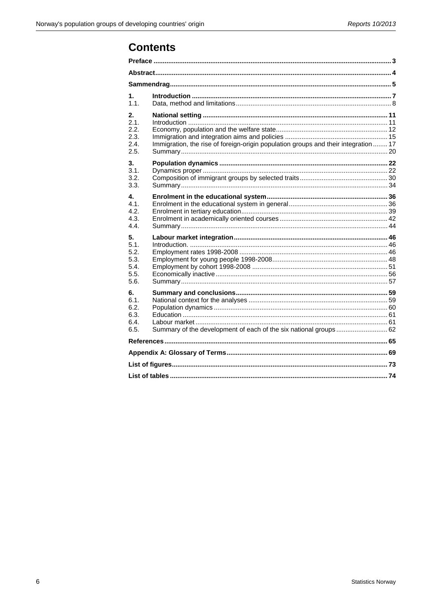## **Contents**

| 1.<br>1.1.                                 |                                                                                     |  |
|--------------------------------------------|-------------------------------------------------------------------------------------|--|
| 2.<br>2.1.<br>2.2.<br>2.3.<br>2.4.<br>2.5. | Immigration, the rise of foreign-origin population groups and their integration  17 |  |
| 3.                                         |                                                                                     |  |
| 3.1.<br>3.2.<br>3.3.                       |                                                                                     |  |
| 4.                                         |                                                                                     |  |
| 41<br>4.2.                                 |                                                                                     |  |
| 4.3.                                       |                                                                                     |  |
| 4.4.                                       |                                                                                     |  |
| 5.                                         |                                                                                     |  |
| 5.1.<br>5.2.                               |                                                                                     |  |
| 5.3.                                       |                                                                                     |  |
| 5.4.                                       |                                                                                     |  |
| 5.5.                                       |                                                                                     |  |
| 5.6.                                       |                                                                                     |  |
| 6.                                         |                                                                                     |  |
| 6.1.                                       |                                                                                     |  |
| 6.2.<br>6.3.                               |                                                                                     |  |
| 6.4.                                       |                                                                                     |  |
| 6.5.                                       | Summary of the development of each of the six national groups 62                    |  |
|                                            |                                                                                     |  |
|                                            |                                                                                     |  |
|                                            |                                                                                     |  |
|                                            |                                                                                     |  |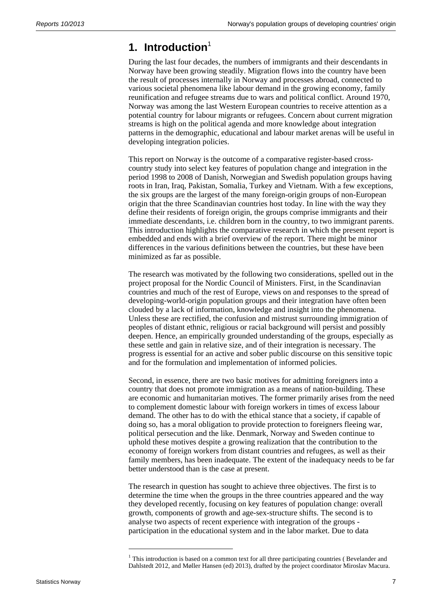## **1. Introduction**<sup>1</sup>

During the last four decades, the numbers of immigrants and their descendants in Norway have been growing steadily. Migration flows into the country have been the result of processes internally in Norway and processes abroad, connected to various societal phenomena like labour demand in the growing economy, family reunification and refugee streams due to wars and political conflict. Around 1970, Norway was among the last Western European countries to receive attention as a potential country for labour migrants or refugees. Concern about current migration streams is high on the political agenda and more knowledge about integration patterns in the demographic, educational and labour market arenas will be useful in developing integration policies.

This report on Norway is the outcome of a comparative register-based crosscountry study into select key features of population change and integration in the period 1998 to 2008 of Danish, Norwegian and Swedish population groups having roots in Iran, Iraq, Pakistan, Somalia, Turkey and Vietnam. With a few exceptions, the six groups are the largest of the many foreign-origin groups of non-European origin that the three Scandinavian countries host today. In line with the way they define their residents of foreign origin, the groups comprise immigrants and their immediate descendants, i.e. children born in the country, to two immigrant parents. This introduction highlights the comparative research in which the present report is embedded and ends with a brief overview of the report. There might be minor differences in the various definitions between the countries, but these have been minimized as far as possible.

The research was motivated by the following two considerations, spelled out in the project proposal for the Nordic Council of Ministers. First, in the Scandinavian countries and much of the rest of Europe, views on and responses to the spread of developing-world-origin population groups and their integration have often been clouded by a lack of information, knowledge and insight into the phenomena. Unless these are rectified, the confusion and mistrust surrounding immigration of peoples of distant ethnic, religious or racial background will persist and possibly deepen. Hence, an empirically grounded understanding of the groups, especially as these settle and gain in relative size, and of their integration is necessary. The progress is essential for an active and sober public discourse on this sensitive topic and for the formulation and implementation of informed policies.

Second, in essence, there are two basic motives for admitting foreigners into a country that does not promote immigration as a means of nation-building. These are economic and humanitarian motives. The former primarily arises from the need to complement domestic labour with foreign workers in times of excess labour demand. The other has to do with the ethical stance that a society, if capable of doing so, has a moral obligation to provide protection to foreigners fleeing war, political persecution and the like. Denmark, Norway and Sweden continue to uphold these motives despite a growing realization that the contribution to the economy of foreign workers from distant countries and refugees, as well as their family members, has been inadequate. The extent of the inadequacy needs to be far better understood than is the case at present.

The research in question has sought to achieve three objectives. The first is to determine the time when the groups in the three countries appeared and the way they developed recently, focusing on key features of population change: overall growth, components of growth and age-sex-structure shifts. The second is to analyse two aspects of recent experience with integration of the groups participation in the educational system and in the labor market. Due to data

l

 $1$  This introduction is based on a common text for all three participating countries (Bevelander and Dahlstedt 2012, and Møller Hansen (ed) 2013), drafted by the project coordinator Miroslav Macura.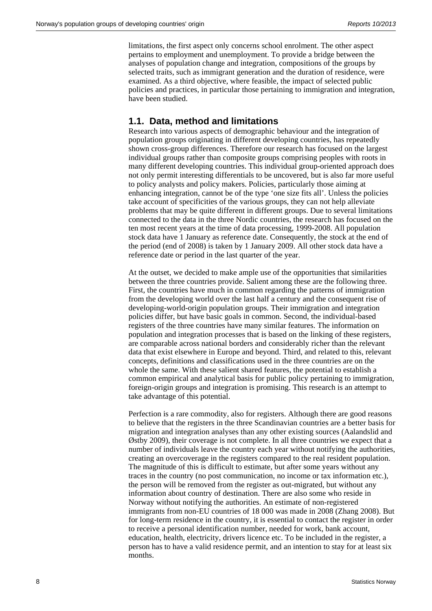limitations, the first aspect only concerns school enrolment. The other aspect pertains to employment and unemployment. To provide a bridge between the analyses of population change and integration, compositions of the groups by selected traits, such as immigrant generation and the duration of residence, were examined. As a third objective, where feasible, the impact of selected public policies and practices, in particular those pertaining to immigration and integration, have been studied.

### **1.1. Data, method and limitations**

Research into various aspects of demographic behaviour and the integration of population groups originating in different developing countries, has repeatedly shown cross-group differences. Therefore our research has focused on the largest individual groups rather than composite groups comprising peoples with roots in many different developing countries. This individual group-oriented approach does not only permit interesting differentials to be uncovered, but is also far more useful to policy analysts and policy makers. Policies, particularly those aiming at enhancing integration, cannot be of the type 'one size fits all'. Unless the policies take account of specificities of the various groups, they can not help alleviate problems that may be quite different in different groups. Due to several limitations connected to the data in the three Nordic countries, the research has focused on the ten most recent years at the time of data processing, 1999-2008. All population stock data have 1 January as reference date. Consequently, the stock at the end of the period (end of 2008) is taken by 1 January 2009. All other stock data have a reference date or period in the last quarter of the year.

At the outset, we decided to make ample use of the opportunities that similarities between the three countries provide. Salient among these are the following three. First, the countries have much in common regarding the patterns of immigration from the developing world over the last half a century and the consequent rise of developing-world-origin population groups. Their immigration and integration policies differ, but have basic goals in common. Second, the individual-based registers of the three countries have many similar features. The information on population and integration processes that is based on the linking of these registers, are comparable across national borders and considerably richer than the relevant data that exist elsewhere in Europe and beyond. Third, and related to this, relevant concepts, definitions and classifications used in the three countries are on the whole the same. With these salient shared features, the potential to establish a common empirical and analytical basis for public policy pertaining to immigration, foreign-origin groups and integration is promising. This research is an attempt to take advantage of this potential.

Perfection is a rare commodity, also for registers. Although there are good reasons to believe that the registers in the three Scandinavian countries are a better basis for migration and integration analyses than any other existing sources (Aalandslid and Østby 2009), their coverage is not complete. In all three countries we expect that a number of individuals leave the country each year without notifying the authorities, creating an overcoverage in the registers compared to the real resident population. The magnitude of this is difficult to estimate, but after some years without any traces in the country (no post communication, no income or tax information etc.), the person will be removed from the register as out-migrated, but without any information about country of destination. There are also some who reside in Norway without notifying the authorities. An estimate of non-registered immigrants from non-EU countries of 18 000 was made in 2008 (Zhang 2008). But for long-term residence in the country, it is essential to contact the register in order to receive a personal identification number, needed for work, bank account, education, health, electricity, drivers licence etc. To be included in the register, a person has to have a valid residence permit, and an intention to stay for at least six months.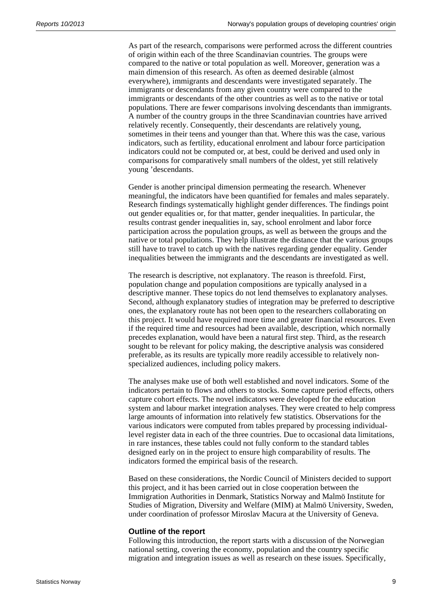As part of the research, comparisons were performed across the different countries of origin within each of the three Scandinavian countries. The groups were compared to the native or total population as well. Moreover, generation was a main dimension of this research. As often as deemed desirable (almost everywhere), immigrants and descendants were investigated separately. The immigrants or descendants from any given country were compared to the immigrants or descendants of the other countries as well as to the native or total populations. There are fewer comparisons involving descendants than immigrants. A number of the country groups in the three Scandinavian countries have arrived relatively recently. Consequently, their descendants are relatively young, sometimes in their teens and younger than that. Where this was the case, various indicators, such as fertility, educational enrolment and labour force participation indicators could not be computed or, at best, could be derived and used only in comparisons for comparatively small numbers of the oldest, yet still relatively young 'descendants.

Gender is another principal dimension permeating the research. Whenever meaningful, the indicators have been quantified for females and males separately. Research findings systematically highlight gender differences. The findings point out gender equalities or, for that matter, gender inequalities. In particular, the results contrast gender inequalities in, say, school enrolment and labor force participation across the population groups, as well as between the groups and the native or total populations. They help illustrate the distance that the various groups still have to travel to catch up with the natives regarding gender equality. Gender inequalities between the immigrants and the descendants are investigated as well.

The research is descriptive, not explanatory. The reason is threefold. First, population change and population compositions are typically analysed in a descriptive manner. These topics do not lend themselves to explanatory analyses. Second, although explanatory studies of integration may be preferred to descriptive ones, the explanatory route has not been open to the researchers collaborating on this project. It would have required more time and greater financial resources. Even if the required time and resources had been available, description, which normally precedes explanation, would have been a natural first step. Third, as the research sought to be relevant for policy making, the descriptive analysis was considered preferable, as its results are typically more readily accessible to relatively nonspecialized audiences, including policy makers.

The analyses make use of both well established and novel indicators. Some of the indicators pertain to flows and others to stocks. Some capture period effects, others capture cohort effects. The novel indicators were developed for the education system and labour market integration analyses. They were created to help compress large amounts of information into relatively few statistics. Observations for the various indicators were computed from tables prepared by processing individuallevel register data in each of the three countries. Due to occasional data limitations, in rare instances, these tables could not fully conform to the standard tables designed early on in the project to ensure high comparability of results. The indicators formed the empirical basis of the research.

Based on these considerations, the Nordic Council of Ministers decided to support this project, and it has been carried out in close cooperation between the Immigration Authorities in Denmark, Statistics Norway and Malmö Institute for Studies of Migration, Diversity and Welfare (MIM) at Malmö University, Sweden, under coordination of professor Miroslav Macura at the University of Geneva.

#### **Outline of the report**

Following this introduction, the report starts with a discussion of the Norwegian national setting, covering the economy, population and the country specific migration and integration issues as well as research on these issues. Specifically,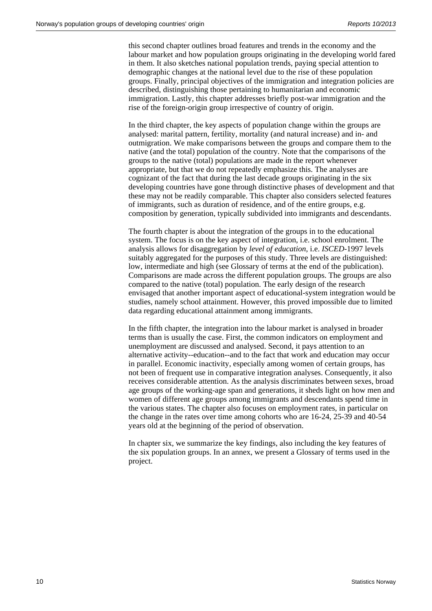this second chapter outlines broad features and trends in the economy and the labour market and how population groups originating in the developing world fared in them. It also sketches national population trends, paying special attention to demographic changes at the national level due to the rise of these population groups. Finally, principal objectives of the immigration and integration policies are described, distinguishing those pertaining to humanitarian and economic immigration. Lastly, this chapter addresses briefly post-war immigration and the rise of the foreign-origin group irrespective of country of origin.

In the third chapter, the key aspects of population change within the groups are analysed: marital pattern, fertility, mortality (and natural increase) and in- and outmigration. We make comparisons between the groups and compare them to the native (and the total) population of the country. Note that the comparisons of the groups to the native (total) populations are made in the report whenever appropriate, but that we do not repeatedly emphasize this. The analyses are cognizant of the fact that during the last decade groups originating in the six developing countries have gone through distinctive phases of development and that these may not be readily comparable. This chapter also considers selected features of immigrants, such as duration of residence, and of the entire groups, e.g. composition by generation, typically subdivided into immigrants and descendants.

The fourth chapter is about the integration of the groups in to the educational system. The focus is on the key aspect of integration, i.e. school enrolment. The analysis allows for disaggregation by *level of education*, i.e. *ISCED*-1997 levels suitably aggregated for the purposes of this study. Three levels are distinguished: low, intermediate and high (see Glossary of terms at the end of the publication). Comparisons are made across the different population groups. The groups are also compared to the native (total) population. The early design of the research envisaged that another important aspect of educational-system integration would be studies, namely school attainment. However, this proved impossible due to limited data regarding educational attainment among immigrants.

In the fifth chapter, the integration into the labour market is analysed in broader terms than is usually the case. First, the common indicators on employment and unemployment are discussed and analysed. Second, it pays attention to an alternative activity--education--and to the fact that work and education may occur in parallel. Economic inactivity, especially among women of certain groups, has not been of frequent use in comparative integration analyses. Consequently, it also receives considerable attention. As the analysis discriminates between sexes, broad age groups of the working-age span and generations, it sheds light on how men and women of different age groups among immigrants and descendants spend time in the various states. The chapter also focuses on employment rates, in particular on the change in the rates over time among cohorts who are 16-24, 25-39 and 40-54 years old at the beginning of the period of observation.

In chapter six, we summarize the key findings, also including the key features of the six population groups. In an annex, we present a Glossary of terms used in the project.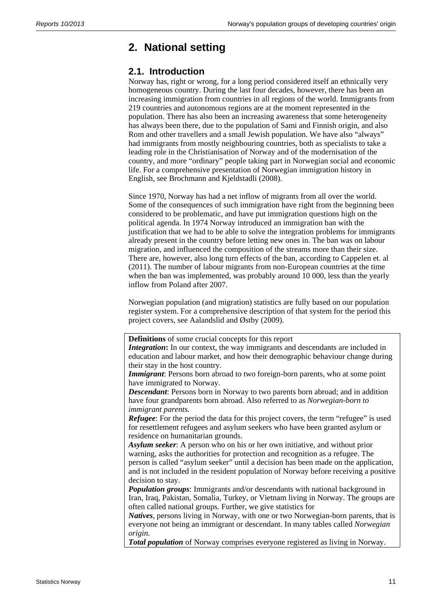## **2. National setting**

### **2.1. Introduction**

Norway has, right or wrong, for a long period considered itself an ethnically very homogeneous country. During the last four decades, however, there has been an increasing immigration from countries in all regions of the world. Immigrants from 219 countries and autonomous regions are at the moment represented in the population. There has also been an increasing awareness that some heterogeneity has always been there, due to the population of Sami and Finnish origin, and also Rom and other travellers and a small Jewish population. We have also "always" had immigrants from mostly neighbouring countries, both as specialists to take a leading role in the Christianisation of Norway and of the modernisation of the country, and more "ordinary" people taking part in Norwegian social and economic life. For a comprehensive presentation of Norwegian immigration history in English, see Brochmann and Kjeldstadli (2008).

Since 1970, Norway has had a net inflow of migrants from all over the world. Some of the consequences of such immigration have right from the beginning been considered to be problematic, and have put immigration questions high on the political agenda. In 1974 Norway introduced an immigration ban with the justification that we had to be able to solve the integration problems for immigrants already present in the country before letting new ones in. The ban was on labour migration, and influenced the composition of the streams more than their size. There are, however, also long turn effects of the ban, according to Cappelen et. al (2011). The number of labour migrants from non-European countries at the time when the ban was implemented, was probably around 10 000, less than the yearly inflow from Poland after 2007.

Norwegian population (and migration) statistics are fully based on our population register system. For a comprehensive description of that system for the period this project covers, see Aalandslid and Østby (2009).

**Definitions** of some crucial concepts for this report

*Integration*: In our context, the way immigrants and descendants are included in education and labour market, and how their demographic behaviour change during their stay in the host country.

*Immigrant*: Persons born abroad to two foreign-born parents, who at some point have immigrated to Norway.

*Descendant*: Persons born in Norway to two parents born abroad; and in addition have four grandparents born abroad. Also referred to as *Norwegian-born to immigrant parents.*

*Refugee*: For the period the data for this project covers, the term "refugee" is used for resettlement refugees and asylum seekers who have been granted asylum or residence on humanitarian grounds.

*Asylum seeker*: A person who on his or her own initiative, and without prior warning, asks the authorities for protection and recognition as a refugee. The person is called "asylum seeker" until a decision has been made on the application, and is not included in the resident population of Norway before receiving a positive decision to stay.

*Population groups*: Immigrants and/or descendants with national background in Iran, Iraq, Pakistan, Somalia, Turkey, or Vietnam living in Norway. The groups are often called national groups. Further, we give statistics for

*Natives*, persons living in Norway, with one or two Norwegian-born parents, that is everyone not being an immigrant or descendant. In many tables called *Norwegian origin.*

*Total population* of Norway comprises everyone registered as living in Norway.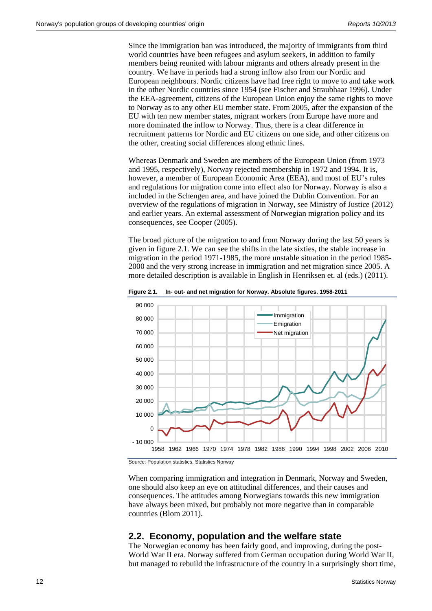Since the immigration ban was introduced, the majority of immigrants from third world countries have been refugees and asylum seekers, in addition to family members being reunited with labour migrants and others already present in the country. We have in periods had a strong inflow also from our Nordic and European neighbours. Nordic citizens have had free right to move to and take work in the other Nordic countries since 1954 (see Fischer and Straubhaar 1996). Under the EEA-agreement, citizens of the European Union enjoy the same rights to move to Norway as to any other EU member state. From 2005, after the expansion of the EU with ten new member states, migrant workers from Europe have more and more dominated the inflow to Norway. Thus, there is a clear difference in recruitment patterns for Nordic and EU citizens on one side, and other citizens on the other, creating social differences along ethnic lines.

Whereas Denmark and Sweden are members of the European Union (from 1973 and 1995, respectively), Norway rejected membership in 1972 and 1994. It is, however, a member of European Economic Area (EEA), and most of EU's rules and regulations for migration come into effect also for Norway. Norway is also a included in the Schengen area, and have joined the Dublin Convention. For an overview of the regulations of migration in Norway, see Ministry of Justice (2012) and earlier years. An external assessment of Norwegian migration policy and its consequences, see Cooper (2005).

The broad picture of the migration to and from Norway during the last 50 years is given in figure 2.1. We can see the shifts in the late sixties, the stable increase in migration in the period 1971-1985, the more unstable situation in the period 1985- 2000 and the very strong increase in immigration and net migration since 2005. A more detailed description is available in English in Henriksen et. al (eds.) (2011).



**Figure 2.1. In- out- and net migration for Norway. Absolute figures. 1958-2011** 

Source: Population statistics, Statistics Norway

When comparing immigration and integration in Denmark, Norway and Sweden, one should also keep an eye on attitudinal differences, and their causes and consequences. The attitudes among Norwegians towards this new immigration have always been mixed, but probably not more negative than in comparable countries (Blom 2011).

#### **2.2. Economy, population and the welfare state**

The Norwegian economy has been fairly good, and improving, during the post-World War II era. Norway suffered from German occupation during World War II, but managed to rebuild the infrastructure of the country in a surprisingly short time,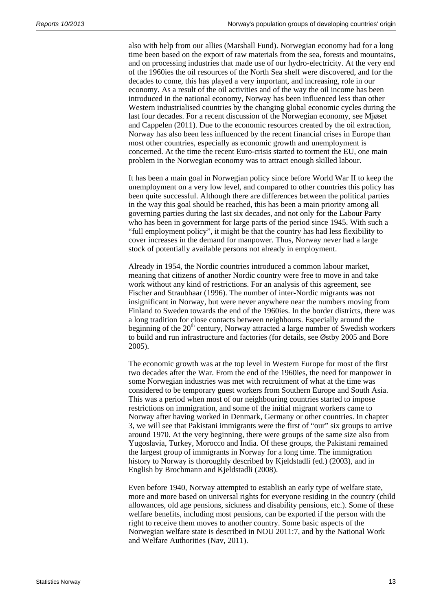also with help from our allies (Marshall Fund). Norwegian economy had for a long time been based on the export of raw materials from the sea, forests and mountains, and on processing industries that made use of our hydro-electricity. At the very end of the 1960ies the oil resources of the North Sea shelf were discovered, and for the decades to come, this has played a very important, and increasing, role in our economy. As a result of the oil activities and of the way the oil income has been introduced in the national economy, Norway has been influenced less than other Western industrialised countries by the changing global economic cycles during the last four decades. For a recent discussion of the Norwegian economy, see Mjøset and Cappelen (2011). Due to the economic resources created by the oil extraction, Norway has also been less influenced by the recent financial crises in Europe than most other countries, especially as economic growth and unemployment is concerned. At the time the recent Euro-crisis started to torment the EU, one main problem in the Norwegian economy was to attract enough skilled labour.

It has been a main goal in Norwegian policy since before World War II to keep the unemployment on a very low level, and compared to other countries this policy has been quite successful. Although there are differences between the political parties in the way this goal should be reached, this has been a main priority among all governing parties during the last six decades, and not only for the Labour Party who has been in government for large parts of the period since 1945. With such a "full employment policy", it might be that the country has had less flexibility to cover increases in the demand for manpower. Thus, Norway never had a large stock of potentially available persons not already in employment.

Already in 1954, the Nordic countries introduced a common labour market, meaning that citizens of another Nordic country were free to move in and take work without any kind of restrictions. For an analysis of this agreement, see Fischer and Straubhaar (1996). The number of inter-Nordic migrants was not insignificant in Norway, but were never anywhere near the numbers moving from Finland to Sweden towards the end of the 1960ies. In the border districts, there was a long tradition for close contacts between neighbours. Especially around the beginning of the  $20<sup>th</sup>$  century, Norway attracted a large number of Swedish workers to build and run infrastructure and factories (for details, see Østby 2005 and Bore 2005).

The economic growth was at the top level in Western Europe for most of the first two decades after the War. From the end of the 1960ies, the need for manpower in some Norwegian industries was met with recruitment of what at the time was considered to be temporary guest workers from Southern Europe and South Asia. This was a period when most of our neighbouring countries started to impose restrictions on immigration, and some of the initial migrant workers came to Norway after having worked in Denmark, Germany or other countries. In chapter 3, we will see that Pakistani immigrants were the first of "our" six groups to arrive around 1970. At the very beginning, there were groups of the same size also from Yugoslavia, Turkey, Morocco and India. Of these groups, the Pakistani remained the largest group of immigrants in Norway for a long time. The immigration history to Norway is thoroughly described by Kjeldstadli (ed.) (2003), and in English by Brochmann and Kjeldstadli (2008).

Even before 1940, Norway attempted to establish an early type of welfare state, more and more based on universal rights for everyone residing in the country (child allowances, old age pensions, sickness and disability pensions, etc.). Some of these welfare benefits, including most pensions, can be exported if the person with the right to receive them moves to another country. Some basic aspects of the Norwegian welfare state is described in NOU 2011:7, and by the National Work and Welfare Authorities (Nav, 2011).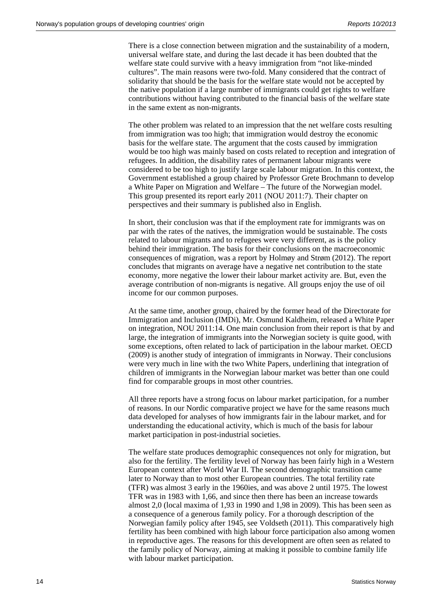There is a close connection between migration and the sustainability of a modern, universal welfare state, and during the last decade it has been doubted that the welfare state could survive with a heavy immigration from "not like-minded cultures". The main reasons were two-fold. Many considered that the contract of solidarity that should be the basis for the welfare state would not be accepted by the native population if a large number of immigrants could get rights to welfare contributions without having contributed to the financial basis of the welfare state in the same extent as non-migrants.

The other problem was related to an impression that the net welfare costs resulting from immigration was too high; that immigration would destroy the economic basis for the welfare state. The argument that the costs caused by immigration would be too high was mainly based on costs related to reception and integration of refugees. In addition, the disability rates of permanent labour migrants were considered to be too high to justify large scale labour migration. In this context, the Government established a group chaired by Professor Grete Brochmann to develop a White Paper on Migration and Welfare – The future of the Norwegian model. This group presented its report early 2011 (NOU 2011:7). Their chapter on perspectives and their summary is published also in English.

In short, their conclusion was that if the employment rate for immigrants was on par with the rates of the natives, the immigration would be sustainable. The costs related to labour migrants and to refugees were very different, as is the policy behind their immigration. The basis for their conclusions on the macroeconomic consequences of migration, was a report by Holmøy and Strøm (2012). The report concludes that migrants on average have a negative net contribution to the state economy, more negative the lower their labour market activity are. But, even the average contribution of non-migrants is negative. All groups enjoy the use of oil income for our common purposes.

At the same time, another group, chaired by the former head of the Directorate for Immigration and Inclusion (IMDi), Mr. Osmund Kaldheim, released a White Paper on integration, NOU 2011:14. One main conclusion from their report is that by and large, the integration of immigrants into the Norwegian society is quite good, with some exceptions, often related to lack of participation in the labour market. OECD (2009) is another study of integration of immigrants in Norway. Their conclusions were very much in line with the two White Papers, underlining that integration of children of immigrants in the Norwegian labour market was better than one could find for comparable groups in most other countries.

All three reports have a strong focus on labour market participation, for a number of reasons. In our Nordic comparative project we have for the same reasons much data developed for analyses of how immigrants fair in the labour market, and for understanding the educational activity, which is much of the basis for labour market participation in post-industrial societies.

The welfare state produces demographic consequences not only for migration, but also for the fertility. The fertility level of Norway has been fairly high in a Western European context after World War II. The second demographic transition came later to Norway than to most other European countries. The total fertility rate (TFR) was almost 3 early in the 1960ies, and was above 2 until 1975. The lowest TFR was in 1983 with 1,66, and since then there has been an increase towards almost 2,0 (local maxima of 1,93 in 1990 and 1,98 in 2009). This has been seen as a consequence of a generous family policy. For a thorough description of the Norwegian family policy after 1945, see Voldseth (2011). This comparatively high fertility has been combined with high labour force participation also among women in reproductive ages. The reasons for this development are often seen as related to the family policy of Norway, aiming at making it possible to combine family life with labour market participation.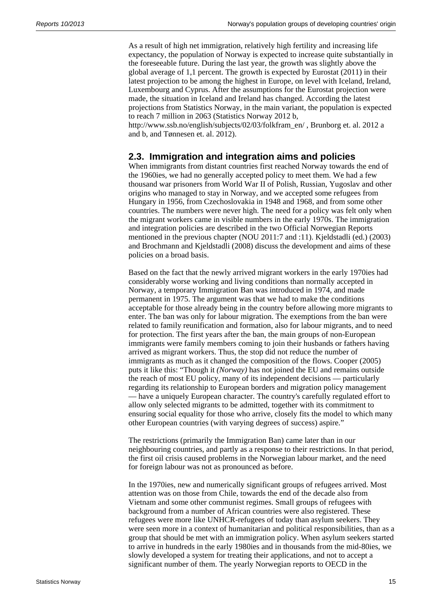As a result of high net immigration, relatively high fertility and increasing life expectancy, the population of Norway is expected to increase quite substantially in the foreseeable future. During the last year, the growth was slightly above the global average of 1,1 percent. The growth is expected by Eurostat (2011) in their latest projection to be among the highest in Europe, on level with Iceland, Ireland, Luxembourg and Cyprus. After the assumptions for the Eurostat projection were made, the situation in Iceland and Ireland has changed. According the latest projections from Statistics Norway, in the main variant, the population is expected to reach 7 million in 2063 (Statistics Norway 2012 b,

http://www.ssb.no/english/subjects/02/03/folkfram\_en/ , Brunborg et. al. 2012 a and b, and Tønnesen et. al. 2012).

### **2.3. Immigration and integration aims and policies**

When immigrants from distant countries first reached Norway towards the end of the 1960ies, we had no generally accepted policy to meet them. We had a few thousand war prisoners from World War II of Polish, Russian, Yugoslav and other origins who managed to stay in Norway, and we accepted some refugees from Hungary in 1956, from Czechoslovakia in 1948 and 1968, and from some other countries. The numbers were never high. The need for a policy was felt only when the migrant workers came in visible numbers in the early 1970s. The immigration and integration policies are described in the two Official Norwegian Reports mentioned in the previous chapter (NOU 2011:7 and :11). Kjeldstadli (ed.) (2003) and Brochmann and Kjeldstadli (2008) discuss the development and aims of these policies on a broad basis.

Based on the fact that the newly arrived migrant workers in the early 1970ies had considerably worse working and living conditions than normally accepted in Norway, a temporary Immigration Ban was introduced in 1974, and made permanent in 1975. The argument was that we had to make the conditions acceptable for those already being in the country before allowing more migrants to enter. The ban was only for labour migration. The exemptions from the ban were related to family reunification and formation, also for labour migrants, and to need for protection. The first years after the ban, the main groups of non-European immigrants were family members coming to join their husbands or fathers having arrived as migrant workers. Thus, the stop did not reduce the number of immigrants as much as it changed the composition of the flows. Cooper (2005) puts it like this: "Though it *(Norway)* has not joined the EU and remains outside the reach of most EU policy, many of its independent decisions — particularly regarding its relationship to European borders and migration policy management — have a uniquely European character. The country's carefully regulated effort to allow only selected migrants to be admitted, together with its commitment to ensuring social equality for those who arrive, closely fits the model to which many other European countries (with varying degrees of success) aspire."

The restrictions (primarily the Immigration Ban) came later than in our neighbouring countries, and partly as a response to their restrictions. In that period, the first oil crisis caused problems in the Norwegian labour market, and the need for foreign labour was not as pronounced as before.

In the 1970ies, new and numerically significant groups of refugees arrived. Most attention was on those from Chile, towards the end of the decade also from Vietnam and some other communist regimes. Small groups of refugees with background from a number of African countries were also registered. These refugees were more like UNHCR-refugees of today than asylum seekers. They were seen more in a context of humanitarian and political responsibilities, than as a group that should be met with an immigration policy. When asylum seekers started to arrive in hundreds in the early 1980ies and in thousands from the mid-80ies, we slowly developed a system for treating their applications, and not to accept a significant number of them. The yearly Norwegian reports to OECD in the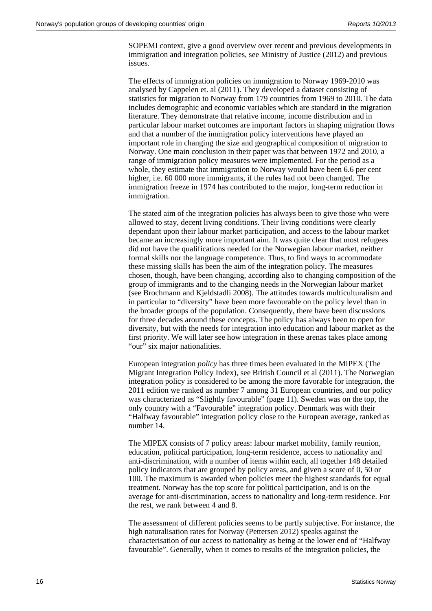SOPEMI context, give a good overview over recent and previous developments in immigration and integration policies, see Ministry of Justice (2012) and previous issues.

The effects of immigration policies on immigration to Norway 1969-2010 was analysed by Cappelen et. al (2011). They developed a dataset consisting of statistics for migration to Norway from 179 countries from 1969 to 2010. The data includes demographic and economic variables which are standard in the migration literature. They demonstrate that relative income, income distribution and in particular labour market outcomes are important factors in shaping migration flows and that a number of the immigration policy interventions have played an important role in changing the size and geographical composition of migration to Norway. One main conclusion in their paper was that between 1972 and 2010, a range of immigration policy measures were implemented. For the period as a whole, they estimate that immigration to Norway would have been 6.6 per cent higher, i.e. 60 000 more immigrants, if the rules had not been changed. The immigration freeze in 1974 has contributed to the major, long-term reduction in immigration.

The stated aim of the integration policies has always been to give those who were allowed to stay, decent living conditions. Their living conditions were clearly dependant upon their labour market participation, and access to the labour market became an increasingly more important aim. It was quite clear that most refugees did not have the qualifications needed for the Norwegian labour market, neither formal skills nor the language competence. Thus, to find ways to accommodate these missing skills has been the aim of the integration policy. The measures chosen, though, have been changing, according also to changing composition of the group of immigrants and to the changing needs in the Norwegian labour market (see Brochmann and Kjeldstadli 2008). The attitudes towards multiculturalism and in particular to "diversity" have been more favourable on the policy level than in the broader groups of the population. Consequently, there have been discussions for three decades around these concepts. The policy has always been to open for diversity, but with the needs for integration into education and labour market as the first priority. We will later see how integration in these arenas takes place among "our" six major nationalities.

European integration *policy* has three times been evaluated in the MIPEX (The Migrant Integration Policy Index), see British Council et al (2011). The Norwegian integration policy is considered to be among the more favorable for integration, the 2011 edition we ranked as number 7 among 31 European countries, and our policy was characterized as "Slightly favourable" (page 11). Sweden was on the top, the only country with a "Favourable" integration policy. Denmark was with their "Halfway favourable" integration policy close to the European average, ranked as number 14.

The MIPEX consists of 7 policy areas: labour market mobility, family reunion, education, political participation, long-term residence, access to nationality and anti-discrimination, with a number of items within each, all together 148 detailed policy indicators that are grouped by policy areas, and given a score of 0, 50 or 100. The maximum is awarded when policies meet the highest standards for equal treatment. Norway has the top score for political participation, and is on the average for anti-discrimination, access to nationality and long-term residence. For the rest, we rank between 4 and 8.

The assessment of different policies seems to be partly subjective. For instance, the high naturalisation rates for Norway (Pettersen 2012) speaks against the characterisation of our access to nationality as being at the lower end of "Halfway favourable". Generally, when it comes to results of the integration policies, the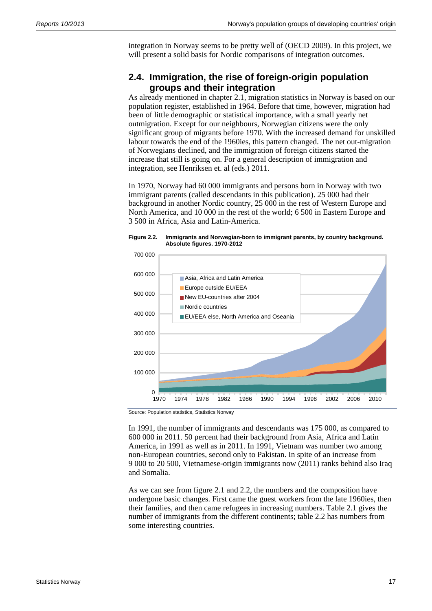integration in Norway seems to be pretty well of (OECD 2009). In this project, we will present a solid basis for Nordic comparisons of integration outcomes.

### **2.4. Immigration, the rise of foreign-origin population groups and their integration**

As already mentioned in chapter 2.1, migration statistics in Norway is based on our population register, established in 1964. Before that time, however, migration had been of little demographic or statistical importance, with a small yearly net outmigration. Except for our neighbours, Norwegian citizens were the only significant group of migrants before 1970. With the increased demand for unskilled labour towards the end of the 1960ies, this pattern changed. The net out-migration of Norwegians declined, and the immigration of foreign citizens started the increase that still is going on. For a general description of immigration and integration, see Henriksen et. al (eds.) 2011.

In 1970, Norway had 60 000 immigrants and persons born in Norway with two immigrant parents (called descendants in this publication). 25 000 had their background in another Nordic country, 25 000 in the rest of Western Europe and North America, and 10 000 in the rest of the world; 6 500 in Eastern Europe and 3 500 in Africa, Asia and Latin-America.

#### **Figure 2.2. Immigrants and Norwegian-born to immigrant parents, by country background. Absolute figures. 1970-2012**



Source: Population statistics, Statistics Norway

In 1991, the number of immigrants and descendants was 175 000, as compared to 600 000 in 2011. 50 percent had their background from Asia, Africa and Latin America, in 1991 as well as in 2011. In 1991, Vietnam was number two among non-European countries, second only to Pakistan. In spite of an increase from 9 000 to 20 500, Vietnamese-origin immigrants now (2011) ranks behind also Iraq and Somalia.

As we can see from figure 2.1 and 2.2, the numbers and the composition have undergone basic changes. First came the guest workers from the late 1960ies, then their families, and then came refugees in increasing numbers. Table 2.1 gives the number of immigrants from the different continents; table 2.2 has numbers from some interesting countries.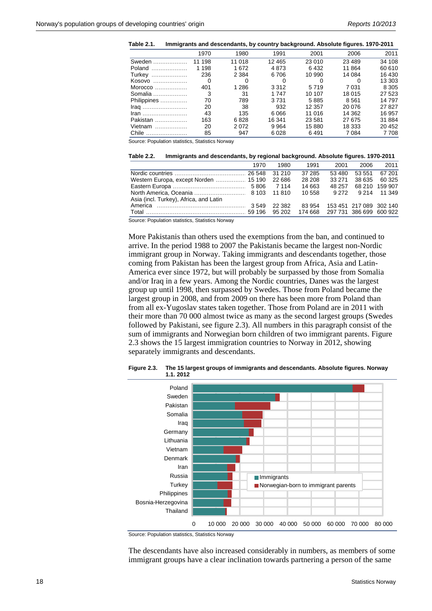| Table 2.1. | Immigrants and descendants, by country background. Absolute figures. 1970-2011 |  |  |
|------------|--------------------------------------------------------------------------------|--|--|
|------------|--------------------------------------------------------------------------------|--|--|

|                 | 1970     | 1980    | 1991     | 2001    | 2006     | 2011    |
|-----------------|----------|---------|----------|---------|----------|---------|
| Sweden          | 11 198   | 11 018  | 12 4 6 5 | 23 010  | 23 4 8 9 | 34 108  |
| Poland          | 1 1 9 8  | 1672    | 4873     | 6432    | 11 864   | 60 610  |
| Turkey          | 236      | 2 3 8 4 | 6 706    | 10 990  | 14 084   | 16 430  |
| Kosovo          | $\Omega$ | 0       | O        |         |          | 13 303  |
| Morocco         | 401      | 1 2 8 6 | 3 3 1 2  | 5719    | 7 0 31   | 8 3 0 5 |
| Somalia         | 3        | 31      | 1 7 4 7  | 10 107  | 18 015   | 27 523  |
| Philippines     | 70       | 789     | 3 7 3 1  | 5885    | 8561     | 14 797  |
| $Iraq$          | 20       | 38      | 932      | 12 357  | 20 076   | 27827   |
| $\mathsf{Iran}$ | 43       | 135     | 6066     | 11 016  | 14 3 62  | 16 957  |
| Pakistan        | 163      | 6828    | 16 341   | 23 5 81 | 27 675   | 31 884  |
| Vietnam         | 20       | 2072    | 9964     | 15 880  | 18 333   | 20 452  |
| Chile           | 85       | 947     | 6028     | 6491    | 7 0 8 4  | 7 7 0 8 |

Source: Population statistics, Statistics Norway

| Table 2.2. | Immigrants and descendants, by regional background. Absolute figures. 1970-2011 |  |  |  |  |
|------------|---------------------------------------------------------------------------------|--|--|--|--|
|            |                                                                                 |  |  |  |  |

| 1980    | 1991   | 2001   | 2006         | 2011                                                                |
|---------|--------|--------|--------------|---------------------------------------------------------------------|
| 31 210  | 37 285 | 53 480 | 53 551       | 67 201                                                              |
|         | 28 208 | 33 271 |              | 38 635 60 325                                                       |
| 7 1 1 4 | 14 663 | 48 257 |              | 68 210 159 907                                                      |
|         | 10 558 |        | 9 214 11 349 |                                                                     |
|         |        |        |              |                                                                     |
| 22 382  | 83 954 |        |              |                                                                     |
| 95 202  |        |        |              |                                                                     |
|         |        |        |              | 9.272<br>153 451 217 089 302 140<br>174 668 297 731 386 699 600 922 |

Source: Population statistics, Statistics Norway

More Pakistanis than others used the exemptions from the ban, and continued to arrive. In the period 1988 to 2007 the Pakistanis became the largest non-Nordic immigrant group in Norway. Taking immigrants and descendants together, those coming from Pakistan has been the largest group from Africa, Asia and Latin-America ever since 1972, but will probably be surpassed by those from Somalia and/or Iraq in a few years. Among the Nordic countries, Danes was the largest group up until 1998, then surpassed by Swedes. Those from Poland became the largest group in 2008, and from 2009 on there has been more from Poland than from all ex-Yugoslav states taken together. Those from Poland are in 2011 with their more than 70 000 almost twice as many as the second largest groups (Swedes followed by Pakistani, see figure 2.3). All numbers in this paragraph consist of the sum of immigrants and Norwegian born children of two immigrant parents. Figure 2.3 shows the 15 largest immigration countries to Norway in 2012, showing separately immigrants and descendants.



**Figure 2.3. The 15 largest groups of immigrants and descendants. Absolute figures. Norway 1.1. 2012** 

Source: Population statistics, Statistics Norway

The descendants have also increased considerably in numbers, as members of some immigrant groups have a clear inclination towards partnering a person of the same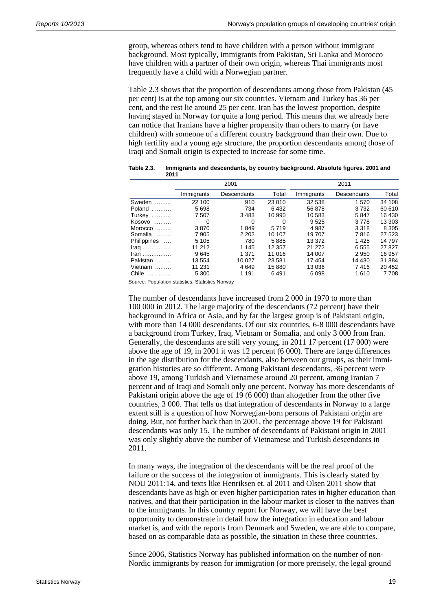group, whereas others tend to have children with a person without immigrant background. Most typically, immigrants from Pakistan, Sri Lanka and Morocco have children with a partner of their own origin, whereas Thai immigrants most frequently have a child with a Norwegian partner.

Table 2.3 shows that the proportion of descendants among those from Pakistan (45 per cent) is at the top among our six countries. Vietnam and Turkey has 36 per cent, and the rest lie around 25 per cent. Iran has the lowest proportion, despite having stayed in Norway for quite a long period. This means that we already here can notice that Iranians have a higher propensity than others to marry (or have children) with someone of a different country background than their own. Due to high fertility and a young age structure, the proportion descendants among those of Iraqi and Somali origin is expected to increase for some time.

|                                          | 2001       |             |          | 2011       |             |         |
|------------------------------------------|------------|-------------|----------|------------|-------------|---------|
|                                          | Immigrants | Descendants | Total    | Immigrants | Descendants | Total   |
| Sweden                                   | 22 100     | 910         | 23 010   | 32 538     | 1570        | 34 108  |
| Poland                                   | 5698       | 734         | 6432     | 56 878     | 3732        | 60 610  |
| Turkey                                   | 7507       | 3 4 8 3     | 10 990   | 10 583     | 5847        | 16 430  |
| Kosovo                                   | 0          | 0           | $\Omega$ | 9525       | 3778        | 13 303  |
| Morocco                                  | 3870       | 1849        | 5719     | 4987       | 3318        | 8 3 0 5 |
| Somalia                                  | 7 9 0 5    | 2 2 0 2     | 10 107   | 19 707     | 7816        | 27 5 23 |
| Philippines                              | 5 105      | 780         | 5885     | 13 372     | 1425        | 14 797  |
| $\mathsf{Iraq}$                          | 11 212     | 1 1 4 5     | 12 357   | 21 272     | 6555        | 27827   |
| $\mathsf{lran}\dots\dots\dots\dots\dots$ | 9645       | 1 371       | 11 016   | 14 007     | 2950        | 16 957  |
| Pakistan                                 | 13 554     | 10 027      | 23 5 8 1 | 17454      | 14 4 30     | 31 884  |
| Vietnam                                  | 11 231     | 4649        | 15880    | 13 0 36    | 7416        | 20 452  |
| Chile                                    | 5 300      | 1 1 9 1     | 6491     | 6098       | 1610        | 7708    |

**Table 2.3. Immigrants and descendants, by country background. Absolute figures. 2001 and 2011** 

Source: Population statistics, Statistics Norway

The number of descendants have increased from 2 000 in 1970 to more than 100 000 in 2012. The large majority of the descendants (72 percent) have their background in Africa or Asia, and by far the largest group is of Pakistani origin, with more than 14 000 descendants. Of our six countries, 6-8 000 descendants have a background from Turkey, Iraq, Vietnam or Somalia, and only 3 000 from Iran. Generally, the descendants are still very young, in 2011 17 percent (17 000) were above the age of 19, in 2001 it was 12 percent (6 000). There are large differences in the age distribution for the descendants, also between our groups, as their immigration histories are so different. Among Pakistani descendants, 36 percent were above 19, among Turkish and Vietnamese around 20 percent, among Iranian 7 percent and of Iraqi and Somali only one percent. Norway has more descendants of Pakistani origin above the age of 19 (6 000) than altogether from the other five countries, 3 000. That tells us that integration of descendants in Norway to a large extent still is a question of how Norwegian-born persons of Pakistani origin are doing. But, not further back than in 2001, the percentage above 19 for Pakistani descendants was only 15. The number of descendants of Pakistani origin in 2001 was only slightly above the number of Vietnamese and Turkish descendants in 2011.

In many ways, the integration of the descendants will be the real proof of the failure or the success of the integration of immigrants. This is clearly stated by NOU 2011:14, and texts like Henriksen et. al 2011 and Olsen 2011 show that descendants have as high or even higher participation rates in higher education than natives, and that their participation in the labour market is closer to the natives than to the immigrants. In this country report for Norway, we will have the best opportunity to demonstrate in detail how the integration in education and labour market is, and with the reports from Denmark and Sweden, we are able to compare, based on as comparable data as possible, the situation in these three countries.

Since 2006, Statistics Norway has published information on the number of non-Nordic immigrants by reason for immigration (or more precisely, the legal ground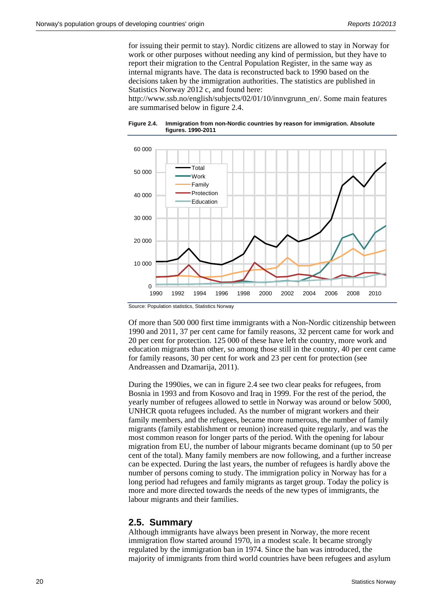for issuing their permit to stay). Nordic citizens are allowed to stay in Norway for work or other purposes without needing any kind of permission, but they have to report their migration to the Central Population Register, in the same way as internal migrants have. The data is reconstructed back to 1990 based on the decisions taken by the immigration authorities. The statistics are published in Statistics Norway 2012 c, and found here:

http://www.ssb.no/english/subjects/02/01/10/innvgrunn\_en/. Some main features are summarised below in figure 2.4.





Source: Population statistics, Statistics Norway

Of more than 500 000 first time immigrants with a Non-Nordic citizenship between 1990 and 2011, 37 per cent came for family reasons, 32 percent came for work and 20 per cent for protection. 125 000 of these have left the country, more work and education migrants than other, so among those still in the country, 40 per cent came for family reasons, 30 per cent for work and 23 per cent for protection (see Andreassen and Dzamarija, 2011).

During the 1990ies, we can in figure 2.4 see two clear peaks for refugees, from Bosnia in 1993 and from Kosovo and Iraq in 1999. For the rest of the period, the yearly number of refugees allowed to settle in Norway was around or below 5000, UNHCR quota refugees included. As the number of migrant workers and their family members, and the refugees, became more numerous, the number of family migrants (family establishment or reunion) increased quite regularly, and was the most common reason for longer parts of the period. With the opening for labour migration from EU, the number of labour migrants became dominant (up to 50 per cent of the total). Many family members are now following, and a further increase can be expected. During the last years, the number of refugees is hardly above the number of persons coming to study. The immigration policy in Norway has for a long period had refugees and family migrants as target group. Today the policy is more and more directed towards the needs of the new types of immigrants, the labour migrants and their families.

#### **2.5. Summary**

Although immigrants have always been present in Norway, the more recent immigration flow started around 1970, in a modest scale. It became strongly regulated by the immigration ban in 1974. Since the ban was introduced, the majority of immigrants from third world countries have been refugees and asylum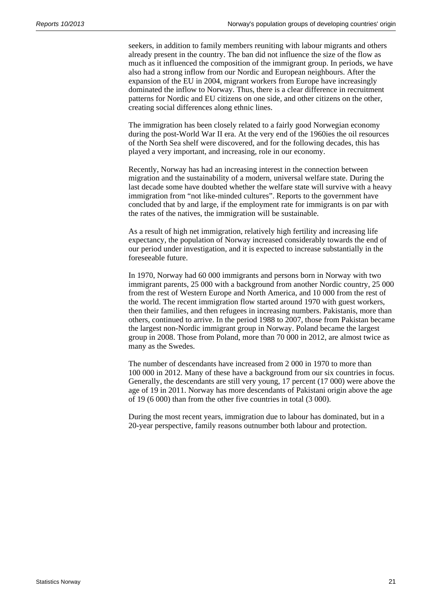seekers, in addition to family members reuniting with labour migrants and others already present in the country. The ban did not influence the size of the flow as much as it influenced the composition of the immigrant group. In periods, we have also had a strong inflow from our Nordic and European neighbours. After the expansion of the EU in 2004, migrant workers from Europe have increasingly dominated the inflow to Norway. Thus, there is a clear difference in recruitment patterns for Nordic and EU citizens on one side, and other citizens on the other, creating social differences along ethnic lines.

The immigration has been closely related to a fairly good Norwegian economy during the post-World War II era. At the very end of the 1960ies the oil resources of the North Sea shelf were discovered, and for the following decades, this has played a very important, and increasing, role in our economy.

Recently, Norway has had an increasing interest in the connection between migration and the sustainability of a modern, universal welfare state. During the last decade some have doubted whether the welfare state will survive with a heavy immigration from "not like-minded cultures". Reports to the government have concluded that by and large, if the employment rate for immigrants is on par with the rates of the natives, the immigration will be sustainable.

As a result of high net immigration, relatively high fertility and increasing life expectancy, the population of Norway increased considerably towards the end of our period under investigation, and it is expected to increase substantially in the foreseeable future.

In 1970, Norway had 60 000 immigrants and persons born in Norway with two immigrant parents, 25 000 with a background from another Nordic country, 25 000 from the rest of Western Europe and North America, and 10 000 from the rest of the world. The recent immigration flow started around 1970 with guest workers, then their families, and then refugees in increasing numbers. Pakistanis, more than others, continued to arrive. In the period 1988 to 2007, those from Pakistan became the largest non-Nordic immigrant group in Norway. Poland became the largest group in 2008. Those from Poland, more than 70 000 in 2012, are almost twice as many as the Swedes.

The number of descendants have increased from 2 000 in 1970 to more than 100 000 in 2012. Many of these have a background from our six countries in focus. Generally, the descendants are still very young, 17 percent (17 000) were above the age of 19 in 2011. Norway has more descendants of Pakistani origin above the age of 19 (6 000) than from the other five countries in total (3 000).

During the most recent years, immigration due to labour has dominated, but in a 20-year perspective, family reasons outnumber both labour and protection.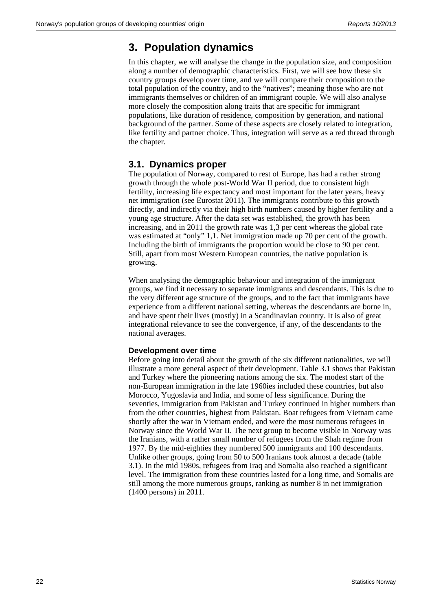## **3. Population dynamics**

In this chapter, we will analyse the change in the population size, and composition along a number of demographic characteristics. First, we will see how these six country groups develop over time, and we will compare their composition to the total population of the country, and to the "natives"; meaning those who are not immigrants themselves or children of an immigrant couple. We will also analyse more closely the composition along traits that are specific for immigrant populations, like duration of residence, composition by generation, and national background of the partner. Some of these aspects are closely related to integration, like fertility and partner choice. Thus, integration will serve as a red thread through the chapter.

### **3.1. Dynamics proper**

The population of Norway, compared to rest of Europe, has had a rather strong growth through the whole post-World War II period, due to consistent high fertility, increasing life expectancy and most important for the later years, heavy net immigration (see Eurostat 2011). The immigrants contribute to this growth directly, and indirectly via their high birth numbers caused by higher fertility and a young age structure. After the data set was established, the growth has been increasing, and in 2011 the growth rate was 1,3 per cent whereas the global rate was estimated at "only" 1,1. Net immigration made up 70 per cent of the growth. Including the birth of immigrants the proportion would be close to 90 per cent. Still, apart from most Western European countries, the native population is growing.

When analysing the demographic behaviour and integration of the immigrant groups, we find it necessary to separate immigrants and descendants. This is due to the very different age structure of the groups, and to the fact that immigrants have experience from a different national setting, whereas the descendants are borne in, and have spent their lives (mostly) in a Scandinavian country. It is also of great integrational relevance to see the convergence, if any, of the descendants to the national averages.

#### **Development over time**

Before going into detail about the growth of the six different nationalities, we will illustrate a more general aspect of their development. Table 3.1 shows that Pakistan and Turkey where the pioneering nations among the six. The modest start of the non-European immigration in the late 1960ies included these countries, but also Morocco, Yugoslavia and India, and some of less significance. During the seventies, immigration from Pakistan and Turkey continued in higher numbers than from the other countries, highest from Pakistan. Boat refugees from Vietnam came shortly after the war in Vietnam ended, and were the most numerous refugees in Norway since the World War II. The next group to become visible in Norway was the Iranians, with a rather small number of refugees from the Shah regime from 1977. By the mid-eighties they numbered 500 immigrants and 100 descendants. Unlike other groups, going from 50 to 500 Iranians took almost a decade (table 3.1). In the mid 1980s, refugees from Iraq and Somalia also reached a significant level. The immigration from these countries lasted for a long time, and Somalis are still among the more numerous groups, ranking as number 8 in net immigration (1400 persons) in 2011.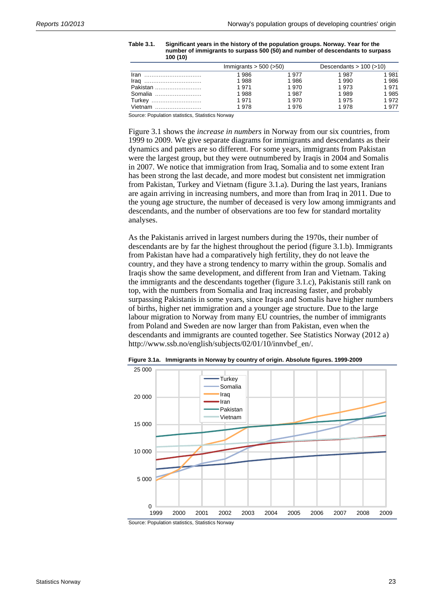|               | Immigrants $>$ 500 ( $>$ 50) |       | Descendants $> 100$ ( $>10$ ) |      |
|---------------|------------------------------|-------|-------------------------------|------|
|               | 1986                         | 1 977 | 1 987                         | 1981 |
|               | 1988                         | 1986  | 1 990                         | 1986 |
| Pakistan      | 1971                         | 1970  | 1973                          | 1971 |
| Somalia       | 1988                         | 1 987 | 1989                          | 1985 |
| <b>Turkey</b> | 1971                         | 1970  | 1975                          | 1972 |
| Vietnam       | 1978                         | 1976  | 1978                          | 1977 |

**Table 3.1. Significant years in the history of the population groups. Norway. Year for the number of immigrants to surpass 500 (50) and number of descendants to surpass 100 (10)** 

Source: Population statistics, Statistics Norway

Figure 3.1 shows the *increase in numbers* in Norway from our six countries, from 1999 to 2009. We give separate diagrams for immigrants and descendants as their dynamics and patters are so different. For some years, immigrants from Pakistan were the largest group, but they were outnumbered by Iraqis in 2004 and Somalis in 2007. We notice that immigration from Iraq, Somalia and to some extent Iran has been strong the last decade, and more modest but consistent net immigration from Pakistan, Turkey and Vietnam (figure 3.1.a). During the last years, Iranians are again arriving in increasing numbers, and more than from Iraq in 2011. Due to the young age structure, the number of deceased is very low among immigrants and descendants, and the number of observations are too few for standard mortality analyses.

As the Pakistanis arrived in largest numbers during the 1970s, their number of descendants are by far the highest throughout the period (figure 3.1.b). Immigrants from Pakistan have had a comparatively high fertility, they do not leave the country, and they have a strong tendency to marry within the group. Somalis and Iraqis show the same development, and different from Iran and Vietnam. Taking the immigrants and the descendants together (figure 3.1.c), Pakistanis still rank on top, with the numbers from Somalia and Iraq increasing faster, and probably surpassing Pakistanis in some years, since Iraqis and Somalis have higher numbers of births, higher net immigration and a younger age structure. Due to the large labour migration to Norway from many EU countries, the number of immigrants from Poland and Sweden are now larger than from Pakistan, even when the descendants and immigrants are counted together. See Statistics Norway (2012 a) http://www.ssb.no/english/subjects/02/01/10/innvbef\_en/.



**Figure 3.1a. Immigrants in Norway by country of origin. Absolute figures. 1999-2009** 

Source: Population statistics, Statistics Norway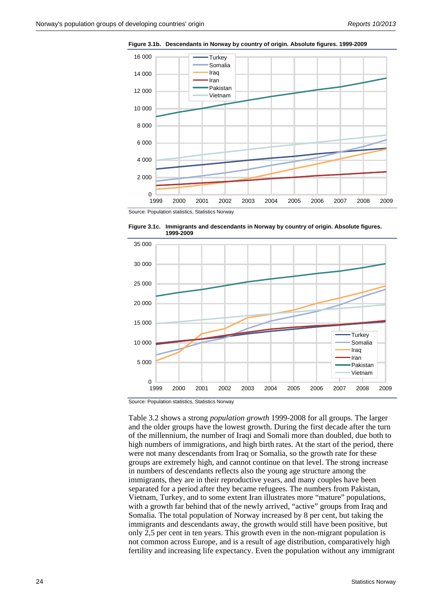

**Figure 3.1b. Descendants in Norway by country of origin. Absolute figures. 1999-2009** 

Source: Population statistics, Statistics Norway





Source: Population statistics, Statistics Norway

Table 3.2 shows a strong *population growth* 1999-2008 for all groups. The larger and the older groups have the lowest growth. During the first decade after the turn of the millennium, the number of Iraqi and Somali more than doubled, due both to high numbers of immigrations, and high birth rates. At the start of the period, there were not many descendants from Iraq or Somalia, so the growth rate for these groups are extremely high, and cannot continue on that level. The strong increase in numbers of descendants reflects also the young age structure among the immigrants, they are in their reproductive years, and many couples have been separated for a period after they became refugees. The numbers from Pakistan, Vietnam, Turkey, and to some extent Iran illustrates more "mature" populations, with a growth far behind that of the newly arrived, "active" groups from Iraq and Somalia. The total population of Norway increased by 8 per cent, but taking the immigrants and descendants away, the growth would still have been positive, but only 2,5 per cent in ten years. This growth even in the non-migrant population is not common across Europe, and is a result of age distribution, comparatively high fertility and increasing life expectancy. Even the population without any immigrant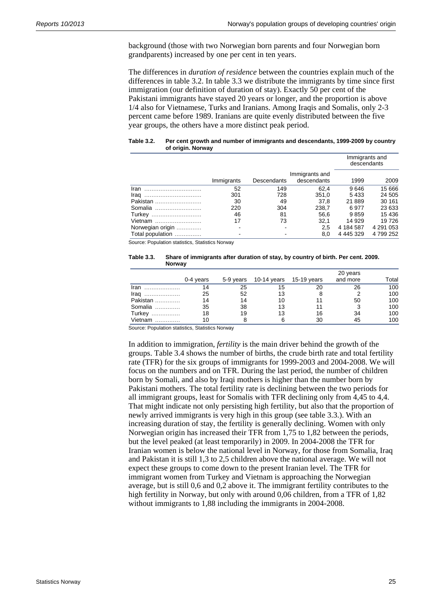background (those with two Norwegian born parents and four Norwegian born grandparents) increased by one per cent in ten years.

The differences in *duration of residence* between the countries explain much of the differences in table 3.2. In table 3.3 we distribute the immigrants by time since first immigration (our definition of duration of stay). Exactly 50 per cent of the Pakistani immigrants have stayed 20 years or longer, and the proportion is above 1/4 also for Vietnamese, Turks and Iranians. Among Iraqis and Somalis, only 2-3 percent came before 1989. Iranians are quite evenly distributed between the five year groups, the others have a more distinct peak period.

#### **Table 3.2. Per cent growth and number of immigrants and descendants, 1999-2009 by country of origin. Norway**

|                  |            |             |                               | descendants   | Immigrants and |
|------------------|------------|-------------|-------------------------------|---------------|----------------|
|                  | Immigrants | Descendants | Immigrants and<br>descendants | 1999          | 2009           |
| Iran             | 52         | 149         | 62.4                          | 9646          | 15 6 66        |
| Irag             | 301        | 728         | 351.0                         | 5433          | 24 505         |
| Pakistan         | 30         | 49          | 37.8                          | 21889         | 30 161         |
| Somalia          | 220        | 304         | 238,7                         | 6977          | 23 633         |
| Turkey           | 46         | 81          | 56.6                          | 9859          | 15 4 36        |
| Vietnam          | 17         | 73          | 32.1                          | 14 929        | 19726          |
| Norwegian origin |            |             | 2.5                           | 4 184 587     | 4 291 053      |
| Total population |            |             | 8,0                           | 4 4 4 5 3 2 9 | 4799252        |

Source: Population statistics, Statistics Norway

#### **Table 3.3. Share of immigrants after duration of stay, by country of birth. Per cent. 2009. Norway**

|                 | 0-4 vears |    | 5-9 years 10-14 years 15-19 years |    | 20 years<br>and more | Total |
|-----------------|-----------|----|-----------------------------------|----|----------------------|-------|
| $\mathsf{Iran}$ |           | 25 | 15                                |    | 26                   | 100   |
|                 | 25        | 52 |                                   |    |                      | 100   |
| Pakistan        |           |    | 1 ( )                             |    | 50                   | 100   |
| Somalia         | 35        | 38 | 13                                |    |                      | 100   |
| Turkey          | 18        | 19 | 13                                | 16 | 34                   | 100   |
| Vietnam         |           |    |                                   | 30 |                      | 100   |

Source: Population statistics, Statistics Norway

In addition to immigration, *fertility* is the main driver behind the growth of the groups. Table 3.4 shows the number of births, the crude birth rate and total fertility rate (TFR) for the six groups of immigrants for 1999-2003 and 2004-2008. We will focus on the numbers and on TFR. During the last period, the number of children born by Somali, and also by Iraqi mothers is higher than the number born by Pakistani mothers. The total fertility rate is declining between the two periods for all immigrant groups, least for Somalis with TFR declining only from 4,45 to 4,4. That might indicate not only persisting high fertility, but also that the proportion of newly arrived immigrants is very high in this group (see table 3.3.). With an increasing duration of stay, the fertility is generally declining. Women with only Norwegian origin has increased their TFR from 1,75 to 1,82 between the periods, but the level peaked (at least temporarily) in 2009. In 2004-2008 the TFR for Iranian women is below the national level in Norway, for those from Somalia, Iraq and Pakistan it is still 1,3 to 2,5 children above the national average. We will not expect these groups to come down to the present Iranian level. The TFR for immigrant women from Turkey and Vietnam is approaching the Norwegian average, but is still 0,6 and 0,2 above it. The immigrant fertility contributes to the high fertility in Norway, but only with around 0,06 children, from a TFR of 1,82 without immigrants to 1,88 including the immigrants in 2004-2008.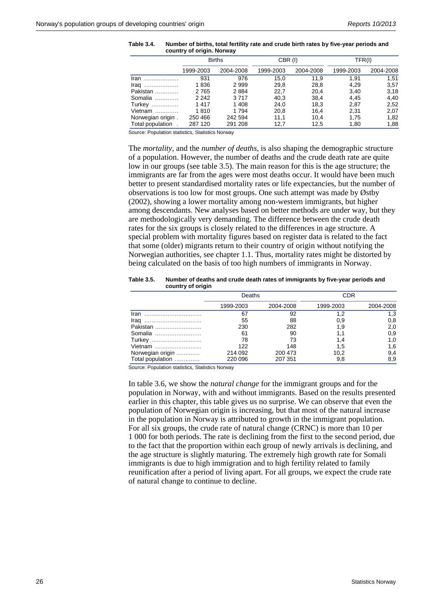|                   | <b>Births</b> |           |           | CBR (I)   |           | TFR(I)    |  |
|-------------------|---------------|-----------|-----------|-----------|-----------|-----------|--|
|                   | 1999-2003     | 2004-2008 | 1999-2003 | 2004-2008 | 1999-2003 | 2004-2008 |  |
| Iran<br>.         | 931           | 976       | 15,0      | 11.9      | 1.91      | 1.51      |  |
| Iraq<br>.         | 1836          | 2999      | 29,8      | 28,8      | 4.29      | 3,57      |  |
| Pakistan          | 2765          | 2884      | 22.7      | 20,4      | 3.40      | 3,18      |  |
| Somalia           | 2 2 4 2       | 3717      | 40.3      | 38,4      | 4.45      | 4.40      |  |
| <b>Turkey</b>     | 1417          | 1408      | 24,0      | 18,3      | 2,87      | 2,52      |  |
| Vietnam           | 1810          | 1 7 9 4   | 20,8      | 16,4      | 2,31      | 2,07      |  |
| Norwegian origin. | 250 466       | 242 594   | 11,1      | 10.4      | 1.75      | 1,82      |  |
| Total population  | 287 120       | 291 208   | 12,7      | 12,5      | 1.80      | 1.88      |  |

**Table 3.4. Number of births, total fertility rate and crude birth rates by five-year periods and country of origin. Norway** 

Source: Population statistics, Statistics Norway

The *mortality*, and the *number of deaths*, is also shaping the demographic structure of a population. However, the number of deaths and the crude death rate are quite low in our groups (see table 3.5). The main reason for this is the age structure; the immigrants are far from the ages were most deaths occur. It would have been much better to present standardised mortality rates or life expectancies, but the number of observations is too low for most groups. One such attempt was made by Østby (2002), showing a lower mortality among non-western immigrants, but higher among descendants. New analyses based on better methods are under way, but they are methodologically very demanding. The difference between the crude death rates for the six groups is closely related to the differences in age structure. A special problem with mortality figures based on register data is related to the fact that some (older) migrants return to their country of origin without notifying the Norwegian authorities, see chapter 1.1. Thus, mortality rates might be distorted by being calculated on the basis of too high numbers of immigrants in Norway.

#### **Table 3.5. Number of deaths and crude death rates of immigrants by five-year periods and country of origin**

|                  | Deaths    |           |           | CDR       |
|------------------|-----------|-----------|-----------|-----------|
|                  | 1999-2003 | 2004-2008 | 1999-2003 | 2004-2008 |
| Iran             | 67        | 92        | 1.2       | 1.3       |
| Irag             | 55        | 88        | 0,9       | 0,8       |
| Pakistan         | 230       | 282       | 1,9       | 2,0       |
| Somalia          | 61        | 90        |           | 0,9       |
| Turkey           | 78        | 73        | 1.4       | 1,0       |
| Vietnam          | 122       | 148       | 1.5       | 1.6       |
| Norwegian origin | 214 092   | 200 473   | 10.2      | 9,4       |
| Total population | 220 096   | 207 351   | 9,8       | 8,9       |

Source: Population statistics, Statistics Norway

In table 3.6, we show the *natural change* for the immigrant groups and for the population in Norway, with and without immigrants. Based on the results presented earlier in this chapter, this table gives us no surprise. We can observe that even the population of Norwegian origin is increasing, but that most of the natural increase in the population in Norway is attributed to growth in the immigrant population. For all six groups, the crude rate of natural change (CRNC) is more than 10 per 1 000 for both periods. The rate is declining from the first to the second period, due to the fact that the proportion within each group of newly arrivals is declining, and the age structure is slightly maturing. The extremely high growth rate for Somali immigrants is due to high immigration and to high fertility related to family reunification after a period of living apart. For all groups, we expect the crude rate of natural change to continue to decline.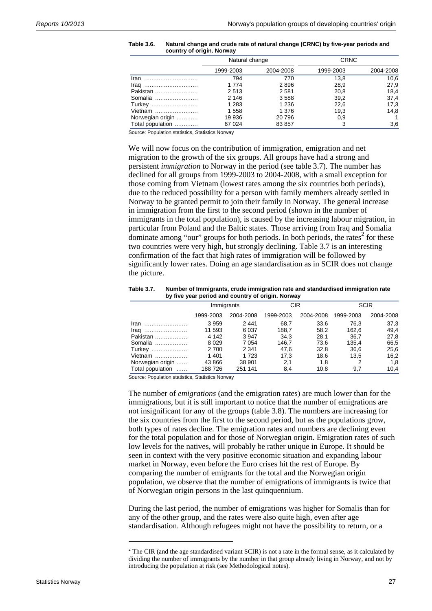| Table 3.6. | Natural change and crude rate of natural change (CRNC) by five-year periods and |
|------------|---------------------------------------------------------------------------------|
|            | country of origin. Norway                                                       |

|                  | Natural change |           | <b>CRNC</b> |           |
|------------------|----------------|-----------|-------------|-----------|
|                  | 1999-2003      | 2004-2008 | 1999-2003   | 2004-2008 |
|                  | 794            | 770       | 13.8        | 10,6      |
|                  | 1 7 7 4        | 2896      | 28,9        | 27,9      |
| Pakistan         | 2513           | 2581      | 20,8        | 18,4      |
| Somalia          | 2 1 4 6        | 3588      | 39,2        | 37,4      |
| Turkey           | 1 2 8 3        | 1 2 3 6   | 22,6        | 17,3      |
| Vietnam          | 1558           | 1 3 7 6   | 19,3        | 14,8      |
| Norwegian origin | 19 936         | 20 796    | 0,9         |           |
| Total population | 67 0 24        | 83 857    |             | 3,6       |

Source: Population statistics, Statistics Norway

We will now focus on the contribution of immigration, emigration and net migration to the growth of the six groups. All groups have had a strong and persistent *immigration* to Norway in the period (see table 3.7). The number has declined for all groups from 1999-2003 to 2004-2008, with a small exception for those coming from Vietnam (lowest rates among the six countries both periods), due to the reduced possibility for a person with family members already settled in Norway to be granted permit to join their family in Norway. The general increase in immigration from the first to the second period (shown in the number of immigrants in the total population), is caused by the increasing labour migration, in particular from Poland and the Baltic states. Those arriving from Iraq and Somalia dominate among "our" groups for both periods. In both periods, the rates<sup>2</sup> for these two countries were very high, but strongly declining. Table 3.7 is an interesting confirmation of the fact that high rates of immigration will be followed by significantly lower rates. Doing an age standardisation as in SCIR does not change the picture.

**Table 3.7. Number of Immigrants, crude immigration rate and standardised immigration rate by five year period and country of origin. Norway** 

|                  | Immigrants |           | <b>CIR</b> |           | <b>SCIR</b> |           |
|------------------|------------|-----------|------------|-----------|-------------|-----------|
|                  | 1999-2003  | 2004-2008 | 1999-2003  | 2004-2008 | 1999-2003   | 2004-2008 |
| Iran             | 3959       | 2441      | 68.7       | 33.6      | 76.3        | 37,3      |
|                  | 11 593     | 6 0 3 7   | 188.7      | 58,2      | 162,6       | 49,4      |
| Pakistan         | 4 142      | 3 9 4 7   | 34,3       | 28,1      | 36,7        | 27,8      |
| Somalia          | 8029       | 7 0 5 4   | 146.7      | 73,6      | 135,4       | 66,5      |
| Turkey           | 2 700      | 2 3 4 1   | 47,6       | 32,8      | 36,6        | 25,6      |
| Vietnam          | 1401       | 1 723     | 17.3       | 18.6      | 13.5        | 16,2      |
| Norwegian origin | 43 866     | 38 901    | 2,1        | 1,8       | 2           | 1,8       |
| Total population | 188726     | 251 141   | 8.4        | 10.8      | 9.7         | 10,4      |

Source: Population statistics, Statistics Norway

The number of *emigrations* (and the emigration rates) are much lower than for the immigrations, but it is still important to notice that the number of emigrations are not insignificant for any of the groups (table 3.8). The numbers are increasing for the six countries from the first to the second period, but as the populations grow, both types of rates decline. The emigration rates and numbers are declining even for the total population and for those of Norwegian origin. Emigration rates of such low levels for the natives, will probably be rather unique in Europe. It should be seen in context with the very positive economic situation and expanding labour market in Norway, even before the Euro crises hit the rest of Europe. By comparing the number of emigrants for the total and the Norwegian origin population, we observe that the number of emigrations of immigrants is twice that of Norwegian origin persons in the last quinquennium.

During the last period, the number of emigrations was higher for Somalis than for any of the other group, and the rates were also quite high, even after age standardisation. Although refugees might not have the possibility to return, or a

 $\overline{\phantom{a}}$ 

 $2^2$  The CIR (and the age standardised variant SCIR) is not a rate in the formal sense, as it calculated by dividing the number of immigrants by the number in that group already living in Norway, and not by introducing the population at risk (see Methodological notes).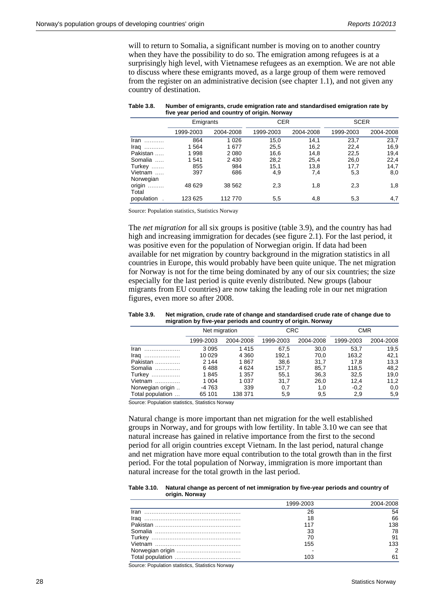will to return to Somalia, a significant number is moving on to another country when they have the possibility to do so. The emigration among refugees is at a surprisingly high level, with Vietnamese refugees as an exemption. We are not able to discuss where these emigrants moved, as a large group of them were removed from the register on an administrative decision (see chapter 1.1), and not given any country of destination.

| $1.110$ your portour and country or ongine normal |           |           |            |           |             |           |  |
|---------------------------------------------------|-----------|-----------|------------|-----------|-------------|-----------|--|
|                                                   | Emigrants |           | <b>CER</b> |           | <b>SCER</b> |           |  |
|                                                   | 1999-2003 | 2004-2008 | 1999-2003  | 2004-2008 | 1999-2003   | 2004-2008 |  |
| $\mathsf{Iran}$                                   | 864       | 1 0 2 6   | 15,0       | 14,1      | 23,7        | 23,7      |  |
| $Iraq$                                            | 1564      | 1677      | 25,5       | 16,2      | 22,4        | 16,9      |  |
| Pakistan                                          | 1998      | 2 0 8 0   | 16,6       | 14,8      | 22,5        | 19,4      |  |
| Somalia                                           | 1541      | 2 4 3 0   | 28,2       | 25,4      | 26,0        | 22,4      |  |
| Turkey                                            | 855       | 984       | 15.1       | 13,8      | 17,7        | 14,7      |  |
| Vietnam                                           | 397       | 686       | 4,9        | 7,4       | 5,3         | 8,0       |  |
| Norwegian                                         |           |           |            |           |             |           |  |
| origin<br>Total                                   | 48 629    | 38 562    | 2,3        | 1,8       | 2,3         | 1,8       |  |
| population                                        | 123 625   | 112770    | 5,5        | 4,8       | 5,3         | 4,7       |  |

| Table 3.8. | Number of emigrants, crude emigration rate and standardised emigration rate by |
|------------|--------------------------------------------------------------------------------|
|            | five year period and country of origin. Norway                                 |

Source: Population statistics, Statistics Norway

The *net migration* for all six groups is positive (table 3.9), and the country has had high and increasing immigration for decades (see figure 2.1). For the last period, it was positive even for the population of Norwegian origin. If data had been available for net migration by country background in the migration statistics in all countries in Europe, this would probably have been quite unique. The net migration for Norway is not for the time being dominated by any of our six countries; the size especially for the last period is quite evenly distributed. New groups (labour migrants from EU countries) are now taking the leading role in our net migration figures, even more so after 2008.

| migration by five-year periods and country of origin. Norway |               |           |            |           |            |           |
|--------------------------------------------------------------|---------------|-----------|------------|-----------|------------|-----------|
|                                                              | Net migration |           | <b>CRC</b> |           | <b>CMR</b> |           |
|                                                              | 1999-2003     | 2004-2008 | 1999-2003  | 2004-2008 | 1999-2003  | 2004-2008 |
| $\mathsf{Iran}$                                              | 3095          | 1415      | 67.5       | 30.0      | 53.7       | 19,5      |
| $\mathsf{Iraq}$                                              | 10 0 29       | 4 3 6 0   | 192.1      | 70.0      | 163,2      | 42.1      |
| Pakistan                                                     | 2 1 4 4       | 1867      | 38,6       | 31.7      | 17.8       | 13,3      |
| Somalia                                                      | 6488          | 4 6 24    | 157.7      | 85,7      | 118.5      | 48,2      |
| Turkey                                                       | 1845          | 1 357     | 55.1       | 36,3      | 32,5       | 19,0      |
| Vietnam                                                      | 1 004         | 1 0 3 7   | 31.7       | 26,0      | 12.4       | 11,2      |
| Norwegian origin                                             | -4 763        | 339       | 0,7        | 1.0       | $-0.2$     | 0,0       |
| Total population                                             | 65 101        | 138 371   | 5.9        | 9,5       | 2,9        | 5,9       |

**Table 3.9. Net migration, crude rate of change and standardised crude rate of change due to migration by five-year periods and country of origin. Norway** 

Source: Population statistics, Statistics Norway

Natural change is more important than net migration for the well established groups in Norway, and for groups with low fertility. In table 3.10 we can see that natural increase has gained in relative importance from the first to the second period for all origin countries except Vietnam. In the last period, natural change and net migration have more equal contribution to the total growth than in the first period. For the total population of Norway, immigration is more important than natural increase for the total growth in the last period.

#### **Table 3.10. Natural change as percent of net immigration by five-year periods and country of origin. Norway**

|      | 1999-2003 | 2004-2008 |
|------|-----------|-----------|
| Iran | 26        | 54        |
|      | 18        | 66        |
|      | 117       | 138       |
|      | 33        | 78        |
|      | 70        | 91        |
|      | 155       | 133       |
|      |           | 2         |
|      | 103       | 61        |

Source: Population statistics, Statistics Norway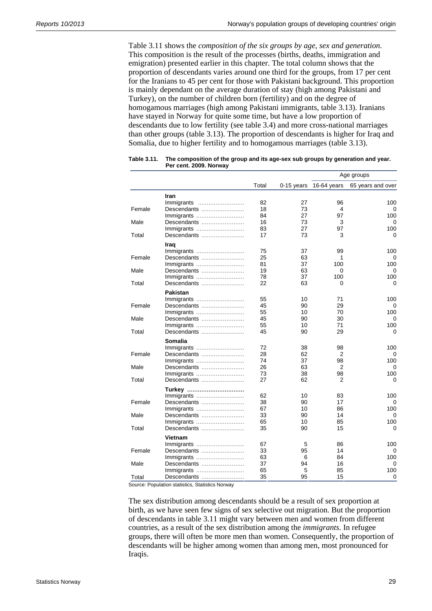Table 3.11 shows the *composition of the six groups by age, sex and generation*. This composition is the result of the processes (births, deaths, immigration and emigration) presented earlier in this chapter. The total column shows that the proportion of descendants varies around one third for the groups, from 17 per cent for the Iranians to 45 per cent for those with Pakistani background. This proportion is mainly dependant on the average duration of stay (high among Pakistani and Turkey), on the number of children born (fertility) and on the degree of homogamous marriages (high among Pakistani immigrants, table 3.13). Iranians have stayed in Norway for quite some time, but have a low proportion of descendants due to low fertility (see table 3.4) and more cross-national marriages than other groups (table 3.13). The proportion of descendants is higher for Iraq and Somalia, due to higher fertility and to homogamous marriages (table 3.13).

|        |             |       |              | Age groups  |                   |  |
|--------|-------------|-------|--------------|-------------|-------------------|--|
|        |             | Total | $0-15$ years | 16-64 years | 65 years and over |  |
|        | Iran        |       |              |             |                   |  |
|        | Immigrants  | 82    | 27           | 96          | 100               |  |
| Female | Descendants | 18    | 73           | 4           | $\Omega$          |  |
|        | Immigrants  | 84    | 27           | 97          | 100               |  |
| Male   | Descendants | 16    | 73           | 3           | 0                 |  |
|        | Immigrants  | 83    | 27           | 97          | 100               |  |
| Total  | Descendants | 17    | 73           | 3           | 0                 |  |
|        | Iraq        |       |              |             |                   |  |
|        | Immigrants  | 75    | 37           | 99          | 100               |  |
| Female | Descendants | 25    | 63           | 1           | 0                 |  |
|        | Immigrants  | 81    | 37           | 100         | 100               |  |
| Male   | Descendants | 19    | 63           | 0           | 0                 |  |
|        | Immigrants  | 78    | 37           | 100         | 100               |  |
| Total  | Descendants | 22    | 63           | 0           | 0                 |  |
|        | Pakistan    |       |              |             |                   |  |
|        | Immigrants  | 55    | 10           | 71          | 100               |  |
| Female | Descendants | 45    | 90           | 29          | 0                 |  |
|        | Immigrants  | 55    | 10           | 70          | 100               |  |
| Male   | Descendants | 45    | 90           | 30          | 0                 |  |
|        | Immigrants  | 55    | 10           | 71          | 100               |  |
| Total  | Descendants | 45    | 90           | 29          | 0                 |  |
|        | Somalia     |       |              |             |                   |  |
|        | Immigrants  | 72    | 38           | 98          | 100               |  |
| Female | Descendants | 28    | 62           | 2           | 0                 |  |
|        | Immigrants  | 74    | 37           | 98          | 100               |  |
| Male   | Descendants | 26    | 63           | 2           |                   |  |
|        | Immigrants  | 73    | 38           | 98          | 100               |  |
| Total  | Descendants | 27    | 62           | 2           | 0                 |  |
|        | Turkey      |       |              |             |                   |  |
|        | Immigrants  | 62    | 10           | 83          | 100               |  |
| Female | Descendants | 38    | 90           | 17          | 0                 |  |
|        | Immigrants  | 67    | 10           | 86          | 100               |  |
| Male   | Descendants | 33    | 90           | 14          | 0                 |  |
|        | Immigrants  | 65    | 10           | 85          | 100               |  |
| Total  | Descendants | 35    | 90           | 15          | 0                 |  |
|        | Vietnam     |       |              |             |                   |  |
|        | Immigrants  | 67    | 5            | 86          | 100               |  |
| Female | Descendants | 33    | 95           | 14          | 0                 |  |
|        | Immigrants  | 63    | 6            | 84          | 100               |  |
| Male   | Descendants | 37    | 94           | 16          | 0                 |  |
|        | Immigrants  | 65    | 5            | 85          | 100               |  |
| Total  | Descendants | 35    | 95           | 15          | 0                 |  |

**Table 3.11. The composition of the group and its age-sex sub groups by generation and year. Per cent. 2009. Norway** 

Source: Population statistics, Statistics Norway

The sex distribution among descendants should be a result of sex proportion at birth, as we have seen few signs of sex selective out migration. But the proportion of descendants in table 3.11 might vary between men and women from different countries, as a result of the sex distribution among the *immigrants*. In refugee groups, there will often be more men than women. Consequently, the proportion of descendants will be higher among women than among men, most pronounced for Iraqis.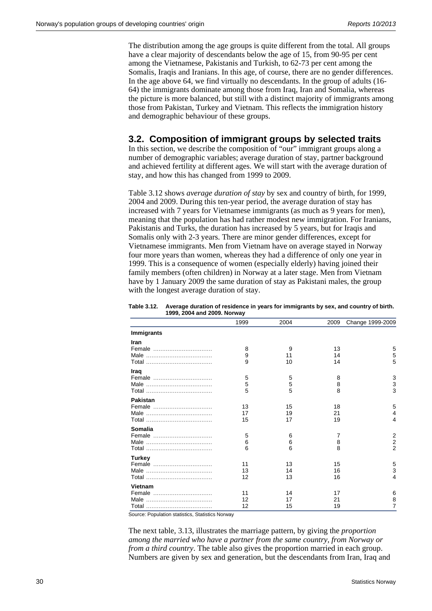The distribution among the age groups is quite different from the total. All groups have a clear majority of descendants below the age of 15, from 90-95 per cent among the Vietnamese, Pakistanis and Turkish, to 62-73 per cent among the Somalis, Iraqis and Iranians. In this age, of course, there are no gender differences. In the age above 64, we find virtually no descendants. In the group of adults (16- 64) the immigrants dominate among those from Iraq, Iran and Somalia, whereas the picture is more balanced, but still with a distinct majority of immigrants among those from Pakistan, Turkey and Vietnam. This reflects the immigration history and demographic behaviour of these groups.

### **3.2. Composition of immigrant groups by selected traits**

In this section, we describe the composition of "our" immigrant groups along a number of demographic variables; average duration of stay, partner background and achieved fertility at different ages. We will start with the average duration of stay, and how this has changed from 1999 to 2009.

Table 3.12 shows *average duration of stay* by sex and country of birth, for 1999, 2004 and 2009. During this ten-year period, the average duration of stay has increased with 7 years for Vietnamese immigrants (as much as 9 years for men), meaning that the population has had rather modest new immigration. For Iranians, Pakistanis and Turks, the duration has increased by 5 years, but for Iraqis and Somalis only with 2-3 years. There are minor gender differences, except for Vietnamese immigrants. Men from Vietnam have on average stayed in Norway four more years than women, whereas they had a difference of only one year in 1999. This is a consequence of women (especially elderly) having joined their family members (often children) in Norway at a later stage. Men from Vietnam have by 1 January 2009 the same duration of stay as Pakistani males, the group with the longest average duration of stay.

| Table 3.12. Average duration of residence in years for immigrants by sex, and country of birth. |
|-------------------------------------------------------------------------------------------------|
| 1999, 2004 and 2009. Norway                                                                     |

|                   | 1999 | 2004 | 2009 | Change 1999-2009 |
|-------------------|------|------|------|------------------|
| <b>Immigrants</b> |      |      |      |                  |
| <b>Iran</b>       |      |      |      |                  |
| Female            | 8    | 9    | 13   | 5                |
|                   | 9    | 11   | 14   | 5                |
|                   | 9    | 10   | 14   | 5                |
| Iraq              |      |      |      |                  |
| Female            | 5    | 5    | 8    | 3                |
|                   | 5    | 5    | 8    | 3                |
|                   | 5    | 5    | 8    | 3                |
| <b>Pakistan</b>   |      |      |      |                  |
| Female            | 13   | 15   | 18   | 5                |
|                   | 17   | 19   | 21   | 4                |
|                   | 15   | 17   | 19   | 4                |
| Somalia           |      |      |      |                  |
| Female            | 5    | 6    | 7    | $\overline{2}$   |
|                   | 6    | 6    | 8    | $\overline{2}$   |
|                   | 6    | 6    | 8    | $\overline{2}$   |
| <b>Turkey</b>     |      |      |      |                  |
| Female            | 11   | 13   | 15   | 5                |
|                   | 13   | 14   | 16   | 3                |
|                   | 12   | 13   | 16   | 4                |
| Vietnam           |      |      |      |                  |
| Female            | 11   | 14   | 17   | 6                |
|                   | 12   | 17   | 21   | 8                |
|                   | 12   | 15   | 19   | 7                |

Source: Population statistics, Statistics Norway

The next table, 3.13, illustrates the marriage pattern, by giving the *proportion among the married who have a partner from the same country, from Norway or from a third country*. The table also gives the proportion married in each group. Numbers are given by sex and generation, but the descendants from Iran, Iraq and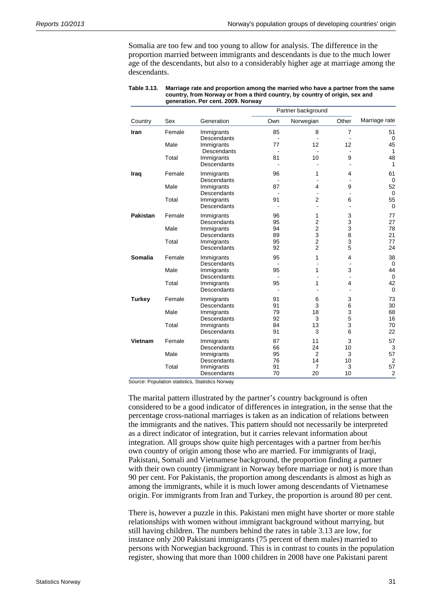Somalia are too few and too young to allow for analysis. The difference in the proportion married between immigrants and descendants is due to the much lower age of the descendants, but also to a considerably higher age at marriage among the descendants.

|                |        |                                  |              | Partner background               |                     |                      |
|----------------|--------|----------------------------------|--------------|----------------------------------|---------------------|----------------------|
| Country        | Sex    | Generation                       | Own          | Norwegian                        | Other               | Marriage rate        |
| Iran           | Female | Immigrants<br>Descendants        | 85           | 8<br>$\blacksquare$              | $\overline{7}$      | 51<br>0              |
|                | Male   | Immigrants<br><b>Descendants</b> | 77           | 12                               | 12                  | 45<br>$\mathbf{1}$   |
|                | Total  | Immigrants<br>Descendants        | 81           | 10                               | 9                   | 48<br>$\mathbf{1}$   |
| Iraq           | Female | Immigrants<br>Descendants        | 96<br>$\sim$ | 1<br>$\blacksquare$              | 4<br>$\blacksquare$ | 61<br>$\mathbf 0$    |
|                | Male   | Immigrants<br>Descendants        | 87           | 4                                | 9                   | 52<br>$\mathbf 0$    |
|                | Total  | Immigrants<br>Descendants        | 91           | $\overline{2}$<br>$\blacksquare$ | 6                   | 55<br>$\Omega$       |
| Pakistan       | Female | Immigrants<br>Descendants        | 96<br>95     | 1<br>$\overline{2}$              | 3<br>3              | 77<br>27             |
|                | Male   | Immigrants<br>Descendants        | 94<br>89     | $\overline{2}$<br>3              | 3<br>8              | 78<br>21             |
|                | Total  | Immigrants<br>Descendants        | 95<br>92     | 2<br>$\overline{2}$              | 3<br>5              | 77<br>24             |
| <b>Somalia</b> | Female | Immigrants<br>Descendants        | 95           | 1                                | 4                   | 38<br>$\Omega$       |
|                | Male   | Immigrants<br>Descendants        | 95           | 1                                | 3                   | 44<br>$\mathbf 0$    |
|                | Total  | Immigrants<br>Descendants        | 95           | 1                                | 4                   | 42<br>$\mathbf 0$    |
| <b>Turkey</b>  | Female | Immigrants<br>Descendants        | 91<br>91     | 6<br>3                           | 3<br>6              | 73<br>30             |
|                | Male   | Immigrants<br>Descendants        | 79<br>92     | 18<br>3                          | 3<br>5              | 68<br>16             |
|                | Total  | Immigrants<br>Descendants        | 84<br>91     | 13<br>3                          | 3<br>6              | 70<br>22             |
| Vietnam        | Female | Immigrants<br>Descendants        | 87<br>66     | 11<br>24                         | 3<br>10             | 57<br>3              |
|                | Male   | Immigrants<br>Descendants        | 95<br>76     | 2<br>14                          | 3<br>10             | 57<br>$\overline{2}$ |
|                | Total  | Immigrants<br>Descendants        | 91<br>70     | $\overline{7}$<br>20             | 3<br>10             | 57<br>$\overline{2}$ |

| Table 3.13. | Marriage rate and proportion among the married who have a partner from the same |
|-------------|---------------------------------------------------------------------------------|
|             | country, from Norway or from a third country, by country of origin, sex and     |
|             | generation. Per cent. 2009. Norway                                              |

Source: Population statistics, Statistics Norway

The marital pattern illustrated by the partner's country background is often considered to be a good indicator of differences in integration, in the sense that the percentage cross-national marriages is taken as an indication of relations between the immigrants and the natives. This pattern should not necessarily be interpreted as a direct indicator of integration, but it carries relevant information about integration. All groups show quite high percentages with a partner from her/his own country of origin among those who are married. For immigrants of Iraqi, Pakistani, Somali and Vietnamese background, the proportion finding a partner with their own country (immigrant in Norway before marriage or not) is more than 90 per cent. For Pakistanis, the proportion among descendants is almost as high as among the immigrants, while it is much lower among descendants of Vietnamese origin. For immigrants from Iran and Turkey, the proportion is around 80 per cent.

There is, however a puzzle in this. Pakistani men might have shorter or more stable relationships with women without immigrant background without marrying, but still having children. The numbers behind the rates in table 3.13 are low, for instance only 200 Pakistani immigrants (75 percent of them males) married to persons with Norwegian background. This is in contrast to counts in the population register, showing that more than 1000 children in 2008 have one Pakistani parent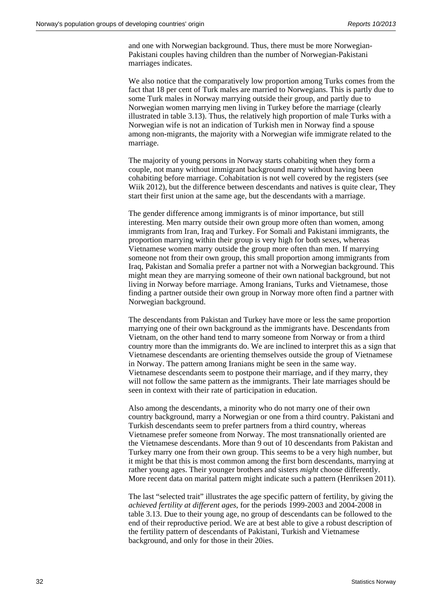and one with Norwegian background. Thus, there must be more Norwegian-Pakistani couples having children than the number of Norwegian-Pakistani marriages indicates.

We also notice that the comparatively low proportion among Turks comes from the fact that 18 per cent of Turk males are married to Norwegians. This is partly due to some Turk males in Norway marrying outside their group, and partly due to Norwegian women marrying men living in Turkey before the marriage (clearly illustrated in table 3.13). Thus, the relatively high proportion of male Turks with a Norwegian wife is not an indication of Turkish men in Norway find a spouse among non-migrants, the majority with a Norwegian wife immigrate related to the marriage.

The majority of young persons in Norway starts cohabiting when they form a couple, not many without immigrant background marry without having been cohabiting before marriage. Cohabitation is not well covered by the registers (see Wiik 2012), but the difference between descendants and natives is quite clear, They start their first union at the same age, but the descendants with a marriage.

The gender difference among immigrants is of minor importance, but still interesting. Men marry outside their own group more often than women, among immigrants from Iran, Iraq and Turkey. For Somali and Pakistani immigrants, the proportion marrying within their group is very high for both sexes, whereas Vietnamese women marry outside the group more often than men. If marrying someone not from their own group, this small proportion among immigrants from Iraq, Pakistan and Somalia prefer a partner not with a Norwegian background. This might mean they are marrying someone of their own national background, but not living in Norway before marriage. Among Iranians, Turks and Vietnamese, those finding a partner outside their own group in Norway more often find a partner with Norwegian background.

The descendants from Pakistan and Turkey have more or less the same proportion marrying one of their own background as the immigrants have. Descendants from Vietnam, on the other hand tend to marry someone from Norway or from a third country more than the immigrants do. We are inclined to interpret this as a sign that Vietnamese descendants are orienting themselves outside the group of Vietnamese in Norway. The pattern among Iranians might be seen in the same way. Vietnamese descendants seem to postpone their marriage, and if they marry, they will not follow the same pattern as the immigrants. Their late marriages should be seen in context with their rate of participation in education.

Also among the descendants, a minority who do not marry one of their own country background, marry a Norwegian or one from a third country. Pakistani and Turkish descendants seem to prefer partners from a third country, whereas Vietnamese prefer someone from Norway. The most transnationally oriented are the Vietnamese descendants. More than 9 out of 10 descendants from Pakistan and Turkey marry one from their own group. This seems to be a very high number, but it might be that this is most common among the first born descendants, marrying at rather young ages. Their younger brothers and sisters *might* choose differently. More recent data on marital pattern might indicate such a pattern (Henriksen 2011).

The last "selected trait" illustrates the age specific pattern of fertility, by giving the *achieved fertility at different ages*, for the periods 1999-2003 and 2004-2008 in table 3.13. Due to their young age, no group of descendants can be followed to the end of their reproductive period. We are at best able to give a robust description of the fertility pattern of descendants of Pakistani, Turkish and Vietnamese background, and only for those in their 20ies.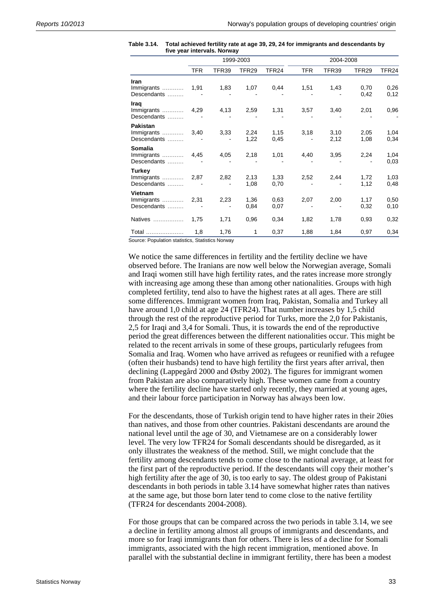|                                              | 1999-2003  |       |                   |              | 2004-2008  |              |                   |                   |
|----------------------------------------------|------------|-------|-------------------|--------------|------------|--------------|-------------------|-------------------|
|                                              | <b>TFR</b> | TFR39 | TFR <sub>29</sub> | TFR24        | <b>TFR</b> | TFR39        | TFR <sub>29</sub> | TFR <sub>24</sub> |
| Iran<br>Immigrants<br>Descendants            | 1,91       | 1,83  | 1,07              | 0,44         | 1,51       | 1,43         | 0,70<br>0,42      | 0,26<br>0,12      |
| Irag<br>Immigrants<br>Descendants            | 4,29       | 4,13  | 2,59              | 1,31         | 3,57       | 3,40         | 2,01              | 0,96              |
| <b>Pakistan</b><br>Immigrants<br>Descendants | 3,40       | 3,33  | 2,24<br>1,22      | 1,15<br>0,45 | 3,18       | 3,10<br>2,12 | 2,05<br>1,08      | 1,04<br>0,34      |
| <b>Somalia</b><br>Immigrants<br>Descendants  | 4,45       | 4,05  | 2,18              | 1,01         | 4,40       | 3,95         | 2,24              | 1,04<br>0,03      |
| Turkey<br>Descendants                        |            | 2,82  | 2,13<br>1,08      | 1,33<br>0,70 | 2,52       | 2,44         | 1,72<br>1,12      | 1,03<br>0,48      |
| <b>Vietnam</b><br>Descendants                |            | 2,23  | 1,36<br>0,84      | 0.63<br>0,07 | 2,07       | 2,00         | 1,17<br>0,32      | 0,50<br>0,10      |
| Natives                                      | 1,75       | 1,71  | 0,96              | 0,34         | 1,82       | 1,78         | 0,93              | 0,32              |
| Total                                        | 1,8        | 1,76  | $\mathbf{1}$      | 0,37         | 1,88       | 1,84         | 0,97              | 0,34              |

| Table 3.14. | Total achieved fertility rate at age 39, 29, 24 for immigrants and descendants by |
|-------------|-----------------------------------------------------------------------------------|
|             | five year intervals. Norway                                                       |

Source: Population statistics, Statistics Norway

We notice the same differences in fertility and the fertility decline we have observed before. The Iranians are now well below the Norwegian average, Somali and Iraqi women still have high fertility rates, and the rates increase more strongly with increasing age among these than among other nationalities. Groups with high completed fertility, tend also to have the highest rates at all ages. There are still some differences. Immigrant women from Iraq, Pakistan, Somalia and Turkey all have around 1,0 child at age 24 (TFR24). That number increases by 1,5 child through the rest of the reproductive period for Turks, more the 2,0 for Pakistanis, 2,5 for Iraqi and 3,4 for Somali. Thus, it is towards the end of the reproductive period the great differences between the different nationalities occur. This might be related to the recent arrivals in some of these groups, particularly refugees from Somalia and Iraq. Women who have arrived as refugees or reunified with a refugee (often their husbands) tend to have high fertility the first years after arrival, then declining (Lappegård 2000 and Østby 2002). The figures for immigrant women from Pakistan are also comparatively high. These women came from a country where the fertility decline have started only recently, they married at young ages, and their labour force participation in Norway has always been low.

For the descendants, those of Turkish origin tend to have higher rates in their 20ies than natives, and those from other countries. Pakistani descendants are around the national level until the age of 30, and Vietnamese are on a considerably lower level. The very low TFR24 for Somali descendants should be disregarded, as it only illustrates the weakness of the method. Still, we might conclude that the fertility among descendants tends to come close to the national average, at least for the first part of the reproductive period. If the descendants will copy their mother's high fertility after the age of 30, is too early to say. The oldest group of Pakistani descendants in both periods in table 3.14 have somewhat higher rates than natives at the same age, but those born later tend to come close to the native fertility (TFR24 for descendants 2004-2008).

For those groups that can be compared across the two periods in table 3.14, we see a decline in fertility among almost all groups of immigrants and descendants, and more so for Iraqi immigrants than for others. There is less of a decline for Somali immigrants, associated with the high recent immigration, mentioned above. In parallel with the substantial decline in immigrant fertility, there has been a modest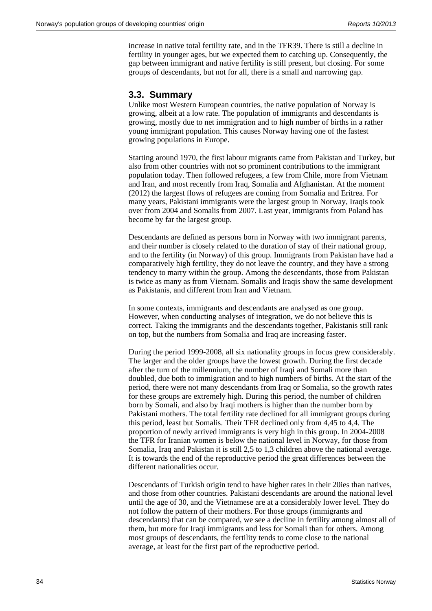increase in native total fertility rate, and in the TFR39. There is still a decline in fertility in younger ages, but we expected them to catching up. Consequently, the gap between immigrant and native fertility is still present, but closing. For some groups of descendants, but not for all, there is a small and narrowing gap.

#### **3.3. Summary**

Unlike most Western European countries, the native population of Norway is growing, albeit at a low rate. The population of immigrants and descendants is growing, mostly due to net immigration and to high number of births in a rather young immigrant population. This causes Norway having one of the fastest growing populations in Europe.

Starting around 1970, the first labour migrants came from Pakistan and Turkey, but also from other countries with not so prominent contributions to the immigrant population today. Then followed refugees, a few from Chile, more from Vietnam and Iran, and most recently from Iraq, Somalia and Afghanistan. At the moment (2012) the largest flows of refugees are coming from Somalia and Eritrea. For many years, Pakistani immigrants were the largest group in Norway, Iraqis took over from 2004 and Somalis from 2007. Last year, immigrants from Poland has become by far the largest group.

Descendants are defined as persons born in Norway with two immigrant parents, and their number is closely related to the duration of stay of their national group, and to the fertility (in Norway) of this group. Immigrants from Pakistan have had a comparatively high fertility, they do not leave the country, and they have a strong tendency to marry within the group. Among the descendants, those from Pakistan is twice as many as from Vietnam. Somalis and Iraqis show the same development as Pakistanis, and different from Iran and Vietnam.

In some contexts, immigrants and descendants are analysed as one group. However, when conducting analyses of integration, we do not believe this is correct. Taking the immigrants and the descendants together, Pakistanis still rank on top, but the numbers from Somalia and Iraq are increasing faster.

During the period 1999-2008, all six nationality groups in focus grew considerably. The larger and the older groups have the lowest growth. During the first decade after the turn of the millennium, the number of Iraqi and Somali more than doubled, due both to immigration and to high numbers of births. At the start of the period, there were not many descendants from Iraq or Somalia, so the growth rates for these groups are extremely high. During this period, the number of children born by Somali, and also by Iraqi mothers is higher than the number born by Pakistani mothers. The total fertility rate declined for all immigrant groups during this period, least but Somalis. Their TFR declined only from 4,45 to 4,4. The proportion of newly arrived immigrants is very high in this group. In 2004-2008 the TFR for Iranian women is below the national level in Norway, for those from Somalia, Iraq and Pakistan it is still 2,5 to 1,3 children above the national average. It is towards the end of the reproductive period the great differences between the different nationalities occur.

Descendants of Turkish origin tend to have higher rates in their 20ies than natives, and those from other countries. Pakistani descendants are around the national level until the age of 30, and the Vietnamese are at a considerably lower level. They do not follow the pattern of their mothers. For those groups (immigrants and descendants) that can be compared, we see a decline in fertility among almost all of them, but more for Iraqi immigrants and less for Somali than for others. Among most groups of descendants, the fertility tends to come close to the national average, at least for the first part of the reproductive period.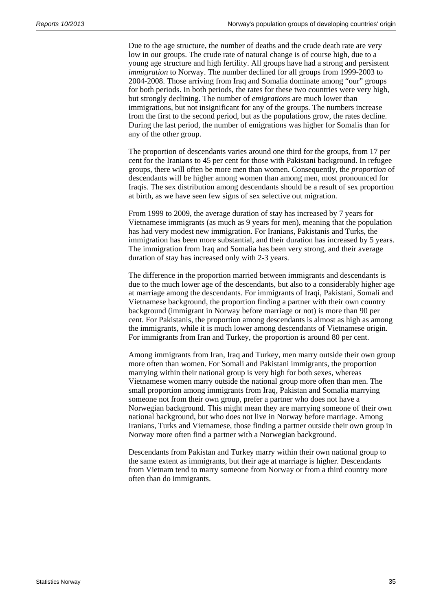Due to the age structure, the number of deaths and the crude death rate are very low in our groups. The crude rate of natural change is of course high, due to a young age structure and high fertility. All groups have had a strong and persistent *immigration* to Norway. The number declined for all groups from 1999-2003 to 2004-2008. Those arriving from Iraq and Somalia dominate among "our" groups for both periods. In both periods, the rates for these two countries were very high, but strongly declining. The number of *emigrations* are much lower than immigrations, but not insignificant for any of the groups. The numbers increase from the first to the second period, but as the populations grow, the rates decline. During the last period, the number of emigrations was higher for Somalis than for any of the other group.

The proportion of descendants varies around one third for the groups, from 17 per cent for the Iranians to 45 per cent for those with Pakistani background. In refugee groups, there will often be more men than women. Consequently, the *proportion* of descendants will be higher among women than among men, most pronounced for Iraqis. The sex distribution among descendants should be a result of sex proportion at birth, as we have seen few signs of sex selective out migration.

From 1999 to 2009, the average duration of stay has increased by 7 years for Vietnamese immigrants (as much as 9 years for men), meaning that the population has had very modest new immigration. For Iranians, Pakistanis and Turks, the immigration has been more substantial, and their duration has increased by 5 years. The immigration from Iraq and Somalia has been very strong, and their average duration of stay has increased only with 2-3 years.

The difference in the proportion married between immigrants and descendants is due to the much lower age of the descendants, but also to a considerably higher age at marriage among the descendants. For immigrants of Iraqi, Pakistani, Somali and Vietnamese background, the proportion finding a partner with their own country background (immigrant in Norway before marriage or not) is more than 90 per cent. For Pakistanis, the proportion among descendants is almost as high as among the immigrants, while it is much lower among descendants of Vietnamese origin. For immigrants from Iran and Turkey, the proportion is around 80 per cent.

Among immigrants from Iran, Iraq and Turkey, men marry outside their own group more often than women. For Somali and Pakistani immigrants, the proportion marrying within their national group is very high for both sexes, whereas Vietnamese women marry outside the national group more often than men. The small proportion among immigrants from Iraq, Pakistan and Somalia marrying someone not from their own group, prefer a partner who does not have a Norwegian background. This might mean they are marrying someone of their own national background, but who does not live in Norway before marriage. Among Iranians, Turks and Vietnamese, those finding a partner outside their own group in Norway more often find a partner with a Norwegian background.

Descendants from Pakistan and Turkey marry within their own national group to the same extent as immigrants, but their age at marriage is higher. Descendants from Vietnam tend to marry someone from Norway or from a third country more often than do immigrants.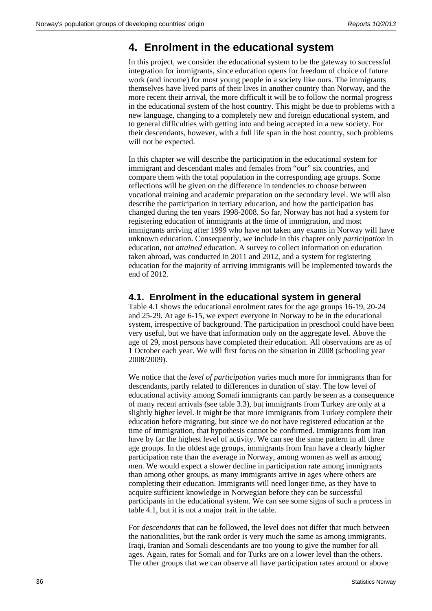### **4. Enrolment in the educational system**

In this project, we consider the educational system to be the gateway to successful integration for immigrants, since education opens for freedom of choice of future work (and income) for most young people in a society like ours. The immigrants themselves have lived parts of their lives in another country than Norway, and the more recent their arrival, the more difficult it will be to follow the normal progress in the educational system of the host country. This might be due to problems with a new language, changing to a completely new and foreign educational system, and to general difficulties with getting into and being accepted in a new society. For their descendants, however, with a full life span in the host country, such problems will not be expected.

In this chapter we will describe the participation in the educational system for immigrant and descendant males and females from "our" six countries, and compare them with the total population in the corresponding age groups. Some reflections will be given on the difference in tendencies to choose between vocational training and academic preparation on the secondary level. We will also describe the participation in tertiary education, and how the participation has changed during the ten years 1998-2008. So far, Norway has not had a system for registering education of immigrants at the time of immigration, and most immigrants arriving after 1999 who have not taken any exams in Norway will have unknown education. Consequently, we include in this chapter only *participation* in education, not *attained* education. A survey to collect information on education taken abroad, was conducted in 2011 and 2012, and a system for registering education for the majority of arriving immigrants will be implemented towards the end of 2012.

#### **4.1. Enrolment in the educational system in general**

Table 4.1 shows the educational enrolment rates for the age groups 16-19, 20-24 and 25-29. At age 6-15, we expect everyone in Norway to be in the educational system, irrespective of background. The participation in preschool could have been very useful, but we have that information only on the aggregate level. Above the age of 29, most persons have completed their education. All observations are as of 1 October each year. We will first focus on the situation in 2008 (schooling year 2008/2009).

We notice that the *level of participation* varies much more for immigrants than for descendants, partly related to differences in duration of stay. The low level of educational activity among Somali immigrants can partly be seen as a consequence of many recent arrivals (see table 3.3), but immigrants from Turkey are only at a slightly higher level. It might be that more immigrants from Turkey complete their education before migrating, but since we do not have registered education at the time of immigration, that hypothesis cannot be confirmed. Immigrants from Iran have by far the highest level of activity. We can see the same pattern in all three age groups. In the oldest age groups, immigrants from Iran have a clearly higher participation rate than the average in Norway, among women as well as among men. We would expect a slower decline in participation rate among immigrants than among other groups, as many immigrants arrive in ages where others are completing their education. Immigrants will need longer time, as they have to acquire sufficient knowledge in Norwegian before they can be successful participants in the educational system. We can see some signs of such a process in table 4.1, but it is not a major trait in the table.

For *descendants* that can be followed, the level does not differ that much between the nationalities, but the rank order is very much the same as among immigrants. Iraqi, Iranian and Somali descendants are too young to give the number for all ages. Again, rates for Somali and for Turks are on a lower level than the others. The other groups that we can observe all have participation rates around or above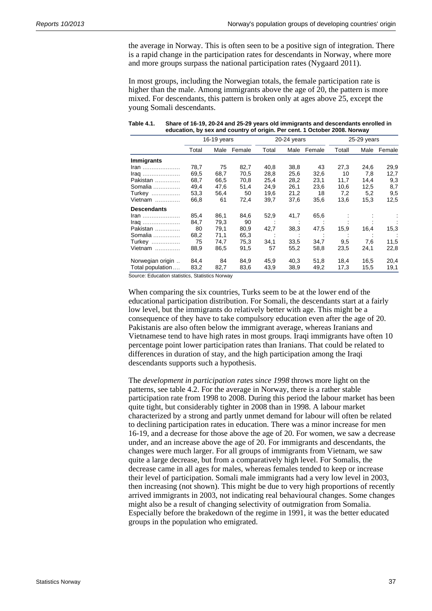the average in Norway. This is often seen to be a positive sign of integration. There is a rapid change in the participation rates for descendants in Norway, where more and more groups surpass the national participation rates (Nygaard 2011).

In most groups, including the Norwegian totals, the female participation rate is higher than the male. Among immigrants above the age of 20, the pattern is more mixed. For descendants, this pattern is broken only at ages above 25, except the young Somali descendants.

|                    |       | 16-19 years |        |       | $20-24$ years |        |        | 25-29 years |        |  |
|--------------------|-------|-------------|--------|-------|---------------|--------|--------|-------------|--------|--|
|                    | Total | Male        | Female | Total | Male          | Female | Totall | Male        | Female |  |
| <b>Immigrants</b>  |       |             |        |       |               |        |        |             |        |  |
| $\mathsf{tran}$    | 78,7  | 75          | 82,7   | 40,8  | 38,8          | 43     | 27,3   | 24,6        | 29,9   |  |
| $\mathsf{Iraq}$    | 69,5  | 68,7        | 70,5   | 28,8  | 25,6          | 32,6   | 10     | 7,8         | 12,7   |  |
| Pakistan           | 68,7  | 66,5        | 70,8   | 25,4  | 28,2          | 23,1   | 11,7   | 14,4        | 9,3    |  |
| Somalia            | 49,4  | 47,6        | 51,4   | 24,9  | 26,1          | 23,6   | 10,6   | 12,5        | 8,7    |  |
| <b>Turkey</b>      | 53,3  | 56,4        | 50     | 19,6  | 21,2          | 18     | 7,2    | 5,2         | 9,5    |  |
| Vietnam            | 66,8  | 61          | 72,4   | 39,7  | 37,6          | 35,6   | 13,6   | 15,3        | 12,5   |  |
| <b>Descendants</b> |       |             |        |       |               |        |        |             |        |  |
| Iran               | 85,4  | 86,1        | 84,6   | 52,9  | 41,7          | 65,6   |        |             |        |  |
| $Iraq$             | 84,7  | 79,3        | 90     |       |               |        |        |             |        |  |
| Pakistan           | 80    | 79,1        | 80,9   | 42,7  | 38,3          | 47,5   | 15,9   | 16,4        | 15,3   |  |
| Somalia            | 68,2  | 71,1        | 65,3   |       |               |        |        |             |        |  |
| <b>Turkey</b>      | 75    | 74,7        | 75,3   | 34,1  | 33,5          | 34,7   | 9,5    | 7,6         | 11,5   |  |
| Vietnam            | 88,9  | 86,5        | 91,5   | 57    | 55,2          | 58,8   | 23,5   | 24,1        | 22,8   |  |
| Norwegian origin   | 84,4  | 84          | 84,9   | 45,9  | 40,3          | 51,8   | 18,4   | 16,5        | 20,4   |  |
| Total population   | 83,2  | 82,7        | 83,6   | 43,9  | 38,9          | 49,2   | 17,3   | 15,5        | 19,1   |  |

**Table 4.1. Share of 16-19, 20-24 and 25-29 years old immigrants and descendants enrolled in education, by sex and country of origin. Per cent. 1 October 2008. Norway** 

**Source: Education statistics, Statistics Norway** 

When comparing the six countries, Turks seem to be at the lower end of the educational participation distribution. For Somali, the descendants start at a fairly low level, but the immigrants do relatively better with age. This might be a consequence of they have to take compulsory education even after the age of 20. Pakistanis are also often below the immigrant average, whereas Iranians and Vietnamese tend to have high rates in most groups. Iraqi immigrants have often 10 percentage point lower participation rates than Iranians. That could be related to differences in duration of stay, and the high participation among the Iraqi descendants supports such a hypothesis.

The *development in participation rates since 1998* throws more light on the patterns, see table 4.2. For the average in Norway, there is a rather stable participation rate from 1998 to 2008. During this period the labour market has been quite tight, but considerably tighter in 2008 than in 1998. A labour market characterized by a strong and partly unmet demand for labour will often be related to declining participation rates in education. There was a minor increase for men 16-19, and a decrease for those above the age of 20. For women, we saw a decrease under, and an increase above the age of 20. For immigrants and descendants, the changes were much larger. For all groups of immigrants from Vietnam, we saw quite a large decrease, but from a comparatively high level. For Somalis, the decrease came in all ages for males, whereas females tended to keep or increase their level of participation. Somali male immigrants had a very low level in 2003, then increasing (not shown). This might be due to very high proportions of recently arrived immigrants in 2003, not indicating real behavioural changes. Some changes might also be a result of changing selectivity of outmigration from Somalia. Especially before the brakedown of the regime in 1991, it was the better educated groups in the population who emigrated.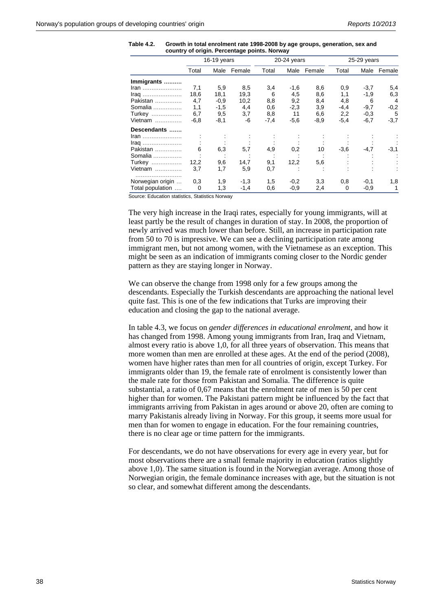| Table 4.2. | Growth in total enrolment rate 1998-2008 by age groups, generation, sex and |
|------------|-----------------------------------------------------------------------------|
|            | country of origin. Percentage points. Norway                                |

|                  |        | $16-19$ years |        |        | 20-24 years |        |        | 25-29 years |             |  |
|------------------|--------|---------------|--------|--------|-------------|--------|--------|-------------|-------------|--|
|                  | Total  | Male          | Female | Total  | Male        | Female | Total  | Male        | Female      |  |
| Immigrants       |        |               |        |        |             |        |        |             |             |  |
| $\mathsf{tran}$  | 7,1    | 5,9           | 8,5    | 3,4    | $-1,6$      | 8,6    | 0,9    | $-3,7$      | 5,4         |  |
|                  | 18,6   | 18,1          | 19,3   | 6      | 4,5         | 8,6    | 1,1    | $-1,9$      | 6,3         |  |
| Pakistan         | 4,7    | $-0,9$        | 10,2   | 8,8    | 9,2         | 8,4    | 4,8    | 6           | 4           |  |
| Somalia          | 1,1    | $-1,5$        | 4,4    | 0,6    | $-2,3$      | 3,9    | $-4,4$ | $-9,7$      | $-0,2$      |  |
| Turkey           | 6,7    | 9,5           | 3,7    | 8,8    | 11          | 6,6    | 2,2    | $-0.3$      | 5           |  |
| Vietnam          | $-6,8$ | $-8,1$        | -6     | $-7,4$ | $-5,6$      | $-8,9$ | $-5,4$ | $-6,7$      | $-3,7$      |  |
| Descendants      |        |               |        |        |             |        |        |             |             |  |
| Iran             |        |               |        |        |             |        |        |             |             |  |
| $Iraq$           |        |               |        |        |             |        |        |             |             |  |
| Pakistan         | 6      | 6,3           | 5,7    | 4,9    | 0,2         | 10     | $-3,6$ | $-4,7$      | -3,1        |  |
| Somalia          |        |               |        |        |             |        |        |             |             |  |
| Turkey           | 12,2   | 9,6           | 14,7   | 9,1    | 12,2        | 5,6    |        |             |             |  |
| Vietnam          | 3,7    | 1,7           | 5,9    | 0,7    |             |        |        |             |             |  |
|                  |        |               |        |        |             |        |        |             |             |  |
| Norwegian origin | 0,3    | 1,9           | $-1,3$ | 1,5    | $-0,2$      | 3,3    | 0,8    | $-0,1$      | 1,8         |  |
| Total population | 0      | 1,3           | $-1,4$ | 0,6    | $-0.9$      | 2,4    | 0      | $-0.9$      | $\mathbf 1$ |  |

Source: Education statistics, Statistics Norway

The very high increase in the Iraqi rates, especially for young immigrants, will at least partly be the result of changes in duration of stay. In 2008, the proportion of newly arrived was much lower than before. Still, an increase in participation rate from 50 to 70 is impressive. We can see a declining participation rate among immigrant men, but not among women, with the Vietnamese as an exception. This might be seen as an indication of immigrants coming closer to the Nordic gender pattern as they are staying longer in Norway.

We can observe the change from 1998 only for a few groups among the descendants. Especially the Turkish descendants are approaching the national level quite fast. This is one of the few indications that Turks are improving their education and closing the gap to the national average.

In table 4.3, we focus on *gender differences in educational enrolment*, and how it has changed from 1998. Among young immigrants from Iran, Iraq and Vietnam, almost every ratio is above 1,0, for all three years of observation. This means that more women than men are enrolled at these ages. At the end of the period (2008), women have higher rates than men for all countries of origin, except Turkey. For immigrants older than 19, the female rate of enrolment is consistently lower than the male rate for those from Pakistan and Somalia. The difference is quite substantial, a ratio of 0,67 means that the enrolment rate of men is 50 per cent higher than for women. The Pakistani pattern might be influenced by the fact that immigrants arriving from Pakistan in ages around or above 20, often are coming to marry Pakistanis already living in Norway. For this group, it seems more usual for men than for women to engage in education. For the four remaining countries, there is no clear age or time pattern for the immigrants.

For descendants, we do not have observations for every age in every year, but for most observations there are a small female majority in education (ratios slightly above 1,0). The same situation is found in the Norwegian average. Among those of Norwegian origin, the female dominance increases with age, but the situation is not so clear, and somewhat different among the descendants.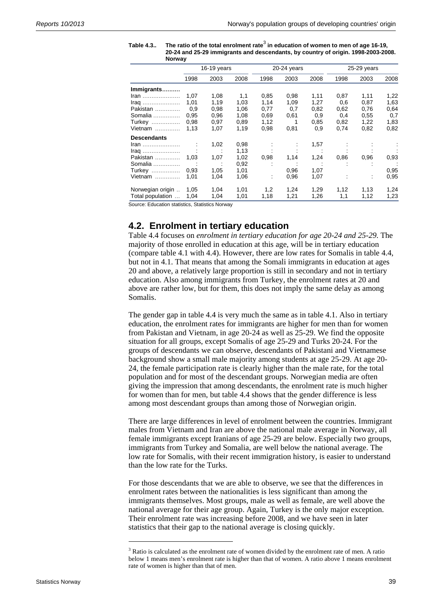| Norway             |      |             |      |             |      |      |               |                |      |
|--------------------|------|-------------|------|-------------|------|------|---------------|----------------|------|
|                    |      | 16-19 years |      | 20-24 years |      |      | $25-29$ years |                |      |
|                    | 1998 | 2003        | 2008 | 1998        | 2003 | 2008 | 1998          | 2003           | 2008 |
| Immigrants         |      |             |      |             |      |      |               |                |      |
| $\mathsf{tran}$    | 1,07 | 1,08        | 1,1  | 0,85        | 0,98 | 1,11 | 0,87          | 1,11           | 1,22 |
|                    | 1.01 | 1,19        | 1,03 | 1,14        | 1,09 | 1,27 | 0,6           | 0,87           | 1,63 |
| Pakistan           | 0,9  | 0,98        | 1,06 | 0,77        | 0,7  | 0,82 | 0,62          | 0,76           | 0.64 |
| Somalia            | 0.95 | 0,96        | 1,08 | 0.69        | 0,61 | 0,9  | 0,4           | 0,55           | 0,7  |
| <b>Turkey</b>      | 0.98 | 0,97        | 0.89 | 1,12        | 1    | 0.85 | 0,82          | 1,22           | 1,83 |
| Vietnam            | 1,13 | 1,07        | 1,19 | 0,98        | 0,81 | 0,9  | 0,74          | 0,82           | 0.82 |
| <b>Descendants</b> |      |             |      |             |      |      |               |                |      |
| Iran               |      | 1,02        | 0,98 |             | ÷    | 1,57 |               |                |      |
| $Iraq$             |      |             | 1,13 |             |      |      |               |                |      |
| Pakistan           | 1,03 | 1,07        | 1,02 | 0,98        | 1,14 | 1,24 | 0.86          | 0,96           | 0,93 |
| Somalia            |      |             | 0,92 |             |      |      | ÷             |                |      |
| <b>Turkey</b>      | 0.93 | 1,05        | 1,01 |             | 0,96 | 1,07 |               |                | 0,95 |
| Vietnam            | 1,01 | 1,04        | 1,06 | ÷           | 0,96 | 1,07 |               | $\ddot{\cdot}$ | 0,95 |
| Norwegian origin   | 1.05 | 1,04        | 1,01 | 1,2         | 1,24 | 1,29 | 1,12          | 1,13           | 1,24 |
| Total population   | 1,04 | 1,04        | 1,01 | 1,18        | 1,21 | 1,26 | 1,1           | 1,12           | 1,23 |

Table 4.3.. The ratio of the total enrolment rate<sup>3</sup> in education of women to men of age 16-19, **20-24 and 25-29 immigrants and descendants, by country of origin. 1998-2003-2008.** 

Source: Education statistics, Statistics Norway

#### **4.2. Enrolment in tertiary education**

Table 4.4 focuses on *enrolment in tertiary education for age 20-24 and 25-29*. The majority of those enrolled in education at this age, will be in tertiary education (compare table 4.1 with 4.4). However, there are low rates for Somalis in table 4.4, but not in 4.1. That means that among the Somali immigrants in education at ages 20 and above, a relatively large proportion is still in secondary and not in tertiary education. Also among immigrants from Turkey, the enrolment rates at 20 and above are rather low, but for them, this does not imply the same delay as among Somalis.

The gender gap in table 4.4 is very much the same as in table 4.1. Also in tertiary education, the enrolment rates for immigrants are higher for men than for women from Pakistan and Vietnam, in age 20-24 as well as 25-29. We find the opposite situation for all groups, except Somalis of age 25-29 and Turks 20-24. For the groups of descendants we can observe, descendants of Pakistani and Vietnamese background show a small male majority among students at age 25-29. At age 20- 24, the female participation rate is clearly higher than the male rate, for the total population and for most of the descendant groups. Norwegian media are often giving the impression that among descendants, the enrolment rate is much higher for women than for men, but table 4.4 shows that the gender difference is less among most descendant groups than among those of Norwegian origin.

There are large differences in level of enrolment between the countries. Immigrant males from Vietnam and Iran are above the national male average in Norway, all female immigrants except Iranians of age 25-29 are below. Especially two groups, immigrants from Turkey and Somalia, are well below the national average. The low rate for Somalis, with their recent immigration history, is easier to understand than the low rate for the Turks.

For those descendants that we are able to observe, we see that the differences in enrolment rates between the nationalities is less significant than among the immigrants themselves. Most groups, male as well as female, are well above the national average for their age group. Again, Turkey is the only major exception. Their enrolment rate was increasing before 2008, and we have seen in later statistics that their gap to the national average is closing quickly.

l

<sup>&</sup>lt;sup>3</sup> Ratio is calculated as the enrolment rate of women divided by the enrolment rate of men. A ratio below 1 means men's enrolment rate is higher than that of women. A ratio above 1 means enrolment rate of women is higher than that of men.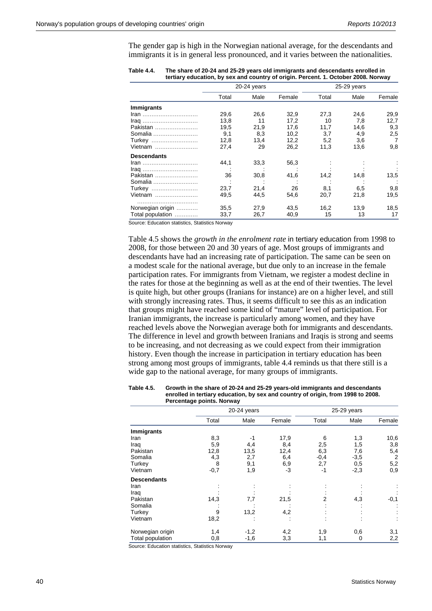The gender gap is high in the Norwegian national average, for the descendants and immigrants it is in general less pronounced, and it varies between the nationalities.

|                    |       | 20-24 years |        |       | 25-29 years |                |
|--------------------|-------|-------------|--------|-------|-------------|----------------|
|                    | Total | Male        | Female | Total | Male        | Female         |
| <b>Immigrants</b>  |       |             |        |       |             |                |
| Iran               | 29.6  | 26,6        | 32,9   | 27,3  | 24,6        | 29,9           |
|                    | 13,8  | 11          | 17,2   | 10    | 7,8         | 12,7           |
| Pakistan           | 19,5  | 21.9        | 17.6   | 11,7  | 14,6        | 9,3            |
| Somalia            | 9,1   | 8,3         | 10,2   | 3,7   | 4,9         | 2,5            |
| Turkey             | 12,8  | 13,4        | 12,2   | 5,2   | 3,6         | $\overline{7}$ |
| Vietnam            | 27,4  | 29          | 26,2   | 11,3  | 13,6        | 9,8            |
| <b>Descendants</b> |       |             |        |       |             |                |
| <u>Iran </u>       | 44,1  | 33,3        | 56,3   |       |             |                |
|                    |       |             |        |       |             |                |
| Pakistan           | 36    | 30,8        | 41,6   | 14,2  | 14,8        | 13,5           |
| Somalia            |       |             |        |       |             |                |
| Turkey             | 23,7  | 21,4        | 26     | 8,1   | 6,5         | 9,8            |
| Vietnam            | 49,5  | 44,5        | 54,6   | 20,7  | 21,8        | 19,5           |
| Norwegian origin   | 35,5  | 27,9        | 43,5   | 16,2  | 13,9        | 18,5           |
| Total population   | 33,7  | 26,7        | 40,9   | 15    | 13          | 17             |

**Table 4.4. The share of 20-24 and 25-29 years old immigrants and descendants enrolled in tertiary education, by sex and country of origin. Percent. 1. October 2008. Norway** 

Source: Education statistics, Statistics Norway

Table 4.5 shows the *growth in the enrolment rate* in tertiary education from 1998 to 2008, for those between 20 and 30 years of age. Most groups of immigrants and descendants have had an increasing rate of participation. The same can be seen on a modest scale for the national average, but due only to an increase in the female participation rates. For immigrants from Vietnam, we register a modest decline in the rates for those at the beginning as well as at the end of their twenties. The level is quite high, but other groups (Iranians for instance) are on a higher level, and still with strongly increasing rates. Thus, it seems difficult to see this as an indication that groups might have reached some kind of "mature" level of participation. For Iranian immigrants, the increase is particularly among women, and they have reached levels above the Norwegian average both for immigrants and descendants. The difference in level and growth between Iranians and Iraqis is strong and seems to be increasing, and not decreasing as we could expect from their immigration history. Even though the increase in participation in tertiary education has been strong among most groups of immigrants, table 4.4 reminds us that there still is a wide gap to the national average, for many groups of immigrants.

| Table 4.5. | Growth in the share of 20-24 and 25-29 years-old immigrants and descendants      |
|------------|----------------------------------------------------------------------------------|
|            | enrolled in tertiary education, by sex and country of origin, from 1998 to 2008. |
|            | Percentage points. Norway                                                        |

|                    |        | 20-24 years |            | 25-29 years |        |                |
|--------------------|--------|-------------|------------|-------------|--------|----------------|
|                    | Total  | Male        | Female     | Total       | Male   | Female         |
| <b>Immigrants</b>  |        |             |            |             |        |                |
| Iran               | 8,3    | -1          | 17,9       | 6           | 1,3    | 10,6           |
| Iraq               | 5,9    | 4,4         | 8,4        | 2,5         | 1,5    | 3,8            |
| Pakistan           | 12,8   | 13,5        | 12,4       | 6,3         | 7,6    | 5,4            |
| Somalia            | 4,3    | 2,7         | 6,4        | $-0,4$      | $-3,5$ | $\overline{2}$ |
| Turkey             | 8      | 9,1         | 6,9        | 2,7         | 0,5    | 5,2            |
| Vietnam            | $-0,7$ | 1,9         | $-3$       | -1          | $-2,3$ | 0,9            |
| <b>Descendants</b> |        |             |            |             |        |                |
| Iran               |        |             |            |             |        |                |
| Iraq               |        |             |            |             |        |                |
| Pakistan           | 14,3   | 7,7         | 21,5       | 2           | 4,3    | $-0,1$         |
| Somalia            |        |             |            |             |        |                |
| Turkey             | 9      | 13,2        | 4,2        |             |        |                |
| Vietnam            | 18,2   |             | $\epsilon$ |             |        |                |
| Norwegian origin   | 1,4    | $-1,2$      | 4,2        | 1,9         | 0,6    | 3,1            |
| Total population   | 0,8    | $-1,6$      | 3,3        | 1,1         | 0      | 2,2            |

Source: Education statistics, Statistics Norway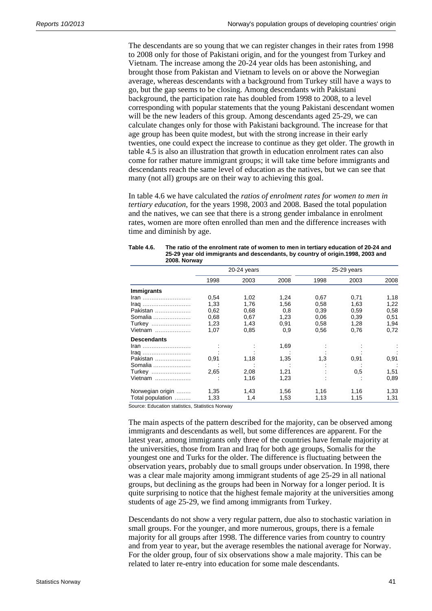The descendants are so young that we can register changes in their rates from 1998 to 2008 only for those of Pakistani origin, and for the youngest from Turkey and Vietnam. The increase among the 20-24 year olds has been astonishing, and brought those from Pakistan and Vietnam to levels on or above the Norwegian average, whereas descendants with a background from Turkey still have a ways to go, but the gap seems to be closing. Among descendants with Pakistani background, the participation rate has doubled from 1998 to 2008, to a level corresponding with popular statements that the young Pakistani descendant women will be the new leaders of this group. Among descendants aged 25-29, we can calculate changes only for those with Pakistani background. The increase for that age group has been quite modest, but with the strong increase in their early twenties, one could expect the increase to continue as they get older. The growth in table 4.5 is also an illustration that growth in education enrolment rates can also come for rather mature immigrant groups; it will take time before immigrants and descendants reach the same level of education as the natives, but we can see that many (not all) groups are on their way to achieving this goal.

In table 4.6 we have calculated the *ratios of enrolment rates for women to men in tertiary education*, for the years 1998, 2003 and 2008. Based the total population and the natives, we can see that there is a strong gender imbalance in enrolment rates, women are more often enrolled than men and the difference increases with time and diminish by age.

|                    |      | 20-24 years |      |      | $25-29$ years |      |
|--------------------|------|-------------|------|------|---------------|------|
|                    | 1998 | 2003        | 2008 | 1998 | 2003          | 2008 |
| Immigrants         |      |             |      |      |               |      |
| <u>Iran </u>       | 0,54 | 1,02        | 1,24 | 0,67 | 0,71          | 1,18 |
| Iraq               | 1,33 | 1,76        | 1,56 | 0,58 | 1,63          | 1,22 |
| Pakistan           | 0,62 | 0.68        | 0,8  | 0,39 | 0,59          | 0,58 |
| Somalia            | 0,68 | 0,67        | 1,23 | 0,06 | 0,39          | 0,51 |
| Turkey             | 1.23 | 1,43        | 0,91 | 0,58 | 1,28          | 1,94 |
| Vietnam            | 1,07 | 0.85        | 0,9  | 0,56 | 0,76          | 0,72 |
| <b>Descendants</b> |      |             |      |      |               |      |
| Iran               |      |             | 1,69 |      |               |      |
| Iraq               |      |             |      |      |               |      |
| Pakistan           | 0,91 | 1,18        | 1,35 | 1,3  | 0,91          | 0,91 |
| Somalia            |      |             |      |      |               |      |
| Turkey             | 2,65 | 2,08        | 1,21 |      | 0,5           | 1,51 |
| Vietnam            |      | 1,16        | 1,23 |      |               | 0,89 |
| Norwegian origin   | 1,35 | 1.43        | 1,56 | 1,16 | 1,16          | 1,33 |
| Total population   | 1,33 | 1,4         | 1,53 | 1,13 | 1,15          | 1,31 |

| Table 4.6. | The ratio of the enrolment rate of women to men in tertiary education of 20-24 and |
|------------|------------------------------------------------------------------------------------|
|            | 25-29 year old immigrants and descendants, by country of origin.1998, 2003 and     |
|            | 2008. Norway                                                                       |

Source: Education statistics, Statistics Norway

The main aspects of the pattern described for the majority, can be observed among immigrants and descendants as well, but some differences are apparent. For the latest year, among immigrants only three of the countries have female majority at the universities, those from Iran and Iraq for both age groups, Somalis for the youngest one and Turks for the older. The difference is fluctuating between the observation years, probably due to small groups under observation. In 1998, there was a clear male majority among immigrant students of age 25-29 in all national groups, but declining as the groups had been in Norway for a longer period. It is quite surprising to notice that the highest female majority at the universities among students of age 25-29, we find among immigrants from Turkey.

Descendants do not show a very regular pattern, due also to stochastic variation in small groups. For the younger, and more numerous, groups, there is a female majority for all groups after 1998. The difference varies from country to country and from year to year, but the average resembles the national average for Norway. For the older group, four of six observations show a male majority. This can be related to later re-entry into education for some male descendants.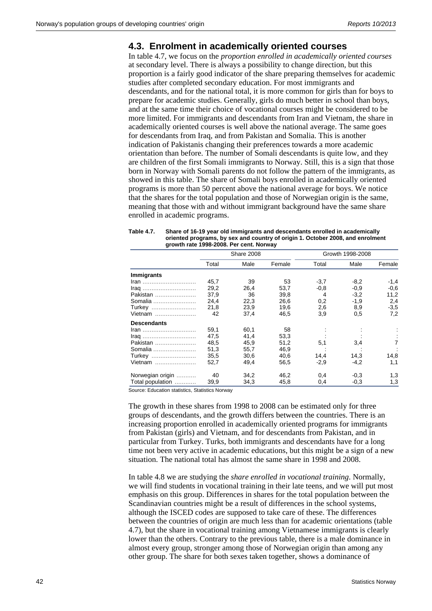#### **4.3. Enrolment in academically oriented courses**

In table 4.7, we focus on the *proportion enrolled in academically oriented courses* at secondary level. There is always a possibility to change direction, but this proportion is a fairly good indicator of the share preparing themselves for academic studies after completed secondary education. For most immigrants and descendants, and for the national total, it is more common for girls than for boys to prepare for academic studies. Generally, girls do much better in school than boys, and at the same time their choice of vocational courses might be considered to be more limited. For immigrants and descendants from Iran and Vietnam, the share in academically oriented courses is well above the national average. The same goes for descendants from Iraq, and from Pakistan and Somalia. This is another indication of Pakistanis changing their preferences towards a more academic orientation than before. The number of Somali descendants is quite low, and they are children of the first Somali immigrants to Norway. Still, this is a sign that those born in Norway with Somali parents do not follow the pattern of the immigrants, as showed in this table. The share of Somali boys enrolled in academically oriented programs is more than 50 percent above the national average for boys. We notice that the shares for the total population and those of Norwegian origin is the same, meaning that those with and without immigrant background have the same share enrolled in academic programs.

| Table 4.7. | Share of 16-19 year old immigrants and descendants enrolled in academically    |
|------------|--------------------------------------------------------------------------------|
|            | oriented programs, by sex and country of origin 1. October 2008, and enrolment |
|            | growth rate 1998-2008. Per cent. Norway                                        |

|                    |       | Share 2008 |        |        | Growth 1998-2008 |        |
|--------------------|-------|------------|--------|--------|------------------|--------|
|                    | Total | Male       | Female | Total  | Male             | Female |
| <b>Immigrants</b>  |       |            |        |        |                  |        |
| <u>Iran </u>       | 45,7  | 39         | 53     | $-3,7$ | $-8,2$           | $-1,4$ |
|                    | 29,2  | 26,4       | 53,7   | $-0,8$ | $-0.9$           | $-0,6$ |
| Pakistan           | 37,9  | 36         | 39,8   | 4      | $-3,2$           | 11,2   |
| Somalia            | 24,4  | 22,3       | 26,6   | 0,2    | $-1,9$           | 2,4    |
| Turkey             | 21,8  | 23,9       | 19,6   | 2,6    | 8,9              | $-3.5$ |
| Vietnam            | 42    | 37,4       | 46,5   | 3,9    | 0.5              | 7,2    |
| <b>Descendants</b> |       |            |        |        |                  |        |
| Iran               | 59,1  | 60,1       | 58     |        |                  |        |
|                    | 47,5  | 41,4       | 53,3   |        |                  |        |
| Pakistan           | 48,5  | 45,9       | 51,2   | 5,1    | 3,4              | 7      |
| Somalia            | 51,3  | 55,7       | 46.9   |        |                  |        |
| Turkey             | 35,5  | 30,6       | 40.6   | 14,4   | 14.3             | 14,8   |
| Vietnam            | 52,7  | 49,4       | 56,5   | $-2,9$ | -4,2             | 1,1    |
| Norwegian origin   | 40    | 34,2       | 46,2   | 0,4    | $-0.3$           | 1,3    |
| Total population   | 39,9  | 34,3       | 45,8   | 0,4    | $-0.3$           | 1,3    |

Source: Education statistics, Statistics Norway

The growth in these shares from 1998 to 2008 can be estimated only for three groups of descendants, and the growth differs between the countries. There is an increasing proportion enrolled in academically oriented programs for immigrants from Pakistan (girls) and Vietnam, and for descendants from Pakistan, and in particular from Turkey. Turks, both immigrants and descendants have for a long time not been very active in academic educations, but this might be a sign of a new situation. The national total has almost the same share in 1998 and 2008.

In table 4.8 we are studying the *share enrolled in vocational training*. Normally, we will find students in vocational training in their late teens, and we will put most emphasis on this group. Differences in shares for the total population between the Scandinavian countries might be a result of differences in the school systems, although the ISCED codes are supposed to take care of these. The differences between the countries of origin are much less than for academic orientations (table 4.7), but the share in vocational training among Vietnamese immigrants is clearly lower than the others. Contrary to the previous table, there is a male dominance in almost every group, stronger among those of Norwegian origin than among any other group. The share for both sexes taken together, shows a dominance of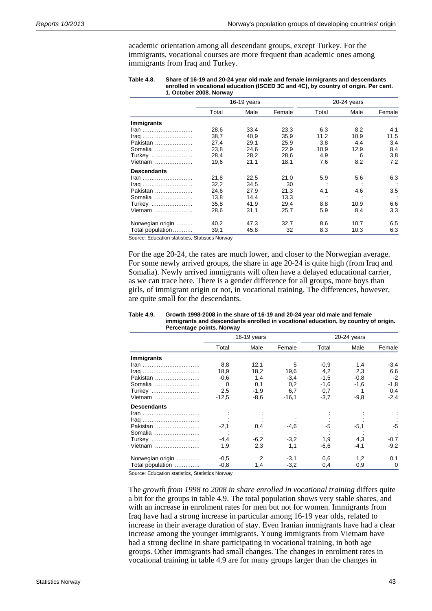academic orientation among all descendant groups, except Turkey. For the immigrants, vocational courses are more frequent than academic ones among immigrants from Iraq and Turkey.

| Table 4.8. | Share of 16-19 and 20-24 year old male and female immigrants and descendants        |
|------------|-------------------------------------------------------------------------------------|
|            | enrolled in vocational education (ISCED 3C and 4C), by country of origin. Per cent. |
|            | 1. October 2008. Norway                                                             |

| $16-19$ years |      |        | $20-24$ years |      |        |  |
|---------------|------|--------|---------------|------|--------|--|
| Total         | Male | Female | Total         | Male | Female |  |
|               |      |        |               |      |        |  |
| 28,6          | 33,4 | 23,3   | 6,3           | 8,2  | 4,1    |  |
| 38,7          | 40.9 | 35.9   | 11,2          | 10.9 | 11,5   |  |
| 27,4          | 29,1 | 25,9   | 3,8           | 4,4  | 3,4    |  |
| 23,8          | 24,6 | 22,9   | 10,9          |      | 8,4    |  |
| 28,4          | 28,2 | 28,6   | 4,9           | 6    | 3,8    |  |
| 19,6          | 21,1 | 18,1   | 7,6           | 8,2  | 7,2    |  |
|               |      |        |               |      |        |  |
| 21,8          | 22,5 | 21,0   | 5,9           | 5,6  | 6,3    |  |
| 32,2          | 34,5 | 30     |               |      |        |  |
| 24,6          | 27,9 | 21,3   | 4,1           | 4,6  | 3,5    |  |
| 13,8          | 14,4 | 13,3   |               |      |        |  |
| 35,8          | 41,9 | 29.4   | 8,8           | 10.9 | 6,6    |  |
| 28,6          | 31,1 | 25,7   | 5,9           | 8,4  | 3,3    |  |
| 40,2          | 47,3 | 32,7   | 8,6           | 10,7 | 6,5    |  |
| 39,1          | 45,8 | 32     | 8,3           | 10,3 | 6,3    |  |
|               |      |        |               |      | 12,9   |  |

Source: Education statistics, Statistics Norway

For the age 20-24, the rates are much lower, and closer to the Norwegian average. For some newly arrived groups, the share in age 20-24 is quite high (from Iraq and Somalia). Newly arrived immigrants will often have a delayed educational carrier, as we can trace here. There is a gender difference for all groups, more boys than girls, of immigrant origin or not, in vocational training. The differences, however, are quite small for the descendants.

|                    | 16-19 years |        |         | $20-24$ years |        |          |  |
|--------------------|-------------|--------|---------|---------------|--------|----------|--|
|                    | Total       | Male   | Female  | Total         | Male   | Female   |  |
| <b>Immigrants</b>  |             |        |         |               |        |          |  |
| <u>Iran </u>       | 8,8         | 12,1   | 5       | $-0.9$        | 1,4    | $-3,4$   |  |
|                    | 18,9        | 18,2   | 19,6    | 4,2           | 2,3    | 6,6      |  |
| Pakistan           | -0,6        | 1,4    | $-3,4$  | $-1.5$        | $-0.8$ | $-2$     |  |
| Somalia            | $\Omega$    | 0,1    | 0,2     | $-1,6$        | $-1,6$ | $-1,8$   |  |
| Turkey             | 2,5         | $-1,9$ | 6,7     | 0,7           |        | 0,4      |  |
| Vietnam            | $-12.5$     | $-8,6$ | $-16,1$ | $-3,7$        | $-9,8$ | $-2,4$   |  |
| <b>Descendants</b> |             |        |         |               |        |          |  |
| <u>Iran </u>       |             |        |         |               |        |          |  |
|                    |             |        |         |               |        |          |  |
| Pakistan           | $-2.1$      | 0,4    | $-4,6$  | -5            | $-5,1$ | $-5$     |  |
| Somalia            |             |        |         |               |        |          |  |
| Turkey             | $-4.4$      | $-6,2$ | $-3,2$  | 1,9           | 4,3    | $-0,7$   |  |
| Vietnam            | 1,9         | 2,3    | 1,1     | -6.6          | -4,1   | $-9,2$   |  |
| Norwegian origin   | $-0.5$      | 2      | $-3.1$  | 0.6           | 1,2    | 0,1      |  |
| Total population   | $-0,8$      | 1,4    | $-3,2$  | 0,4           | 0.9    | $\Omega$ |  |

#### **Table 4.9. Growth 1998-2008 in the share of 16-19 and 20-24 year old male and female immigrants and descendants enrolled in vocational education, by country of origin. Percentage points. Norway**

**Source: Education statistics, Statistics Norway** 

The *growth from 1998 to 2008 in share enrolled in vocational training* differs quite a bit for the groups in table 4.9. The total population shows very stable shares, and with an increase in enrolment rates for men but not for women. Immigrants from Iraq have had a strong increase in particular among 16-19 year olds, related to increase in their average duration of stay. Even Iranian immigrants have had a clear increase among the younger immigrants. Young immigrants from Vietnam have had a strong decline in share participating in vocational training, in both age groups. Other immigrants had small changes. The changes in enrolment rates in vocational training in table 4.9 are for many groups larger than the changes in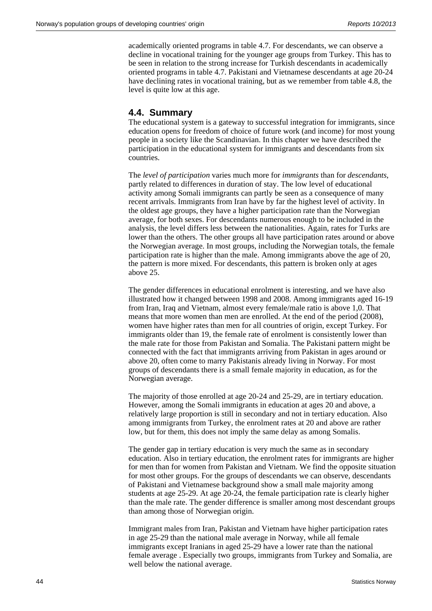academically oriented programs in table 4.7. For descendants, we can observe a decline in vocational training for the younger age groups from Turkey. This has to be seen in relation to the strong increase for Turkish descendants in academically oriented programs in table 4.7. Pakistani and Vietnamese descendants at age 20-24 have declining rates in vocational training, but as we remember from table 4.8, the level is quite low at this age.

#### **4.4. Summary**

The educational system is a gateway to successful integration for immigrants, since education opens for freedom of choice of future work (and income) for most young people in a society like the Scandinavian. In this chapter we have described the participation in the educational system for immigrants and descendants from six countries.

The *level of participation* varies much more for *immigrants* than for *descendants*, partly related to differences in duration of stay. The low level of educational activity among Somali immigrants can partly be seen as a consequence of many recent arrivals. Immigrants from Iran have by far the highest level of activity. In the oldest age groups, they have a higher participation rate than the Norwegian average, for both sexes. For descendants numerous enough to be included in the analysis, the level differs less between the nationalities. Again, rates for Turks are lower than the others. The other groups all have participation rates around or above the Norwegian average. In most groups, including the Norwegian totals, the female participation rate is higher than the male. Among immigrants above the age of 20, the pattern is more mixed. For descendants, this pattern is broken only at ages above 25.

The gender differences in educational enrolment is interesting, and we have also illustrated how it changed between 1998 and 2008. Among immigrants aged 16-19 from Iran, Iraq and Vietnam, almost every female/male ratio is above 1,0. That means that more women than men are enrolled. At the end of the period (2008), women have higher rates than men for all countries of origin, except Turkey. For immigrants older than 19, the female rate of enrolment is consistently lower than the male rate for those from Pakistan and Somalia. The Pakistani pattern might be connected with the fact that immigrants arriving from Pakistan in ages around or above 20, often come to marry Pakistanis already living in Norway. For most groups of descendants there is a small female majority in education, as for the Norwegian average.

The majority of those enrolled at age 20-24 and 25-29, are in tertiary education. However, among the Somali immigrants in education at ages 20 and above, a relatively large proportion is still in secondary and not in tertiary education. Also among immigrants from Turkey, the enrolment rates at 20 and above are rather low, but for them, this does not imply the same delay as among Somalis.

The gender gap in tertiary education is very much the same as in secondary education. Also in tertiary education, the enrolment rates for immigrants are higher for men than for women from Pakistan and Vietnam. We find the opposite situation for most other groups. For the groups of descendants we can observe, descendants of Pakistani and Vietnamese background show a small male majority among students at age 25-29. At age 20-24, the female participation rate is clearly higher than the male rate. The gender difference is smaller among most descendant groups than among those of Norwegian origin.

Immigrant males from Iran, Pakistan and Vietnam have higher participation rates in age 25-29 than the national male average in Norway, while all female immigrants except Iranians in aged 25-29 have a lower rate than the national female average . Especially two groups, immigrants from Turkey and Somalia, are well below the national average.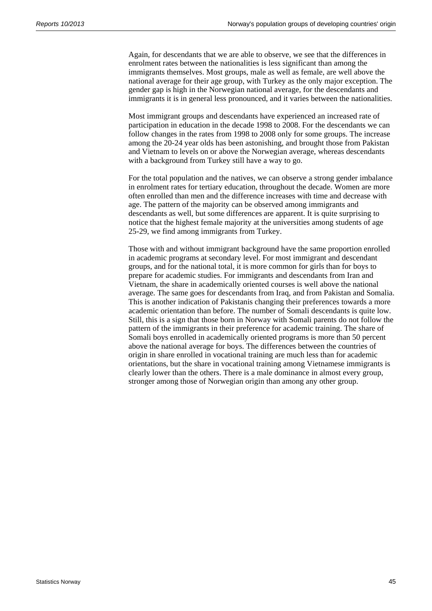Again, for descendants that we are able to observe, we see that the differences in enrolment rates between the nationalities is less significant than among the immigrants themselves. Most groups, male as well as female, are well above the national average for their age group, with Turkey as the only major exception. The gender gap is high in the Norwegian national average, for the descendants and immigrants it is in general less pronounced, and it varies between the nationalities.

Most immigrant groups and descendants have experienced an increased rate of participation in education in the decade 1998 to 2008. For the descendants we can follow changes in the rates from 1998 to 2008 only for some groups. The increase among the 20-24 year olds has been astonishing, and brought those from Pakistan and Vietnam to levels on or above the Norwegian average, whereas descendants with a background from Turkey still have a way to go.

For the total population and the natives, we can observe a strong gender imbalance in enrolment rates for tertiary education, throughout the decade. Women are more often enrolled than men and the difference increases with time and decrease with age. The pattern of the majority can be observed among immigrants and descendants as well, but some differences are apparent. It is quite surprising to notice that the highest female majority at the universities among students of age 25-29, we find among immigrants from Turkey.

Those with and without immigrant background have the same proportion enrolled in academic programs at secondary level. For most immigrant and descendant groups, and for the national total, it is more common for girls than for boys to prepare for academic studies. For immigrants and descendants from Iran and Vietnam, the share in academically oriented courses is well above the national average. The same goes for descendants from Iraq, and from Pakistan and Somalia. This is another indication of Pakistanis changing their preferences towards a more academic orientation than before. The number of Somali descendants is quite low. Still, this is a sign that those born in Norway with Somali parents do not follow the pattern of the immigrants in their preference for academic training. The share of Somali boys enrolled in academically oriented programs is more than 50 percent above the national average for boys. The differences between the countries of origin in share enrolled in vocational training are much less than for academic orientations, but the share in vocational training among Vietnamese immigrants is clearly lower than the others. There is a male dominance in almost every group, stronger among those of Norwegian origin than among any other group.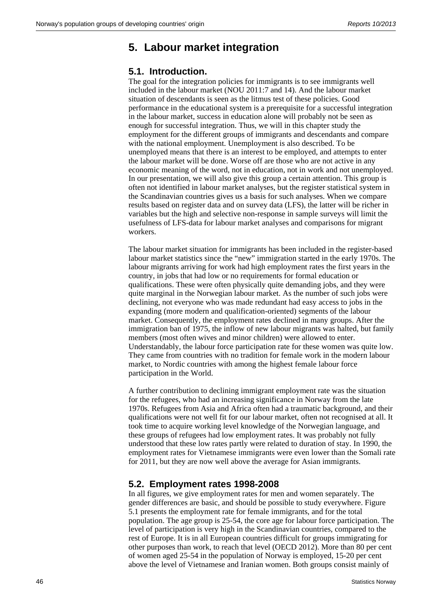# **5. Labour market integration**

#### **5.1. Introduction.**

The goal for the integration policies for immigrants is to see immigrants well included in the labour market (NOU 2011:7 and 14). And the labour market situation of descendants is seen as the litmus test of these policies. Good performance in the educational system is a prerequisite for a successful integration in the labour market, success in education alone will probably not be seen as enough for successful integration. Thus, we will in this chapter study the employment for the different groups of immigrants and descendants and compare with the national employment. Unemployment is also described. To be unemployed means that there is an interest to be employed, and attempts to enter the labour market will be done. Worse off are those who are not active in any economic meaning of the word, not in education, not in work and not unemployed. In our presentation, we will also give this group a certain attention. This group is often not identified in labour market analyses, but the register statistical system in the Scandinavian countries gives us a basis for such analyses. When we compare results based on register data and on survey data (LFS), the latter will be richer in variables but the high and selective non-response in sample surveys will limit the usefulness of LFS-data for labour market analyses and comparisons for migrant workers.

The labour market situation for immigrants has been included in the register-based labour market statistics since the "new" immigration started in the early 1970s. The labour migrants arriving for work had high employment rates the first years in the country, in jobs that had low or no requirements for formal education or qualifications. These were often physically quite demanding jobs, and they were quite marginal in the Norwegian labour market. As the number of such jobs were declining, not everyone who was made redundant had easy access to jobs in the expanding (more modern and qualification-oriented) segments of the labour market. Consequently, the employment rates declined in many groups. After the immigration ban of 1975, the inflow of new labour migrants was halted, but family members (most often wives and minor children) were allowed to enter. Understandably, the labour force participation rate for these women was quite low. They came from countries with no tradition for female work in the modern labour market, to Nordic countries with among the highest female labour force participation in the World.

A further contribution to declining immigrant employment rate was the situation for the refugees, who had an increasing significance in Norway from the late 1970s. Refugees from Asia and Africa often had a traumatic background, and their qualifications were not well fit for our labour market, often not recognised at all. It took time to acquire working level knowledge of the Norwegian language, and these groups of refugees had low employment rates. It was probably not fully understood that these low rates partly were related to duration of stay. In 1990, the employment rates for Vietnamese immigrants were even lower than the Somali rate for 2011, but they are now well above the average for Asian immigrants.

### **5.2. Employment rates 1998-2008**

In all figures, we give employment rates for men and women separately. The gender differences are basic, and should be possible to study everywhere. Figure 5.1 presents the employment rate for female immigrants, and for the total population. The age group is 25-54, the core age for labour force participation. The level of participation is very high in the Scandinavian countries, compared to the rest of Europe. It is in all European countries difficult for groups immigrating for other purposes than work, to reach that level (OECD 2012). More than 80 per cent of women aged 25-54 in the population of Norway is employed, 15-20 per cent above the level of Vietnamese and Iranian women. Both groups consist mainly of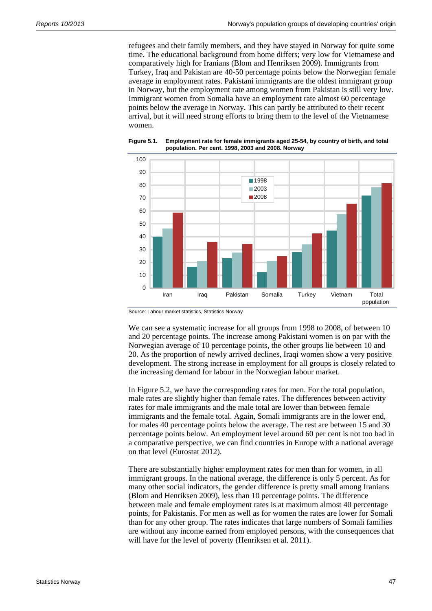refugees and their family members, and they have stayed in Norway for quite some time. The educational background from home differs; very low for Vietnamese and comparatively high for Iranians (Blom and Henriksen 2009). Immigrants from Turkey, Iraq and Pakistan are 40-50 percentage points below the Norwegian female average in employment rates. Pakistani immigrants are the oldest immigrant group in Norway, but the employment rate among women from Pakistan is still very low. Immigrant women from Somalia have an employment rate almost 60 percentage points below the average in Norway. This can partly be attributed to their recent arrival, but it will need strong efforts to bring them to the level of the Vietnamese women.



**Figure 5.1. Employment rate for female immigrants aged 25-54, by country of birth, and total population. Per cent. 1998, 2003 and 2008. Norway** 

Source: Labour market statistics, Statistics Norway

We can see a systematic increase for all groups from 1998 to 2008, of between 10 and 20 percentage points. The increase among Pakistani women is on par with the Norwegian average of 10 percentage points, the other groups lie between 10 and 20. As the proportion of newly arrived declines, Iraqi women show a very positive development. The strong increase in employment for all groups is closely related to the increasing demand for labour in the Norwegian labour market.

In Figure 5.2, we have the corresponding rates for men. For the total population, male rates are slightly higher than female rates. The differences between activity rates for male immigrants and the male total are lower than between female immigrants and the female total. Again, Somali immigrants are in the lower end, for males 40 percentage points below the average. The rest are between 15 and 30 percentage points below. An employment level around 60 per cent is not too bad in a comparative perspective, we can find countries in Europe with a national average on that level (Eurostat 2012).

There are substantially higher employment rates for men than for women, in all immigrant groups. In the national average, the difference is only 5 percent. As for many other social indicators, the gender difference is pretty small among Iranians (Blom and Henriksen 2009), less than 10 percentage points. The difference between male and female employment rates is at maximum almost 40 percentage points, for Pakistanis. For men as well as for women the rates are lower for Somali than for any other group. The rates indicates that large numbers of Somali families are without any income earned from employed persons, with the consequences that will have for the level of poverty (Henriksen et al. 2011).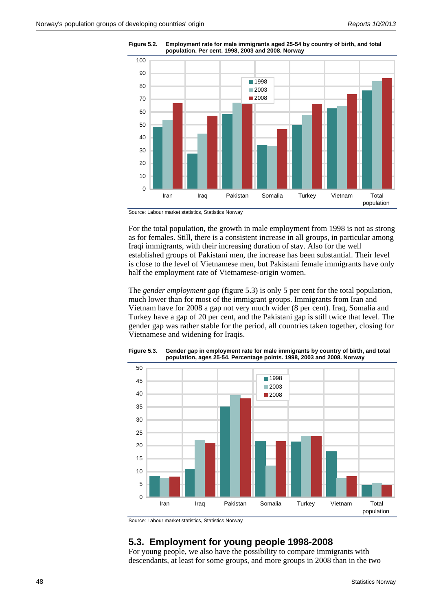

**Figure 5.2. Employment rate for male immigrants aged 25-54 by country of birth, and total population. Per cent. 1998, 2003 and 2008. Norway** 

Source: Labour market statistics, Statistics Norway

For the total population, the growth in male employment from 1998 is not as strong as for females. Still, there is a consistent increase in all groups, in particular among Iraqi immigrants, with their increasing duration of stay. Also for the well established groups of Pakistani men, the increase has been substantial. Their level is close to the level of Vietnamese men, but Pakistani female immigrants have only half the employment rate of Vietnamese-origin women.

The *gender employment gap* (figure 5.3) is only 5 per cent for the total population, much lower than for most of the immigrant groups. Immigrants from Iran and Vietnam have for 2008 a gap not very much wider (8 per cent). Iraq, Somalia and Turkey have a gap of 20 per cent, and the Pakistani gap is still twice that level. The gender gap was rather stable for the period, all countries taken together, closing for Vietnamese and widening for Iraqis.



**Figure 5.3. Gender gap in employment rate for male immigrants by country of birth, and total population, ages 25-54. Percentage points. 1998, 2003 and 2008. Norway** 

Source: Labour market statistics, Statistics Norway

### **5.3. Employment for young people 1998-2008**

For young people, we also have the possibility to compare immigrants with descendants, at least for some groups, and more groups in 2008 than in the two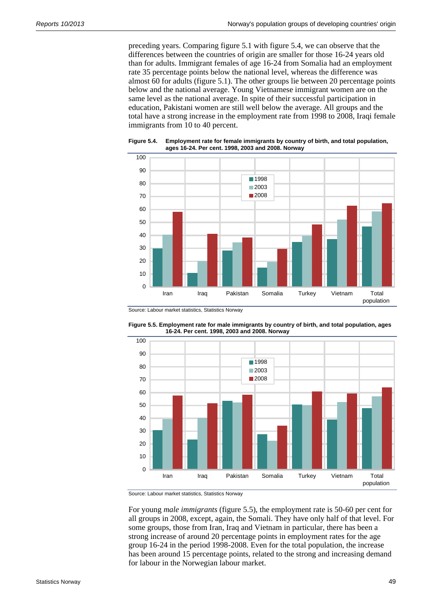preceding years. Comparing figure 5.1 with figure 5.4, we can observe that the differences between the countries of origin are smaller for those 16-24 years old than for adults. Immigrant females of age 16-24 from Somalia had an employment rate 35 percentage points below the national level, whereas the difference was almost 60 for adults (figure 5.1). The other groups lie between 20 percentage points below and the national average. Young Vietnamese immigrant women are on the same level as the national average. In spite of their successful participation in education, Pakistani women are still well below the average. All groups and the total have a strong increase in the employment rate from 1998 to 2008, Iraqi female immigrants from 10 to 40 percent.



**Figure 5.4. Employment rate for female immigrants by country of birth, and total population, ages 16-24. Per cent. 1998, 2003 and 2008. Norway** 

Source: Labour market statistics, Statistics Norway



**Figure 5.5. Employment rate for male immigrants by country of birth, and total population, ages 16-24. Per cent. 1998, 2003 and 2008. Norway** 

Source: Labour market statistics, Statistics Norway

For young *male immigrants* (figure 5.5), the employment rate is 50-60 per cent for all groups in 2008, except, again, the Somali. They have only half of that level. For some groups, those from Iran, Iraq and Vietnam in particular, there has been a strong increase of around 20 percentage points in employment rates for the age group 16-24 in the period 1998-2008. Even for the total population, the increase has been around 15 percentage points, related to the strong and increasing demand for labour in the Norwegian labour market.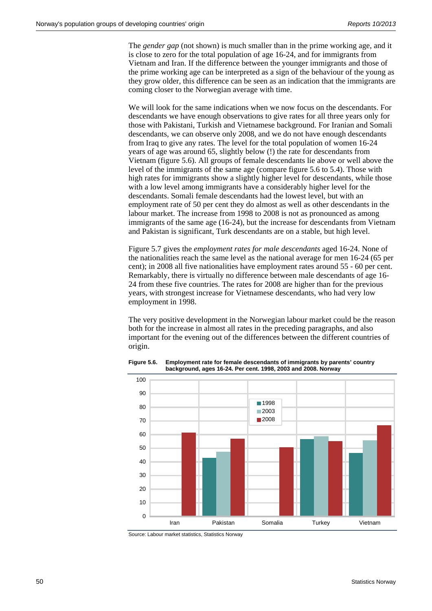The *gender gap* (not shown) is much smaller than in the prime working age, and it is close to zero for the total population of age 16-24, and for immigrants from Vietnam and Iran. If the difference between the younger immigrants and those of the prime working age can be interpreted as a sign of the behaviour of the young as they grow older, this difference can be seen as an indication that the immigrants are coming closer to the Norwegian average with time.

We will look for the same indications when we now focus on the descendants. For descendants we have enough observations to give rates for all three years only for those with Pakistani, Turkish and Vietnamese background. For Iranian and Somali descendants, we can observe only 2008, and we do not have enough descendants from Iraq to give any rates. The level for the total population of women 16-24 years of age was around 65, slightly below (!) the rate for descendants from Vietnam (figure 5.6). All groups of female descendants lie above or well above the level of the immigrants of the same age (compare figure 5.6 to 5.4). Those with high rates for immigrants show a slightly higher level for descendants, while those with a low level among immigrants have a considerably higher level for the descendants. Somali female descendants had the lowest level, but with an employment rate of 50 per cent they do almost as well as other descendants in the labour market. The increase from 1998 to 2008 is not as pronounced as among immigrants of the same age (16-24), but the increase for descendants from Vietnam and Pakistan is significant, Turk descendants are on a stable, but high level.

Figure 5.7 gives the *employment rates for male descendants* aged 16-24. None of the nationalities reach the same level as the national average for men 16-24 (65 per cent); in 2008 all five nationalities have employment rates around 55 - 60 per cent. Remarkably, there is virtually no difference between male descendants of age 16- 24 from these five countries. The rates for 2008 are higher than for the previous years, with strongest increase for Vietnamese descendants, who had very low employment in 1998.

The very positive development in the Norwegian labour market could be the reason both for the increase in almost all rates in the preceding paragraphs, and also important for the evening out of the differences between the different countries of origin.



**Figure 5.6. Employment rate for female descendants of immigrants by parents' country background, ages 16-24. Per cent. 1998, 2003 and 2008. Norway** 

Source: Labour market statistics, Statistics Norway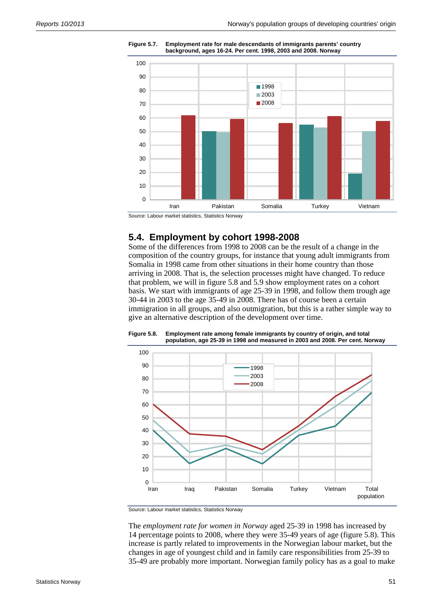

**Figure 5.7. Employment rate for male descendants of immigrants parents' country background, ages 16-24. Per cent. 1998, 2003 and 2008. Norway** 

Source: Labour market statistics, Statistics Norway

#### **5.4. Employment by cohort 1998-2008**

Some of the differences from 1998 to 2008 can be the result of a change in the composition of the country groups, for instance that young adult immigrants from Somalia in 1998 came from other situations in their home country than those arriving in 2008. That is, the selection processes might have changed. To reduce that problem, we will in figure 5.8 and 5.9 show employment rates on a cohort basis. We start with immigrants of age 25-39 in 1998, and follow them trough age 30-44 in 2003 to the age 35-49 in 2008. There has of course been a certain immigration in all groups, and also outmigration, but this is a rather simple way to give an alternative description of the development over time.



**Figure 5.8. Employment rate among female immigrants by country of origin, and total population, age 25-39 in 1998 and measured in 2003 and 2008. Per cent. Norway** 

Source: Labour market statistics, Statistics Norway

The *employment rate for women in Norway* aged 25-39 in 1998 has increased by 14 percentage points to 2008, where they were 35-49 years of age (figure 5.8). This increase is partly related to improvements in the Norwegian labour market, but the changes in age of youngest child and in family care responsibilities from 25-39 to 35-49 are probably more important. Norwegian family policy has as a goal to make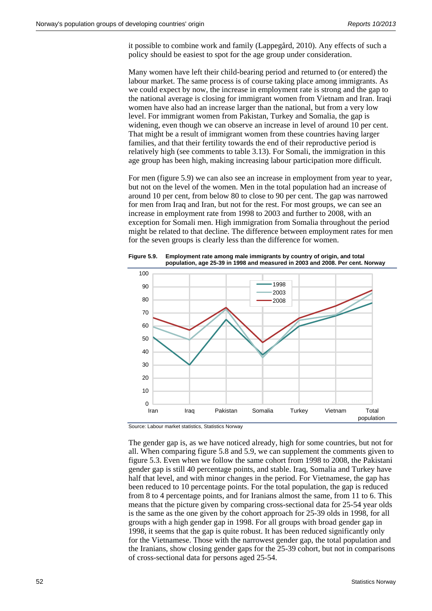it possible to combine work and family (Lappegård, 2010). Any effects of such a policy should be easiest to spot for the age group under consideration.

Many women have left their child-bearing period and returned to (or entered) the labour market. The same process is of course taking place among immigrants. As we could expect by now, the increase in employment rate is strong and the gap to the national average is closing for immigrant women from Vietnam and Iran. Iraqi women have also had an increase larger than the national, but from a very low level. For immigrant women from Pakistan, Turkey and Somalia, the gap is widening, even though we can observe an increase in level of around 10 per cent. That might be a result of immigrant women from these countries having larger families, and that their fertility towards the end of their reproductive period is relatively high (see comments to table 3.13). For Somali, the immigration in this age group has been high, making increasing labour participation more difficult.

For men (figure 5.9) we can also see an increase in employment from year to year, but not on the level of the women. Men in the total population had an increase of around 10 per cent, from below 80 to close to 90 per cent. The gap was narrowed for men from Iraq and Iran, but not for the rest. For most groups, we can see an increase in employment rate from 1998 to 2003 and further to 2008, with an exception for Somali men. High immigration from Somalia throughout the period might be related to that decline. The difference between employment rates for men for the seven groups is clearly less than the difference for women.





Source: Labour market statistics, Statistics Norway

The gender gap is, as we have noticed already, high for some countries, but not for all. When comparing figure 5.8 and 5.9, we can supplement the comments given to figure 5.3. Even when we follow the same cohort from 1998 to 2008, the Pakistani gender gap is still 40 percentage points, and stable. Iraq, Somalia and Turkey have half that level, and with minor changes in the period. For Vietnamese, the gap has been reduced to 10 percentage points. For the total population, the gap is reduced from 8 to 4 percentage points, and for Iranians almost the same, from 11 to 6. This means that the picture given by comparing cross-sectional data for 25-54 year olds is the same as the one given by the cohort approach for 25-39 olds in 1998, for all groups with a high gender gap in 1998. For all groups with broad gender gap in 1998, it seems that the gap is quite robust. It has been reduced significantly only for the Vietnamese. Those with the narrowest gender gap, the total population and the Iranians, show closing gender gaps for the 25-39 cohort, but not in comparisons of cross-sectional data for persons aged 25-54.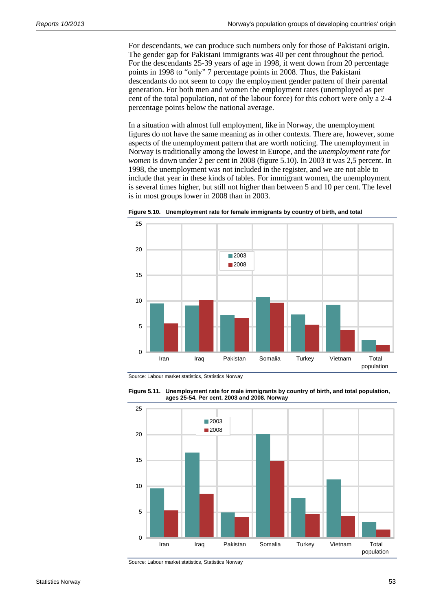For descendants, we can produce such numbers only for those of Pakistani origin. The gender gap for Pakistani immigrants was 40 per cent throughout the period. For the descendants 25-39 years of age in 1998, it went down from 20 percentage points in 1998 to "only" 7 percentage points in 2008. Thus, the Pakistani descendants do not seem to copy the employment gender pattern of their parental generation. For both men and women the employment rates (unemployed as per cent of the total population, not of the labour force) for this cohort were only a 2-4 percentage points below the national average.

In a situation with almost full employment, like in Norway, the unemployment figures do not have the same meaning as in other contexts. There are, however, some aspects of the unemployment pattern that are worth noticing. The unemployment in Norway is traditionally among the lowest in Europe, and the *unemployment rate for women* is down under 2 per cent in 2008 (figure 5.10). In 2003 it was 2,5 percent. In 1998, the unemployment was not included in the register, and we are not able to include that year in these kinds of tables. For immigrant women, the unemployment is several times higher, but still not higher than between 5 and 10 per cent. The level is in most groups lower in 2008 than in 2003.



**Figure 5.10. Unemployment rate for female immigrants by country of birth, and total** 

Source: Labour market statistics, Statistics Norway





Source: Labour market statistics, Statistics Norway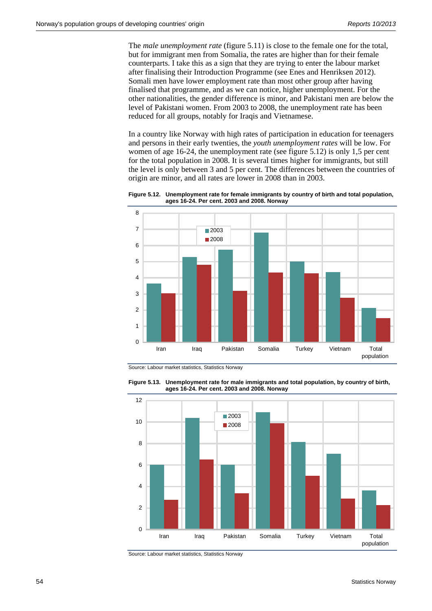The *male unemployment rate* (figure 5.11) is close to the female one for the total, but for immigrant men from Somalia, the rates are higher than for their female counterparts. I take this as a sign that they are trying to enter the labour market after finalising their Introduction Programme (see Enes and Henriksen 2012). Somali men have lower employment rate than most other group after having finalised that programme, and as we can notice, higher unemployment. For the other nationalities, the gender difference is minor, and Pakistani men are below the level of Pakistani women. From 2003 to 2008, the unemployment rate has been reduced for all groups, notably for Iraqis and Vietnamese.

In a country like Norway with high rates of participation in education for teenagers and persons in their early twenties, the *youth unemployment rates* will be low. For women of age 16-24, the unemployment rate (see figure 5.12) is only 1,5 per cent for the total population in 2008. It is several times higher for immigrants, but still the level is only between 3 and 5 per cent. The differences between the countries of origin are minor, and all rates are lower in 2008 than in 2003.

**Figure 5.12. Unemployment rate for female immigrants by country of birth and total population, ages 16-24. Per cent. 2003 and 2008. Norway** 



Source: Labour market statistics, Statistics Norway





Source: Labour market statistics, Statistics Norway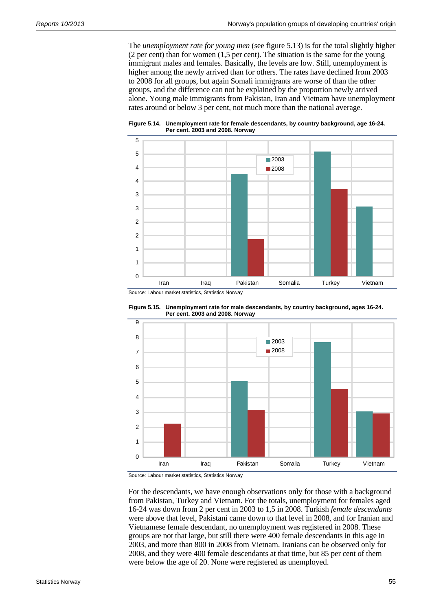The *unemployment rate for young men* (see figure 5.13) is for the total slightly higher (2 per cent) than for women (1,5 per cent). The situation is the same for the young immigrant males and females. Basically, the levels are low. Still, unemployment is higher among the newly arrived than for others. The rates have declined from 2003 to 2008 for all groups, but again Somali immigrants are worse of than the other groups, and the difference can not be explained by the proportion newly arrived alone. Young male immigrants from Pakistan, Iran and Vietnam have unemployment rates around or below 3 per cent, not much more than the national average.

**Figure 5.14. Unemployment rate for female descendants, by country background, age 16-24. Per cent. 2003 and 2008. Norway** 



Source: Labour market statistics, Statistics Norway





Source: Labour market statistics, Statistics Norway

For the descendants, we have enough observations only for those with a background from Pakistan, Turkey and Vietnam. For the totals, unemployment for females aged 16-24 was down from 2 per cent in 2003 to 1,5 in 2008. Turkish *female descendants* were above that level, Pakistani came down to that level in 2008, and for Iranian and Vietnamese female descendant, no unemployment was registered in 2008. These groups are not that large, but still there were 400 female descendants in this age in 2003, and more than 800 in 2008 from Vietnam. Iranians can be observed only for 2008, and they were 400 female descendants at that time, but 85 per cent of them were below the age of 20. None were registered as unemployed.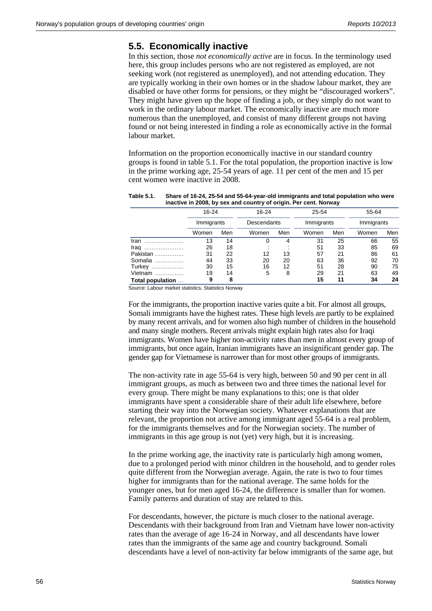#### **5.5. Economically inactive**

In this section, those *not economically active* are in focus. In the terminology used here, this group includes persons who are not registered as employed, are not seeking work (not registered as unemployed), and not attending education. They are typically working in their own homes or in the shadow labour market, they are disabled or have other forms for pensions, or they might be "discouraged workers". They might have given up the hope of finding a job, or they simply do not want to work in the ordinary labour market. The economically inactive are much more numerous than the unemployed, and consist of many different groups not having found or not being interested in finding a role as economically active in the formal labour market.

Information on the proportion economically inactive in our standard country groups is found in table 5.1. For the total population, the proportion inactive is low in the prime working age, 25-54 years of age. 11 per cent of the men and 15 per cent women were inactive in 2008.

| inactive in 2008, by sex and country of origin. Per cent. Norway |                         |     |                      |     |                         |     |                     |     |  |  |
|------------------------------------------------------------------|-------------------------|-----|----------------------|-----|-------------------------|-----|---------------------|-----|--|--|
|                                                                  | $16 - 24$<br>Immigrants |     | 16-24<br>Descendants |     | $25 - 54$<br>Immigrants |     | 55-64<br>Immigrants |     |  |  |
|                                                                  |                         |     |                      |     |                         |     |                     |     |  |  |
|                                                                  | Women                   | Men | Women                | Men | Women                   | Men | Women               | Men |  |  |
| Iran                                                             | 13                      | 14  |                      | 4   | 31                      | 25  | 66                  | 55  |  |  |
| Iraq                                                             | 26                      | 18  |                      |     | 51                      | 33  | 85                  | 69  |  |  |
| Pakistan                                                         | 31                      | 22  | 12                   | 13  | 57                      | 21  | 86                  | 61  |  |  |
| Somalia                                                          | 44                      | 33  | 20                   | 20  | 63                      | 36  | 92                  | 70  |  |  |
| Turkey                                                           | 30                      | 15  | 16                   | 12  | 51                      | 28  | 90                  | 75  |  |  |
| Vietnam                                                          | 19                      | 14  | 5                    | 8   | 29                      | 21  | 63                  | 49  |  |  |
| Total population                                                 | 9                       | 8   |                      |     | 15                      | 11  | 34                  | 24  |  |  |

**Table 5.1. Share of 16-24, 25-54 and 55-64-year-old immigrants and total population who were inactive in 2008, by sex and country of origin. Per cent. Norway** 

Source: Labour market statistics, Statistics Norway

For the immigrants, the proportion inactive varies quite a bit. For almost all groups, Somali immigrants have the highest rates. These high levels are partly to be explained by many recent arrivals, and for women also high number of children in the household and many single mothers. Recent arrivals might explain high rates also for Iraqi immigrants. Women have higher non-activity rates than men in almost every group of immigrants, but once again, Iranian immigrants have an insignificant gender gap. The gender gap for Vietnamese is narrower than for most other groups of immigrants.

The non-activity rate in age 55-64 is very high, between 50 and 90 per cent in all immigrant groups, as much as between two and three times the national level for every group. There might be many explanations to this; one is that older immigrants have spent a considerable share of their adult life elsewhere, before starting their way into the Norwegian society. Whatever explanations that are relevant, the proportion not active among immigrant aged 55-64 is a real problem, for the immigrants themselves and for the Norwegian society. The number of immigrants in this age group is not (yet) very high, but it is increasing.

In the prime working age, the inactivity rate is particularly high among women, due to a prolonged period with minor children in the household, and to gender roles quite different from the Norwegian average. Again, the rate is two to four times higher for immigrants than for the national average. The same holds for the younger ones, but for men aged 16-24, the difference is smaller than for women. Family patterns and duration of stay are related to this.

For descendants, however, the picture is much closer to the national average. Descendants with their background from Iran and Vietnam have lower non-activity rates than the average of age 16-24 in Norway, and all descendants have lower rates than the immigrants of the same age and country background. Somali descendants have a level of non-activity far below immigrants of the same age, but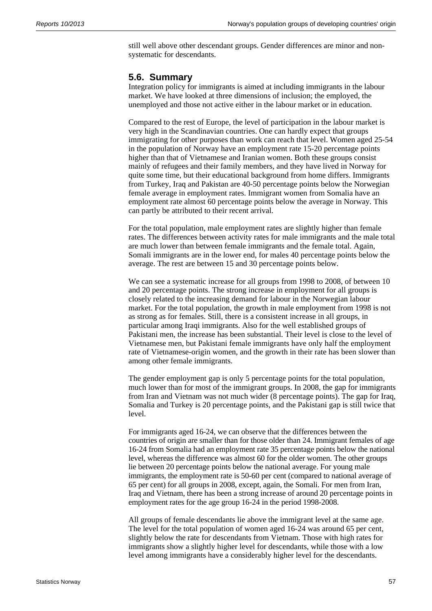still well above other descendant groups. Gender differences are minor and nonsystematic for descendants.

#### **5.6. Summary**

Integration policy for immigrants is aimed at including immigrants in the labour market. We have looked at three dimensions of inclusion; the employed, the unemployed and those not active either in the labour market or in education.

Compared to the rest of Europe, the level of participation in the labour market is very high in the Scandinavian countries. One can hardly expect that groups immigrating for other purposes than work can reach that level. Women aged 25-54 in the population of Norway have an employment rate 15-20 percentage points higher than that of Vietnamese and Iranian women. Both these groups consist mainly of refugees and their family members, and they have lived in Norway for quite some time, but their educational background from home differs. Immigrants from Turkey, Iraq and Pakistan are 40-50 percentage points below the Norwegian female average in employment rates. Immigrant women from Somalia have an employment rate almost 60 percentage points below the average in Norway. This can partly be attributed to their recent arrival.

For the total population, male employment rates are slightly higher than female rates. The differences between activity rates for male immigrants and the male total are much lower than between female immigrants and the female total. Again, Somali immigrants are in the lower end, for males 40 percentage points below the average. The rest are between 15 and 30 percentage points below.

We can see a systematic increase for all groups from 1998 to 2008, of between 10 and 20 percentage points. The strong increase in employment for all groups is closely related to the increasing demand for labour in the Norwegian labour market. For the total population, the growth in male employment from 1998 is not as strong as for females. Still, there is a consistent increase in all groups, in particular among Iraqi immigrants. Also for the well established groups of Pakistani men, the increase has been substantial. Their level is close to the level of Vietnamese men, but Pakistani female immigrants have only half the employment rate of Vietnamese-origin women, and the growth in their rate has been slower than among other female immigrants.

The gender employment gap is only 5 percentage points for the total population, much lower than for most of the immigrant groups. In 2008, the gap for immigrants from Iran and Vietnam was not much wider (8 percentage points). The gap for Iraq, Somalia and Turkey is 20 percentage points, and the Pakistani gap is still twice that level.

For immigrants aged 16-24, we can observe that the differences between the countries of origin are smaller than for those older than 24. Immigrant females of age 16-24 from Somalia had an employment rate 35 percentage points below the national level, whereas the difference was almost 60 for the older women. The other groups lie between 20 percentage points below the national average. For young male immigrants, the employment rate is 50-60 per cent (compared to national average of 65 per cent) for all groups in 2008, except, again, the Somali. For men from Iran, Iraq and Vietnam, there has been a strong increase of around 20 percentage points in employment rates for the age group 16-24 in the period 1998-2008.

All groups of female descendants lie above the immigrant level at the same age. The level for the total population of women aged 16-24 was around 65 per cent, slightly below the rate for descendants from Vietnam. Those with high rates for immigrants show a slightly higher level for descendants, while those with a low level among immigrants have a considerably higher level for the descendants.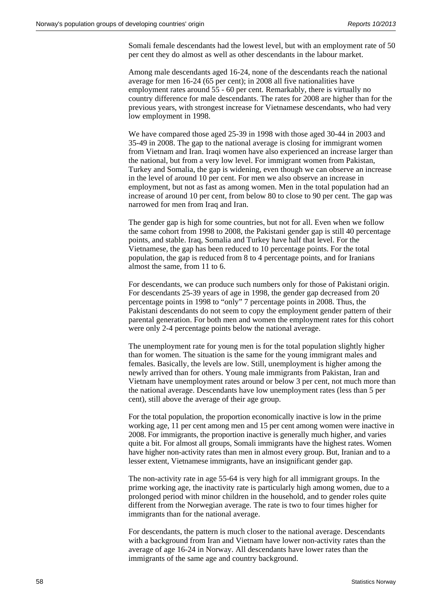Somali female descendants had the lowest level, but with an employment rate of 50 per cent they do almost as well as other descendants in the labour market.

Among male descendants aged 16-24, none of the descendants reach the national average for men 16-24 (65 per cent); in 2008 all five nationalities have employment rates around 55 - 60 per cent. Remarkably, there is virtually no country difference for male descendants. The rates for 2008 are higher than for the previous years, with strongest increase for Vietnamese descendants, who had very low employment in 1998.

We have compared those aged 25-39 in 1998 with those aged 30-44 in 2003 and 35-49 in 2008. The gap to the national average is closing for immigrant women from Vietnam and Iran. Iraqi women have also experienced an increase larger than the national, but from a very low level. For immigrant women from Pakistan, Turkey and Somalia, the gap is widening, even though we can observe an increase in the level of around 10 per cent. For men we also observe an increase in employment, but not as fast as among women. Men in the total population had an increase of around 10 per cent, from below 80 to close to 90 per cent. The gap was narrowed for men from Iraq and Iran.

The gender gap is high for some countries, but not for all. Even when we follow the same cohort from 1998 to 2008, the Pakistani gender gap is still 40 percentage points, and stable. Iraq, Somalia and Turkey have half that level. For the Vietnamese, the gap has been reduced to 10 percentage points. For the total population, the gap is reduced from 8 to 4 percentage points, and for Iranians almost the same, from 11 to 6.

For descendants, we can produce such numbers only for those of Pakistani origin. For descendants 25-39 years of age in 1998, the gender gap decreased from 20 percentage points in 1998 to "only" 7 percentage points in 2008. Thus, the Pakistani descendants do not seem to copy the employment gender pattern of their parental generation. For both men and women the employment rates for this cohort were only 2-4 percentage points below the national average.

The unemployment rate for young men is for the total population slightly higher than for women. The situation is the same for the young immigrant males and females. Basically, the levels are low. Still, unemployment is higher among the newly arrived than for others. Young male immigrants from Pakistan, Iran and Vietnam have unemployment rates around or below 3 per cent, not much more than the national average. Descendants have low unemployment rates (less than 5 per cent), still above the average of their age group.

For the total population, the proportion economically inactive is low in the prime working age, 11 per cent among men and 15 per cent among women were inactive in 2008. For immigrants, the proportion inactive is generally much higher, and varies quite a bit. For almost all groups, Somali immigrants have the highest rates. Women have higher non-activity rates than men in almost every group. But, Iranian and to a lesser extent, Vietnamese immigrants, have an insignificant gender gap.

The non-activity rate in age 55-64 is very high for all immigrant groups. In the prime working age, the inactivity rate is particularly high among women, due to a prolonged period with minor children in the household, and to gender roles quite different from the Norwegian average. The rate is two to four times higher for immigrants than for the national average.

For descendants, the pattern is much closer to the national average. Descendants with a background from Iran and Vietnam have lower non-activity rates than the average of age 16-24 in Norway. All descendants have lower rates than the immigrants of the same age and country background.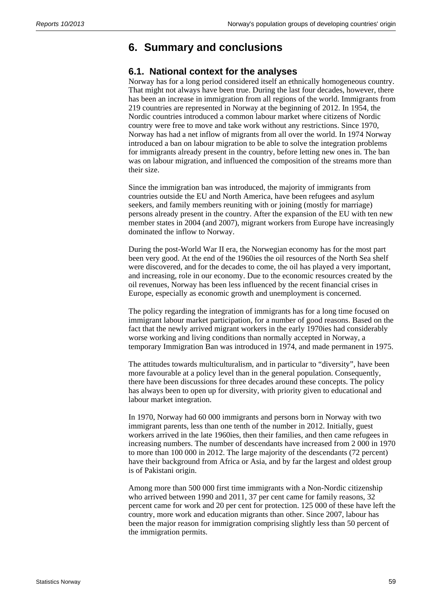# **6. Summary and conclusions**

### **6.1. National context for the analyses**

Norway has for a long period considered itself an ethnically homogeneous country. That might not always have been true. During the last four decades, however, there has been an increase in immigration from all regions of the world. Immigrants from 219 countries are represented in Norway at the beginning of 2012. In 1954, the Nordic countries introduced a common labour market where citizens of Nordic country were free to move and take work without any restrictions. Since 1970, Norway has had a net inflow of migrants from all over the world. In 1974 Norway introduced a ban on labour migration to be able to solve the integration problems for immigrants already present in the country, before letting new ones in. The ban was on labour migration, and influenced the composition of the streams more than their size.

Since the immigration ban was introduced, the majority of immigrants from countries outside the EU and North America, have been refugees and asylum seekers, and family members reuniting with or joining (mostly for marriage) persons already present in the country. After the expansion of the EU with ten new member states in 2004 (and 2007), migrant workers from Europe have increasingly dominated the inflow to Norway.

During the post-World War II era, the Norwegian economy has for the most part been very good. At the end of the 1960ies the oil resources of the North Sea shelf were discovered, and for the decades to come, the oil has played a very important, and increasing, role in our economy. Due to the economic resources created by the oil revenues, Norway has been less influenced by the recent financial crises in Europe, especially as economic growth and unemployment is concerned.

The policy regarding the integration of immigrants has for a long time focused on immigrant labour market participation, for a number of good reasons. Based on the fact that the newly arrived migrant workers in the early 1970ies had considerably worse working and living conditions than normally accepted in Norway, a temporary Immigration Ban was introduced in 1974, and made permanent in 1975.

The attitudes towards multiculturalism, and in particular to "diversity", have been more favourable at a policy level than in the general population. Consequently, there have been discussions for three decades around these concepts. The policy has always been to open up for diversity, with priority given to educational and labour market integration.

In 1970, Norway had 60 000 immigrants and persons born in Norway with two immigrant parents, less than one tenth of the number in 2012. Initially, guest workers arrived in the late 1960ies, then their families, and then came refugees in increasing numbers. The number of descendants have increased from 2 000 in 1970 to more than 100 000 in 2012. The large majority of the descendants (72 percent) have their background from Africa or Asia, and by far the largest and oldest group is of Pakistani origin.

Among more than 500 000 first time immigrants with a Non-Nordic citizenship who arrived between 1990 and 2011, 37 per cent came for family reasons, 32 percent came for work and 20 per cent for protection. 125 000 of these have left the country, more work and education migrants than other. Since 2007, labour has been the major reason for immigration comprising slightly less than 50 percent of the immigration permits.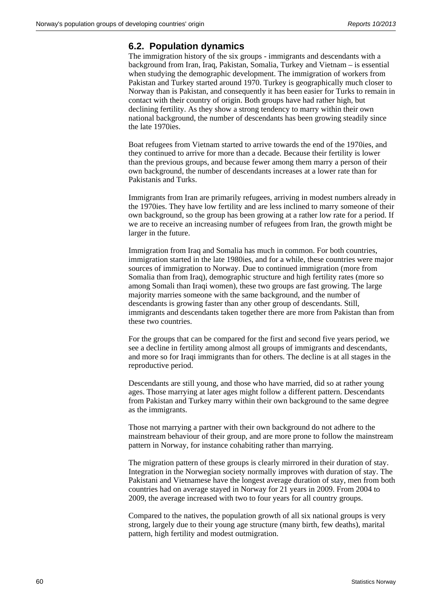#### **6.2. Population dynamics**

The immigration history of the six groups - immigrants and descendants with a background from Iran, Iraq, Pakistan, Somalia, Turkey and Vietnam – is essential when studying the demographic development. The immigration of workers from Pakistan and Turkey started around 1970. Turkey is geographically much closer to Norway than is Pakistan, and consequently it has been easier for Turks to remain in contact with their country of origin. Both groups have had rather high, but declining fertility. As they show a strong tendency to marry within their own national background, the number of descendants has been growing steadily since the late 1970ies.

Boat refugees from Vietnam started to arrive towards the end of the 1970ies, and they continued to arrive for more than a decade. Because their fertility is lower than the previous groups, and because fewer among them marry a person of their own background, the number of descendants increases at a lower rate than for Pakistanis and Turks.

Immigrants from Iran are primarily refugees, arriving in modest numbers already in the 1970ies. They have low fertility and are less inclined to marry someone of their own background, so the group has been growing at a rather low rate for a period. If we are to receive an increasing number of refugees from Iran, the growth might be larger in the future.

Immigration from Iraq and Somalia has much in common. For both countries, immigration started in the late 1980ies, and for a while, these countries were major sources of immigration to Norway. Due to continued immigration (more from Somalia than from Iraq), demographic structure and high fertility rates (more so among Somali than Iraqi women), these two groups are fast growing. The large majority marries someone with the same background, and the number of descendants is growing faster than any other group of descendants. Still, immigrants and descendants taken together there are more from Pakistan than from these two countries.

For the groups that can be compared for the first and second five years period, we see a decline in fertility among almost all groups of immigrants and descendants, and more so for Iraqi immigrants than for others. The decline is at all stages in the reproductive period.

Descendants are still young, and those who have married, did so at rather young ages. Those marrying at later ages might follow a different pattern. Descendants from Pakistan and Turkey marry within their own background to the same degree as the immigrants.

Those not marrying a partner with their own background do not adhere to the mainstream behaviour of their group, and are more prone to follow the mainstream pattern in Norway, for instance cohabiting rather than marrying.

The migration pattern of these groups is clearly mirrored in their duration of stay. Integration in the Norwegian society normally improves with duration of stay. The Pakistani and Vietnamese have the longest average duration of stay, men from both countries had on average stayed in Norway for 21 years in 2009. From 2004 to 2009, the average increased with two to four years for all country groups.

Compared to the natives, the population growth of all six national groups is very strong, largely due to their young age structure (many birth, few deaths), marital pattern, high fertility and modest outmigration.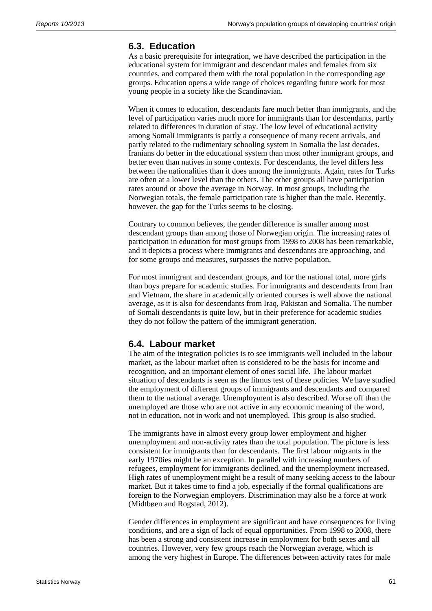#### **6.3. Education**

As a basic prerequisite for integration, we have described the participation in the educational system for immigrant and descendant males and females from six countries, and compared them with the total population in the corresponding age groups. Education opens a wide range of choices regarding future work for most young people in a society like the Scandinavian.

When it comes to education, descendants fare much better than immigrants, and the level of participation varies much more for immigrants than for descendants, partly related to differences in duration of stay. The low level of educational activity among Somali immigrants is partly a consequence of many recent arrivals, and partly related to the rudimentary schooling system in Somalia the last decades. Iranians do better in the educational system than most other immigrant groups, and better even than natives in some contexts. For descendants, the level differs less between the nationalities than it does among the immigrants. Again, rates for Turks are often at a lower level than the others. The other groups all have participation rates around or above the average in Norway. In most groups, including the Norwegian totals, the female participation rate is higher than the male. Recently, however, the gap for the Turks seems to be closing.

Contrary to common believes, the gender difference is smaller among most descendant groups than among those of Norwegian origin. The increasing rates of participation in education for most groups from 1998 to 2008 has been remarkable, and it depicts a process where immigrants and descendants are approaching, and for some groups and measures, surpasses the native population.

For most immigrant and descendant groups, and for the national total, more girls than boys prepare for academic studies. For immigrants and descendants from Iran and Vietnam, the share in academically oriented courses is well above the national average, as it is also for descendants from Iraq, Pakistan and Somalia. The number of Somali descendants is quite low, but in their preference for academic studies they do not follow the pattern of the immigrant generation.

#### **6.4. Labour market**

The aim of the integration policies is to see immigrants well included in the labour market, as the labour market often is considered to be the basis for income and recognition, and an important element of ones social life. The labour market situation of descendants is seen as the litmus test of these policies. We have studied the employment of different groups of immigrants and descendants and compared them to the national average. Unemployment is also described. Worse off than the unemployed are those who are not active in any economic meaning of the word, not in education, not in work and not unemployed. This group is also studied.

The immigrants have in almost every group lower employment and higher unemployment and non-activity rates than the total population. The picture is less consistent for immigrants than for descendants. The first labour migrants in the early 1970ies might be an exception. In parallel with increasing numbers of refugees, employment for immigrants declined, and the unemployment increased. High rates of unemployment might be a result of many seeking access to the labour market. But it takes time to find a job, especially if the formal qualifications are foreign to the Norwegian employers. Discrimination may also be a force at work (Midtbøen and Rogstad, 2012).

Gender differences in employment are significant and have consequences for living conditions, and are a sign of lack of equal opportunities. From 1998 to 2008, there has been a strong and consistent increase in employment for both sexes and all countries. However, very few groups reach the Norwegian average, which is among the very highest in Europe. The differences between activity rates for male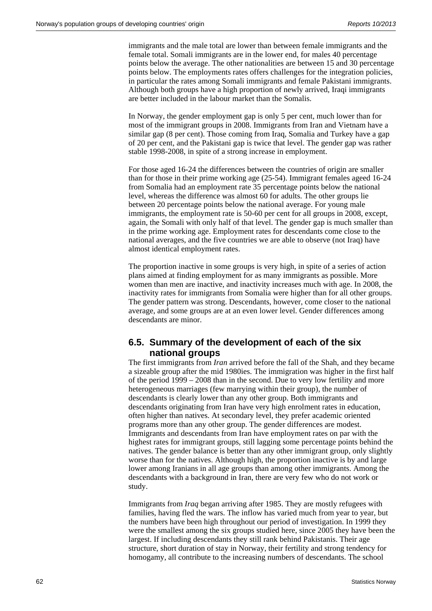immigrants and the male total are lower than between female immigrants and the female total. Somali immigrants are in the lower end, for males 40 percentage points below the average. The other nationalities are between 15 and 30 percentage points below. The employments rates offers challenges for the integration policies, in particular the rates among Somali immigrants and female Pakistani immigrants. Although both groups have a high proportion of newly arrived, Iraqi immigrants are better included in the labour market than the Somalis.

In Norway, the gender employment gap is only 5 per cent, much lower than for most of the immigrant groups in 2008. Immigrants from Iran and Vietnam have a similar gap (8 per cent). Those coming from Iraq, Somalia and Turkey have a gap of 20 per cent, and the Pakistani gap is twice that level. The gender gap was rather stable 1998-2008, in spite of a strong increase in employment.

For those aged 16-24 the differences between the countries of origin are smaller than for those in their prime working age (25-54). Immigrant females ageed 16-24 from Somalia had an employment rate 35 percentage points below the national level, whereas the difference was almost 60 for adults. The other groups lie between 20 percentage points below the national average. For young male immigrants, the employment rate is 50-60 per cent for all groups in 2008, except, again, the Somali with only half of that level. The gender gap is much smaller than in the prime working age. Employment rates for descendants come close to the national averages, and the five countries we are able to observe (not Iraq) have almost identical employment rates.

The proportion inactive in some groups is very high, in spite of a series of action plans aimed at finding employment for as many immigrants as possible. More women than men are inactive, and inactivity increases much with age. In 2008, the inactivity rates for immigrants from Somalia were higher than for all other groups. The gender pattern was strong. Descendants, however, come closer to the national average, and some groups are at an even lower level. Gender differences among descendants are minor.

#### **6.5. Summary of the development of each of the six national groups**

The first immigrants from *Iran* arrived before the fall of the Shah, and they became a sizeable group after the mid 1980ies. The immigration was higher in the first half of the period 1999 – 2008 than in the second. Due to very low fertility and more heterogeneous marriages (few marrying within their group), the number of descendants is clearly lower than any other group. Both immigrants and descendants originating from Iran have very high enrolment rates in education, often higher than natives. At secondary level, they prefer academic oriented programs more than any other group. The gender differences are modest. Immigrants and descendants from Iran have employment rates on par with the highest rates for immigrant groups, still lagging some percentage points behind the natives. The gender balance is better than any other immigrant group, only slightly worse than for the natives. Although high, the proportion inactive is by and large lower among Iranians in all age groups than among other immigrants. Among the descendants with a background in Iran, there are very few who do not work or study.

Immigrants from *Iraq* began arriving after 1985. They are mostly refugees with families, having fled the wars. The inflow has varied much from year to year, but the numbers have been high throughout our period of investigation. In 1999 they were the smallest among the six groups studied here, since 2005 they have been the largest. If including descendants they still rank behind Pakistanis. Their age structure, short duration of stay in Norway, their fertility and strong tendency for homogamy, all contribute to the increasing numbers of descendants. The school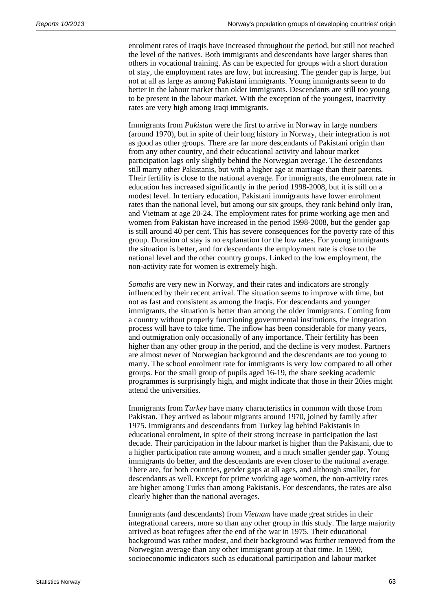enrolment rates of Iraqis have increased throughout the period, but still not reached the level of the natives. Both immigrants and descendants have larger shares than others in vocational training. As can be expected for groups with a short duration of stay, the employment rates are low, but increasing. The gender gap is large, but not at all as large as among Pakistani immigrants. Young immigrants seem to do better in the labour market than older immigrants. Descendants are still too young to be present in the labour market. With the exception of the youngest, inactivity rates are very high among Iraqi immigrants.

Immigrants from *Pakistan* were the first to arrive in Norway in large numbers (around 1970), but in spite of their long history in Norway, their integration is not as good as other groups. There are far more descendants of Pakistani origin than from any other country, and their educational activity and labour market participation lags only slightly behind the Norwegian average. The descendants still marry other Pakistanis, but with a higher age at marriage than their parents. Their fertility is close to the national average. For immigrants, the enrolment rate in education has increased significantly in the period 1998-2008, but it is still on a modest level. In tertiary education, Pakistani immigrants have lower enrolment rates than the national level, but among our six groups, they rank behind only Iran, and Vietnam at age 20-24. The employment rates for prime working age men and women from Pakistan have increased in the period 1998-2008, but the gender gap is still around 40 per cent. This has severe consequences for the poverty rate of this group. Duration of stay is no explanation for the low rates. For young immigrants the situation is better, and for descendants the employment rate is close to the national level and the other country groups. Linked to the low employment, the non-activity rate for women is extremely high.

*Somalis* are very new in Norway, and their rates and indicators are strongly influenced by their recent arrival. The situation seems to improve with time, but not as fast and consistent as among the Iraqis. For descendants and younger immigrants, the situation is better than among the older immigrants. Coming from a country without properly functioning governmental institutions, the integration process will have to take time. The inflow has been considerable for many years, and outmigration only occasionally of any importance. Their fertility has been higher than any other group in the period, and the decline is very modest. Partners are almost never of Norwegian background and the descendants are too young to marry. The school enrolment rate for immigrants is very low compared to all other groups. For the small group of pupils aged 16-19, the share seeking academic programmes is surprisingly high, and might indicate that those in their 20ies might attend the universities.

Immigrants from *Turkey* have many characteristics in common with those from Pakistan. They arrived as labour migrants around 1970, joined by family after 1975. Immigrants and descendants from Turkey lag behind Pakistanis in educational enrolment, in spite of their strong increase in participation the last decade. Their participation in the labour market is higher than the Pakistani, due to a higher participation rate among women, and a much smaller gender gap. Young immigrants do better, and the descendants are even closer to the national average. There are, for both countries, gender gaps at all ages, and although smaller, for descendants as well. Except for prime working age women, the non-activity rates are higher among Turks than among Pakistanis. For descendants, the rates are also clearly higher than the national averages.

Immigrants (and descendants) from *Vietnam* have made great strides in their integrational careers, more so than any other group in this study. The large majority arrived as boat refugees after the end of the war in 1975. Their educational background was rather modest, and their background was further removed from the Norwegian average than any other immigrant group at that time. In 1990, socioeconomic indicators such as educational participation and labour market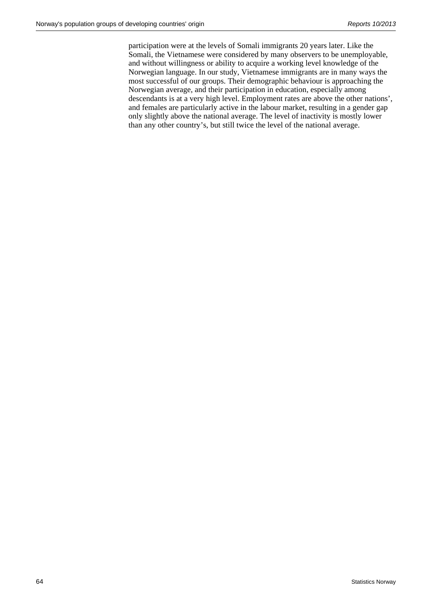participation were at the levels of Somali immigrants 20 years later. Like the Somali, the Vietnamese were considered by many observers to be unemployable, and without willingness or ability to acquire a working level knowledge of the Norwegian language. In our study, Vietnamese immigrants are in many ways the most successful of our groups. Their demographic behaviour is approaching the Norwegian average, and their participation in education, especially among descendants is at a very high level. Employment rates are above the other nations', and females are particularly active in the labour market, resulting in a gender gap only slightly above the national average. The level of inactivity is mostly lower than any other country's, but still twice the level of the national average.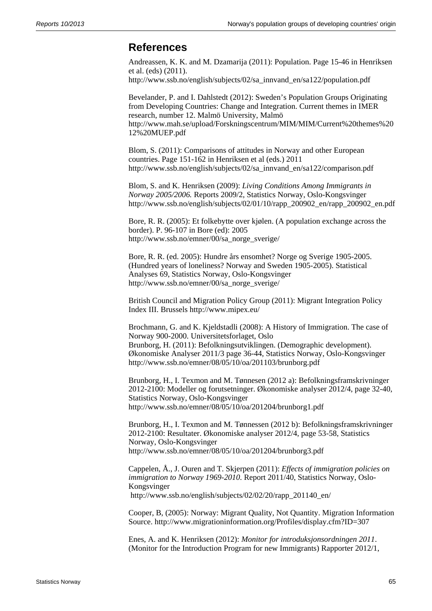### **References**

Andreassen, K. K. and M. Dzamarija (2011): Population. Page 15-46 in Henriksen et al. (eds) (2011). http://www.ssb.no/english/subjects/02/sa\_innvand\_en/sa122/population.pdf

Bevelander, P. and I. Dahlstedt (2012): Sweden's Population Groups Originating from Developing Countries: Change and Integration. Current themes in IMER research, number 12. Malmö University, Malmö http://www.mah.se/upload/Forskningscentrum/MIM/MIM/Current%20themes%20 12%20MUEP.pdf

Blom, S. (2011): Comparisons of attitudes in Norway and other European countries. Page 151-162 in Henriksen et al (eds.) 2011 http://www.ssb.no/english/subjects/02/sa\_innvand\_en/sa122/comparison.pdf

Blom, S. and K. Henriksen (2009): *Living Conditions Among Immigrants in Norway 2005/2006.* Reports 2009/2, Statistics Norway, Oslo-Kongsvinger http://www.ssb.no/english/subjects/02/01/10/rapp\_200902\_en/rapp\_200902\_en.pdf

Bore, R. R. (2005): Et folkebytte over kjølen. (A population exchange across the border). P. 96-107 in Bore (ed): 2005 http://www.ssb.no/emner/00/sa\_norge\_sverige/

Bore, R. R. (ed. 2005): Hundre års ensomhet? Norge og Sverige 1905-2005. (Hundred years of loneliness? Norway and Sweden 1905-2005). Statistical Analyses 69, Statistics Norway, Oslo-Kongsvinger http://www.ssb.no/emner/00/sa\_norge\_sverige/

British Council and Migration Policy Group (2011): Migrant Integration Policy Index III. Brussels http://www.mipex.eu/

Brochmann, G. and K. Kjeldstadli (2008): A History of Immigration. The case of Norway 900-2000. Universitetsforlaget, Oslo Brunborg, H. (2011): Befolkningsutviklingen. (Demographic development). Økonomiske Analyser 2011/3 page 36-44, Statistics Norway, Oslo-Kongsvinger http://www.ssb.no/emner/08/05/10/oa/201103/brunborg.pdf

Brunborg, H., I. Texmon and M. Tønnesen (2012 a): Befolkningsframskrivninger 2012-2100: Modeller og forutsetninger. Økonomiske analyser 2012/4, page 32-40, Statistics Norway, Oslo-Kongsvinger http://www.ssb.no/emner/08/05/10/oa/201204/brunborg1.pdf

Brunborg, H., I. Texmon and M. Tønnessen (2012 b): Befolkningsframskrivninger 2012-2100: Resultater. Økonomiske analyser 2012/4, page 53-58, Statistics Norway, Oslo-Kongsvinger http://www.ssb.no/emner/08/05/10/oa/201204/brunborg3.pdf

Cappelen, Å., J. Ouren and T. Skjerpen (2011): *Effects of immigration policies on immigration to Norway 1969-2010*. Report 2011/40, Statistics Norway, Oslo-Kongsvinger http://www.ssb.no/english/subjects/02/02/20/rapp\_201140\_en/

Cooper, B, (2005): Norway: Migrant Quality, Not Quantity. Migration Information Source. http://www.migrationinformation.org/Profiles/display.cfm?ID=307

Enes, A. and K. Henriksen (2012): *Monitor for introduksjonsordningen 2011*. (Monitor for the Introduction Program for new Immigrants) Rapporter 2012/1,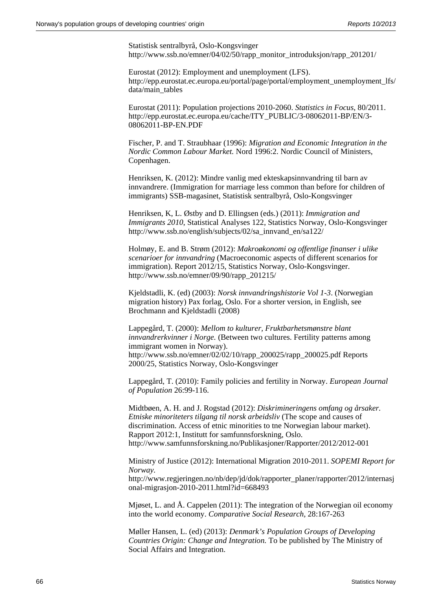Statistisk sentralbyrå, Oslo-Kongsvinger http://www.ssb.no/emner/04/02/50/rapp\_monitor\_introduksjon/rapp\_201201/

Eurostat (2012): Employment and unemployment (LFS). http://epp.eurostat.ec.europa.eu/portal/page/portal/employment\_unemployment\_lfs/ data/main\_tables

Eurostat (2011): Population projections 2010-2060. *Statistics in Focus*, 80/2011. http://epp.eurostat.ec.europa.eu/cache/ITY\_PUBLIC/3-08062011-BP/EN/3- 08062011-BP-EN.PDF

Fischer, P. and T. Straubhaar (1996): *Migration and Economic Integration in the Nordic Common Labour Market.* Nord 1996:2. Nordic Council of Ministers, Copenhagen.

Henriksen, K. (2012): Mindre vanlig med ekteskapsinnvandring til barn av innvandrere. (Immigration for marriage less common than before for children of immigrants) SSB-magasinet, Statistisk sentralbyrå, Oslo-Kongsvinger

Henriksen, K, L. Østby and D. Ellingsen (eds.) (2011): *Immigration and Immigrants 2010*, Statistical Analyses 122, Statistics Norway, Oslo-Kongsvinger http://www.ssb.no/english/subjects/02/sa\_innvand\_en/sa122/

Holmøy, E. and B. Strøm (2012): *Makroøkonomi og offentlige finanser i ulike scenarioer for innvandring* (Macroeconomic aspects of different scenarios for immigration). Report 2012/15, Statistics Norway, Oslo-Kongsvinger. http://www.ssb.no/emner/09/90/rapp\_201215/

Kjeldstadli, K. (ed) (2003): *Norsk innvandringshistorie Vol 1-3*. (Norwegian migration history) Pax forlag, Oslo. For a shorter version, in English, see Brochmann and Kjeldstadli (2008)

Lappegård, T. (2000): *Mellom to kulturer, Fruktbarhetsmønstre blant innvandrerkvinner i Norge.* (Between two cultures. Fertility patterns among immigrant women in Norway). http://www.ssb.no/emner/02/02/10/rapp\_200025/rapp\_200025.pdf Reports 2000/25, Statistics Norway, Oslo-Kongsvinger

Lappegård, T. (2010): Family policies and fertility in Norway. *European Journal of Population* 26:99-116.

Midtbøen, A. H. and J. Rogstad (2012): *Diskrimineringens omfang og årsaker. Etniske minoriteters tilgang til norsk arbeidsliv* (The scope and causes of discrimination. Access of etnic minorities to tne Norwegian labour market). Rapport 2012:1, Institutt for samfunnsforskning, Oslo. http://www.samfunnsforskning.no/Publikasjoner/Rapporter/2012/2012-001

Ministry of Justice (2012): International Migration 2010-2011. *SOPEMI Report for Norway.*

http://www.regjeringen.no/nb/dep/jd/dok/rapporter\_planer/rapporter/2012/internasj onal-migrasjon-2010-2011.html?id=668493

Mjøset, L. and Å. Cappelen (2011): The integration of the Norwegian oil economy into the world economy. *Comparative Social Research,* 28:167-263

Møller Hansen, L. (ed) (2013): *Denmark's Population Groups of Developing Countries Origin: Change and Integration.* To be published by The Ministry of Social Affairs and Integration.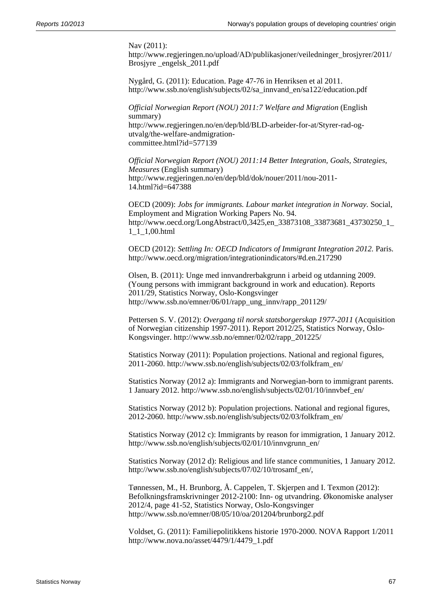Nav (2011):

http://www.regjeringen.no/upload/AD/publikasjoner/veiledninger\_brosjyrer/2011/ Brosjyre \_engelsk\_2011.pdf

Nygård, G. (2011): Education. Page 47-76 in Henriksen et al 2011. http://www.ssb.no/english/subjects/02/sa\_innvand\_en/sa122/education.pdf

*Official Norwegian Report (NOU) 2011:7 Welfare and Migration* (English summary) http://www.regjeringen.no/en/dep/bld/BLD-arbeider-for-at/Styrer-rad-ogutvalg/the-welfare-andmigrationcommittee.html?id=577139

*Official Norwegian Report (NOU) 2011:14 Better Integration, Goals, Strategies, Measures* (English summary) http://www.regjeringen.no/en/dep/bld/dok/nouer/2011/nou-2011- 14.html?id=647388

OECD (2009): *Jobs for immigrants. Labour market integration in Norway.* Social, Employment and Migration Working Papers No. 94. http://www.oecd.org/LongAbstract/0,3425,en\_33873108\_33873681\_43730250\_1\_ 1\_1\_1,00.html

OECD (2012): *Settling In: OECD Indicators of Immigrant Integration 2012.* Paris. http://www.oecd.org/migration/integrationindicators/#d.en.217290

Olsen, B. (2011): Unge med innvandrerbakgrunn i arbeid og utdanning 2009. (Young persons with immigrant background in work and education). Reports 2011/29, Statistics Norway, Oslo-Kongsvinger http://www.ssb.no/emner/06/01/rapp\_ung\_innv/rapp\_201129/

Pettersen S. V. (2012): *Overgang til norsk statsborgerskap 1977-2011* (Acquisition of Norwegian citizenship 1997-2011). Report 2012/25, Statistics Norway, Oslo-Kongsvinger. http://www.ssb.no/emner/02/02/rapp\_201225/

Statistics Norway (2011): Population projections. National and regional figures, 2011-2060. http://www.ssb.no/english/subjects/02/03/folkfram\_en/

Statistics Norway (2012 a): Immigrants and Norwegian-born to immigrant parents. 1 January 2012. http://www.ssb.no/english/subjects/02/01/10/innvbef\_en/

Statistics Norway (2012 b): Population projections. National and regional figures, 2012-2060. http://www.ssb.no/english/subjects/02/03/folkfram\_en/

Statistics Norway (2012 c): Immigrants by reason for immigration, 1 January 2012. http://www.ssb.no/english/subjects/02/01/10/innvgrunn\_en/

Statistics Norway (2012 d): Religious and life stance communities, 1 January 2012. http://www.ssb.no/english/subjects/07/02/10/trosamf\_en/,

Tønnessen, M., H. Brunborg, Å. Cappelen, T. Skjerpen and I. Texmon (2012): Befolkningsframskrivninger 2012-2100: Inn- og utvandring. Økonomiske analyser 2012/4, page 41-52, Statistics Norway, Oslo-Kongsvinger http://www.ssb.no/emner/08/05/10/oa/201204/brunborg2.pdf

Voldset, G. (2011): Familiepolitikkens historie 1970-2000. NOVA Rapport 1/2011 http://www.nova.no/asset/4479/1/4479\_1.pdf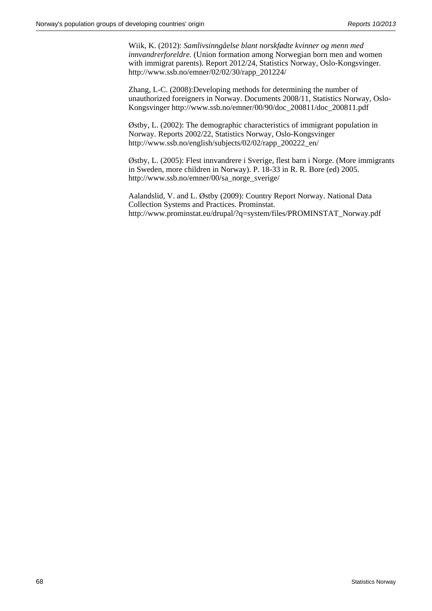Wiik, K. (2012): *Samlivsinngåelse blant norskfødte kvinner og menn med innvandrerforeldre.* (Union formation among Norwegian born men and women with immigrat parents). Report 2012/24, Statistics Norway, Oslo-Kongsvinger. http://www.ssb.no/emner/02/02/30/rapp\_201224/

Zhang, L-C. (2008):Developing methods for determining the number of unauthorized foreigners in Norway. Documents 2008/11, Statistics Norway, Oslo-Kongsvinger http://www.ssb.no/emner/00/90/doc\_200811/doc\_200811.pdf

Østby, L. (2002): The demographic characteristics of immigrant population in Norway. Reports 2002/22, Statistics Norway, Oslo-Kongsvinger http://www.ssb.no/english/subjects/02/02/rapp\_200222\_en/

Østby, L. (2005): Flest innvandrere i Sverige, flest barn i Norge. (More immigrants in Sweden, more children in Norway). P. 18-33 in R. R. Bore (ed) 2005. http://www.ssb.no/emner/00/sa\_norge\_sverige/

Aalandslid, V. and L. Østby (2009): Country Report Norway. National Data Collection Systems and Practices. Prominstat. http://www.prominstat.eu/drupal/?q=system/files/PROMINSTAT\_Norway.pdf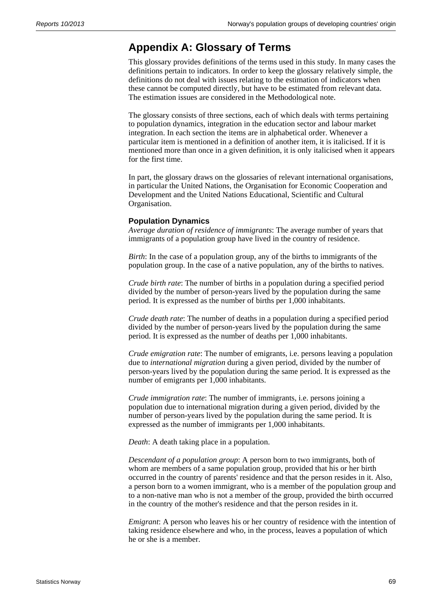# **Appendix A: Glossary of Terms**

This glossary provides definitions of the terms used in this study. In many cases the definitions pertain to indicators. In order to keep the glossary relatively simple, the definitions do not deal with issues relating to the estimation of indicators when these cannot be computed directly, but have to be estimated from relevant data. The estimation issues are considered in the Methodological note.

The glossary consists of three sections, each of which deals with terms pertaining to population dynamics, integration in the education sector and labour market integration. In each section the items are in alphabetical order. Whenever a particular item is mentioned in a definition of another item, it is italicised. If it is mentioned more than once in a given definition, it is only italicised when it appears for the first time.

In part, the glossary draws on the glossaries of relevant international organisations, in particular the United Nations, the Organisation for Economic Cooperation and Development and the United Nations Educational, Scientific and Cultural Organisation.

#### **Population Dynamics**

*Average duration of residence of immigrants*: The average number of years that immigrants of a population group have lived in the country of residence.

*Birth*: In the case of a population group, any of the births to immigrants of the population group. In the case of a native population, any of the births to natives.

*Crude birth rate*: The number of births in a population during a specified period divided by the number of person-years lived by the population during the same period. It is expressed as the number of births per 1,000 inhabitants.

*Crude death rate*: The number of deaths in a population during a specified period divided by the number of person-years lived by the population during the same period. It is expressed as the number of deaths per 1,000 inhabitants.

*Crude emigration rate*: The number of emigrants, i.e. persons leaving a population due to *international migration* during a given period, divided by the number of person-years lived by the population during the same period. It is expressed as the number of emigrants per 1,000 inhabitants.

*Crude immigration rate*: The number of immigrants, i.e. persons joining a population due to international migration during a given period, divided by the number of person-years lived by the population during the same period. It is expressed as the number of immigrants per 1,000 inhabitants.

*Death*: A death taking place in a population.

*Descendant of a population group*: A person born to two immigrants, both of whom are members of a same population group, provided that his or her birth occurred in the country of parents' residence and that the person resides in it. Also, a person born to a women immigrant, who is a member of the population group and to a non-native man who is not a member of the group, provided the birth occurred in the country of the mother's residence and that the person resides in it.

*Emigrant*: A person who leaves his or her country of residence with the intention of taking residence elsewhere and who, in the process, leaves a population of which he or she is a member.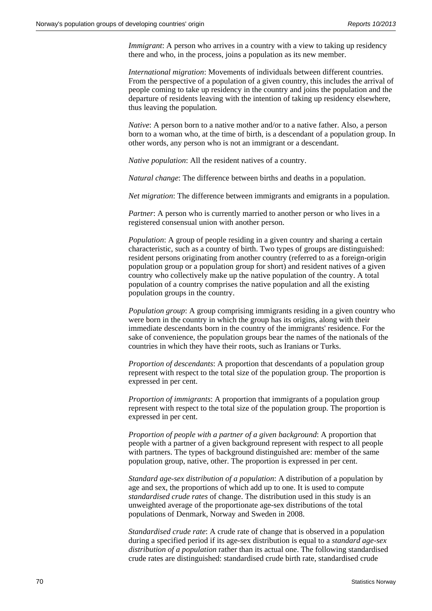*Immigrant*: A person who arrives in a country with a view to taking up residency there and who, in the process, joins a population as its new member.

*International migration*: Movements of individuals between different countries. From the perspective of a population of a given country, this includes the arrival of people coming to take up residency in the country and joins the population and the departure of residents leaving with the intention of taking up residency elsewhere, thus leaving the population.

*Native*: A person born to a native mother and/or to a native father. Also, a person born to a woman who, at the time of birth, is a descendant of a population group. In other words, any person who is not an immigrant or a descendant.

*Native population*: All the resident natives of a country.

*Natural change*: The difference between births and deaths in a population.

*Net migration*: The difference between immigrants and emigrants in a population.

*Partner*: A person who is currently married to another person or who lives in a registered consensual union with another person.

*Population*: A group of people residing in a given country and sharing a certain characteristic, such as a country of birth. Two types of groups are distinguished: resident persons originating from another country (referred to as a foreign-origin population group or a population group for short) and resident natives of a given country who collectively make up the native population of the country. A total population of a country comprises the native population and all the existing population groups in the country.

*Population group*: A group comprising immigrants residing in a given country who were born in the country in which the group has its origins, along with their immediate descendants born in the country of the immigrants' residence. For the sake of convenience, the population groups bear the names of the nationals of the countries in which they have their roots, such as Iranians or Turks.

*Proportion of descendants*: A proportion that descendants of a population group represent with respect to the total size of the population group. The proportion is expressed in per cent.

*Proportion of immigrants*: A proportion that immigrants of a population group represent with respect to the total size of the population group. The proportion is expressed in per cent.

*Proportion of people with a partner of a given background*: A proportion that people with a partner of a given background represent with respect to all people with partners. The types of background distinguished are: member of the same population group, native, other. The proportion is expressed in per cent.

*Standard age-sex distribution of a population*: A distribution of a population by age and sex, the proportions of which add up to one. It is used to compute *standardised crude rates* of change. The distribution used in this study is an unweighted average of the proportionate age-sex distributions of the total populations of Denmark, Norway and Sweden in 2008.

*Standardised crude rate*: A crude rate of change that is observed in a population during a specified period if its age-sex distribution is equal to a *standard age-sex distribution of a population* rather than its actual one. The following standardised crude rates are distinguished: standardised crude birth rate, standardised crude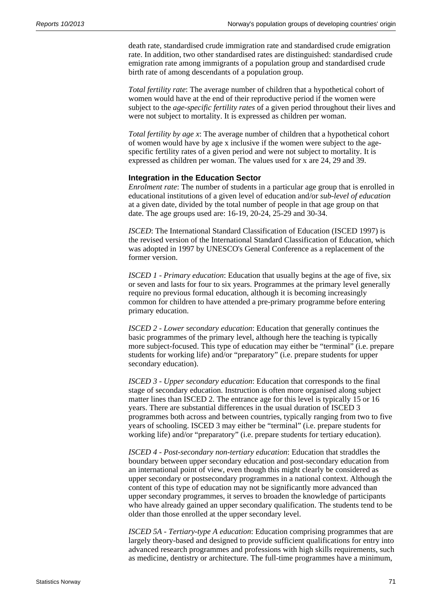death rate, standardised crude immigration rate and standardised crude emigration rate. In addition, two other standardised rates are distinguished: standardised crude emigration rate among immigrants of a population group and standardised crude birth rate of among descendants of a population group.

*Total fertility rate*: The average number of children that a hypothetical cohort of women would have at the end of their reproductive period if the women were subject to the *age-specific fertility rates* of a given period throughout their lives and were not subject to mortality. It is expressed as children per woman.

*Total fertility by age x*: The average number of children that a hypothetical cohort of women would have by age x inclusive if the women were subject to the agespecific fertility rates of a given period and were not subject to mortality. It is expressed as children per woman. The values used for x are 24, 29 and 39.

## **Integration in the Education Sector**

*Enrolment rate*: The number of students in a particular age group that is enrolled in educational institutions of a given level of education and/or *sub-level of education* at a given date, divided by the total number of people in that age group on that date. The age groups used are: 16-19, 20-24, 25-29 and 30-34.

*ISCED*: The International Standard Classification of Education (ISCED 1997) is the revised version of the International Standard Classification of Education, which was adopted in 1997 by UNESCO's General Conference as a replacement of the former version.

*ISCED 1 - Primary education*: Education that usually begins at the age of five, six or seven and lasts for four to six years. Programmes at the primary level generally require no previous formal education, although it is becoming increasingly common for children to have attended a pre-primary programme before entering primary education.

*ISCED 2 - Lower secondary education*: Education that generally continues the basic programmes of the primary level, although here the teaching is typically more subject-focused. This type of education may either be "terminal" (i.e. prepare students for working life) and/or "preparatory" (i.e. prepare students for upper secondary education).

*ISCED 3 - Upper secondary education*: Education that corresponds to the final stage of secondary education. Instruction is often more organised along subject matter lines than ISCED 2. The entrance age for this level is typically 15 or 16 years. There are substantial differences in the usual duration of ISCED 3 programmes both across and between countries, typically ranging from two to five years of schooling. ISCED 3 may either be "terminal" (i.e. prepare students for working life) and/or "preparatory" (i.e. prepare students for tertiary education).

*ISCED 4 - Post-secondary non-tertiary education*: Education that straddles the boundary between upper secondary education and post-secondary education from an international point of view, even though this might clearly be considered as upper secondary or postsecondary programmes in a national context. Although the content of this type of education may not be significantly more advanced than upper secondary programmes, it serves to broaden the knowledge of participants who have already gained an upper secondary qualification. The students tend to be older than those enrolled at the upper secondary level.

*ISCED 5A - Tertiary-type A education*: Education comprising programmes that are largely theory-based and designed to provide sufficient qualifications for entry into advanced research programmes and professions with high skills requirements, such as medicine, dentistry or architecture. The full-time programmes have a minimum,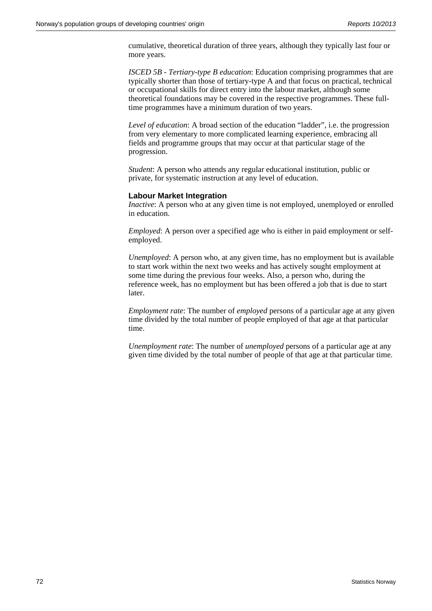cumulative, theoretical duration of three years, although they typically last four or more years.

*ISCED 5B - Tertiary-type B education*: Education comprising programmes that are typically shorter than those of tertiary-type A and that focus on practical, technical or occupational skills for direct entry into the labour market, although some theoretical foundations may be covered in the respective programmes. These fulltime programmes have a minimum duration of two years.

*Level of education*: A broad section of the education "ladder", i.e. the progression from very elementary to more complicated learning experience, embracing all fields and programme groups that may occur at that particular stage of the progression.

*Student*: A person who attends any regular educational institution, public or private, for systematic instruction at any level of education.

## **Labour Market Integration**

*Inactive*: A person who at any given time is not employed, unemployed or enrolled in education.

*Employed*: A person over a specified age who is either in paid employment or selfemployed.

*Unemployed*: A person who, at any given time, has no employment but is available to start work within the next two weeks and has actively sought employment at some time during the previous four weeks. Also, a person who, during the reference week, has no employment but has been offered a job that is due to start later.

*Employment rate*: The number of *employed* persons of a particular age at any given time divided by the total number of people employed of that age at that particular time.

*Unemployment rate*: The number of *unemployed* persons of a particular age at any given time divided by the total number of people of that age at that particular time.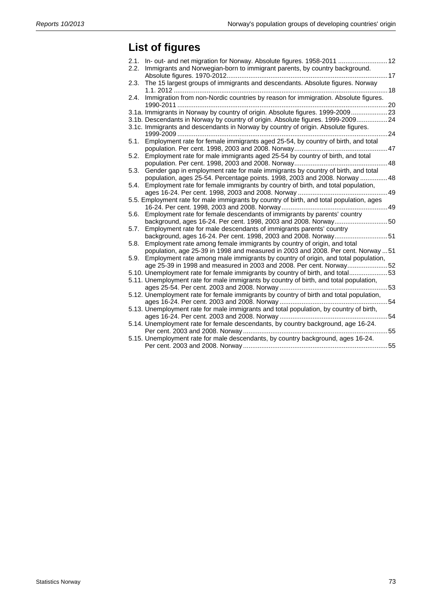## **List of figures**

| 2.1. | In- out- and net migration for Norway. Absolute figures. 1958-2011  12                   |     |
|------|------------------------------------------------------------------------------------------|-----|
| 2.2. | Immigrants and Norwegian-born to immigrant parents, by country background.               |     |
|      | . 17                                                                                     |     |
| 2.3. | The 15 largest groups of immigrants and descendants. Absolute figures. Norway            |     |
|      |                                                                                          |     |
| 2.4. | Immigration from non-Nordic countries by reason for immigration. Absolute figures.       |     |
|      |                                                                                          | .20 |
|      | 3.1a. Immigrants in Norway by country of origin. Absolute figures. 1999-200923           |     |
|      | 3.1b. Descendants in Norway by country of origin. Absolute figures. 1999-2009 24         |     |
|      | 3.1c. Immigrants and descendants in Norway by country of origin. Absolute figures.       |     |
|      | . 24                                                                                     |     |
| 5.1. | Employment rate for female immigrants aged 25-54, by country of birth, and total         |     |
|      |                                                                                          |     |
| 5.2. | Employment rate for male immigrants aged 25-54 by country of birth, and total            |     |
|      |                                                                                          | 48  |
| 5.3. | Gender gap in employment rate for male immigrants by country of birth, and total         |     |
|      | population, ages 25-54. Percentage points. 1998, 2003 and 2008. Norway  48               |     |
| 5.4. | Employment rate for female immigrants by country of birth, and total population,         |     |
|      |                                                                                          | 49  |
|      | 5.5. Employment rate for male immigrants by country of birth, and total population, ages |     |
|      |                                                                                          | 49  |
| 5.6. | Employment rate for female descendants of immigrants by parents' country                 |     |
|      | background, ages 16-24. Per cent. 1998, 2003 and 2008. Norway                            | 50  |
| 5.7. | Employment rate for male descendants of immigrants parents' country                      |     |
|      | background, ages 16-24. Per cent. 1998, 2003 and 2008. Norway51                          |     |
| 5.8. | Employment rate among female immigrants by country of origin, and total                  |     |
|      | population, age 25-39 in 1998 and measured in 2003 and 2008. Per cent. Norway  51        |     |
| 5.9. | Employment rate among male immigrants by country of origin, and total population,        |     |
|      | age 25-39 in 1998 and measured in 2003 and 2008. Per cent. Norway52                      |     |
|      | 5.10. Unemployment rate for female immigrants by country of birth, and total53           |     |
|      | 5.11. Unemployment rate for male immigrants by country of birth, and total population,   |     |
|      | . 53                                                                                     |     |
|      | 5.12. Unemployment rate for female immigrants by country of birth and total population,  |     |
|      | . 54                                                                                     |     |
|      | 5.13. Unemployment rate for male immigrants and total population, by country of birth,   |     |
|      |                                                                                          |     |
|      | 5.14. Unemployment rate for female descendants, by country background, age 16-24.        |     |
|      |                                                                                          | 55  |
|      | 5.15. Unemployment rate for male descendants, by country background, ages 16-24.         |     |
|      |                                                                                          | 55  |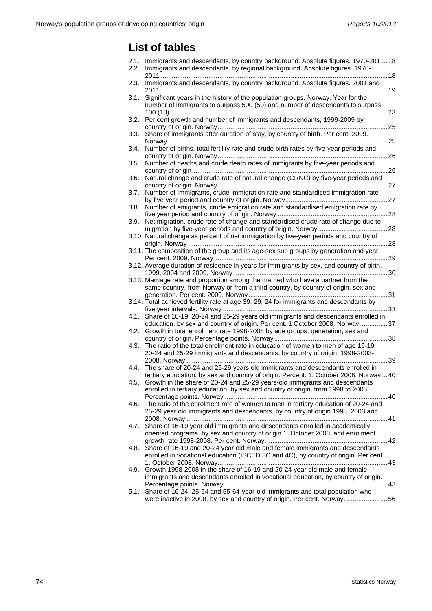## **List of tables**

| 2.1.<br>2.2. | Immigrants and descendants, by country background. Absolute figures. 1970-201118<br>Immigrants and descendants, by regional background. Absolute figures. 1970-                                                                                                |
|--------------|----------------------------------------------------------------------------------------------------------------------------------------------------------------------------------------------------------------------------------------------------------------|
| 2.3.         | Immigrants and descendants, by country background. Absolute figures. 2001 and                                                                                                                                                                                  |
| 3.1.         | Significant years in the history of the population groups. Norway. Year for the<br>number of immigrants to surpass 500 (50) and number of descendants to surpass                                                                                               |
| 3.2.         | Per cent growth and number of immigrants and descendants, 1999-2009 by                                                                                                                                                                                         |
| 3.3.         | Share of immigrants after duration of stay, by country of birth. Per cent. 2009.                                                                                                                                                                               |
| 3.4.         | Number of births, total fertility rate and crude birth rates by five-year periods and                                                                                                                                                                          |
| 3.5.         | Number of deaths and crude death rates of immigrants by five-year periods and                                                                                                                                                                                  |
| 3.6.         | Natural change and crude rate of natural change (CRNC) by five-year periods and                                                                                                                                                                                |
| 3.7.         | Number of Immigrants, crude immigration rate and standardised immigration rate                                                                                                                                                                                 |
| 3.8.         | Number of emigrants, crude emigration rate and standardised emigration rate by                                                                                                                                                                                 |
| 3.9.         | Net migration, crude rate of change and standardised crude rate of change due to                                                                                                                                                                               |
|              | 3.10. Natural change as percent of net immigration by five-year periods and country of                                                                                                                                                                         |
|              | 3.11. The composition of the group and its age-sex sub groups by generation and year.                                                                                                                                                                          |
|              | 3.12. Average duration of residence in years for immigrants by sex, and country of birth.                                                                                                                                                                      |
|              | 3.13. Marriage rate and proportion among the married who have a partner from the<br>same country, from Norway or from a third country, by country of origin, sex and                                                                                           |
|              | 3.14. Total achieved fertility rate at age 39, 29, 24 for immigrants and descendants by                                                                                                                                                                        |
| 4.1.         | Share of 16-19, 20-24 and 25-29 years old immigrants and descendants enrolled in                                                                                                                                                                               |
| 4.2.         | education, by sex and country of origin. Per cent. 1 October 2008. Norway 37<br>Growth in total enrolment rate 1998-2008 by age groups, generation, sex and                                                                                                    |
|              | 4.3 The ratio of the total enrolment rate in education of women to men of age 16-19,<br>20-24 and 25-29 immigrants and descendants, by country of origin. 1998-2003-                                                                                           |
| 4.4.         | The share of 20-24 and 25-29 years old immigrants and descendants enrolled in                                                                                                                                                                                  |
|              | tertiary education, by sex and country of origin. Percent. 1. October 2008. Norway  40<br>4.5. Growth in the share of 20-24 and 25-29 years-old immigrants and descendants<br>enrolled in tertiary education, by sex and country of origin, from 1998 to 2008. |
| 4.6.         | The ratio of the enrolment rate of women to men in tertiary education of 20-24 and<br>25-29 year old immigrants and descendants, by country of origin.1998, 2003 and                                                                                           |
| 4.7.         | Share of 16-19 year old immigrants and descendants enrolled in academically<br>oriented programs, by sex and country of origin 1. October 2008, and enrolment                                                                                                  |
| 4.8.         | Share of 16-19 and 20-24 year old male and female immigrants and descendants<br>enrolled in vocational education (ISCED 3C and 4C), by country of origin. Per cent.                                                                                            |
| 4.9.         | Growth 1998-2008 in the share of 16-19 and 20-24 year old male and female<br>immigrants and descendants enrolled in vocational education, by country of origin.                                                                                                |
| 5.1.         | Share of 16-24, 25-54 and 55-64-year-old immigrants and total population who<br>were inactive in 2008, by sex and country of origin. Per cent. Norway56                                                                                                        |